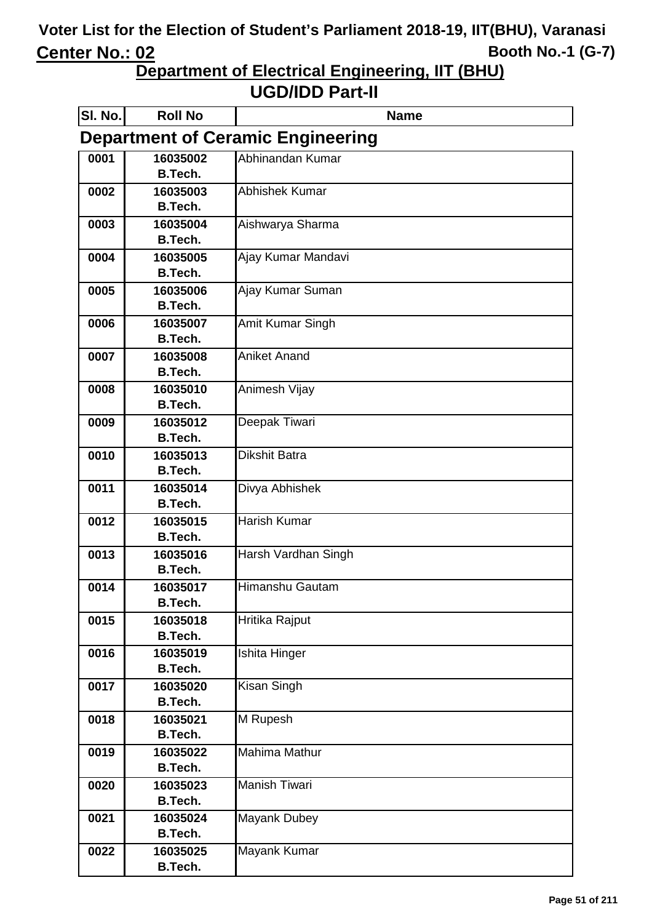**Department of Electrical Engineering, IIT (BHU)**

| <b>SI. No.</b> | <b>Roll No</b>                           | <b>Name</b>           |  |
|----------------|------------------------------------------|-----------------------|--|
|                | <b>Department of Ceramic Engineering</b> |                       |  |
| 0001           | 16035002                                 | Abhinandan Kumar      |  |
|                | <b>B.Tech.</b>                           |                       |  |
| 0002           | 16035003                                 | <b>Abhishek Kumar</b> |  |
|                | <b>B.Tech.</b>                           |                       |  |
| 0003           | 16035004                                 | Aishwarya Sharma      |  |
|                | <b>B.Tech.</b>                           |                       |  |
| 0004           | 16035005                                 | Ajay Kumar Mandavi    |  |
|                | <b>B.Tech.</b>                           |                       |  |
| 0005           | 16035006                                 | Ajay Kumar Suman      |  |
|                | <b>B.Tech.</b>                           |                       |  |
| 0006           | 16035007<br>B.Tech.                      | Amit Kumar Singh      |  |
| 0007           | 16035008                                 | <b>Aniket Anand</b>   |  |
|                | <b>B.Tech.</b>                           |                       |  |
| 0008           | 16035010                                 | Animesh Vijay         |  |
|                | B.Tech.                                  |                       |  |
| 0009           | 16035012                                 | Deepak Tiwari         |  |
|                | <b>B.Tech.</b>                           |                       |  |
| 0010           | 16035013                                 | <b>Dikshit Batra</b>  |  |
|                | B.Tech.                                  |                       |  |
| 0011           | 16035014                                 | Divya Abhishek        |  |
|                | <b>B.Tech.</b>                           |                       |  |
| 0012           | 16035015                                 | <b>Harish Kumar</b>   |  |
|                | <b>B.Tech.</b>                           |                       |  |
| 0013           | 16035016                                 | Harsh Vardhan Singh   |  |
|                | <b>B.Tech.</b>                           |                       |  |
| 0014           | 16035017                                 | Himanshu Gautam       |  |
|                | <b>B.Tech.</b>                           |                       |  |
| 0015           | 16035018                                 | Hritika Rajput        |  |
|                | <b>B.Tech.</b>                           |                       |  |
| 0016           | 16035019                                 | Ishita Hinger         |  |
|                | <b>B.Tech.</b>                           |                       |  |
| 0017           | 16035020<br><b>B.Tech.</b>               | Kisan Singh           |  |
| 0018           | 16035021                                 | M Rupesh              |  |
|                | <b>B.Tech.</b>                           |                       |  |
| 0019           | 16035022                                 | <b>Mahima Mathur</b>  |  |
|                | <b>B.Tech.</b>                           |                       |  |
| 0020           | 16035023                                 | <b>Manish Tiwari</b>  |  |
|                | <b>B.Tech.</b>                           |                       |  |
| 0021           | 16035024                                 | <b>Mayank Dubey</b>   |  |
|                | <b>B.Tech.</b>                           |                       |  |
| 0022           | 16035025                                 | Mayank Kumar          |  |
|                | <b>B.Tech.</b>                           |                       |  |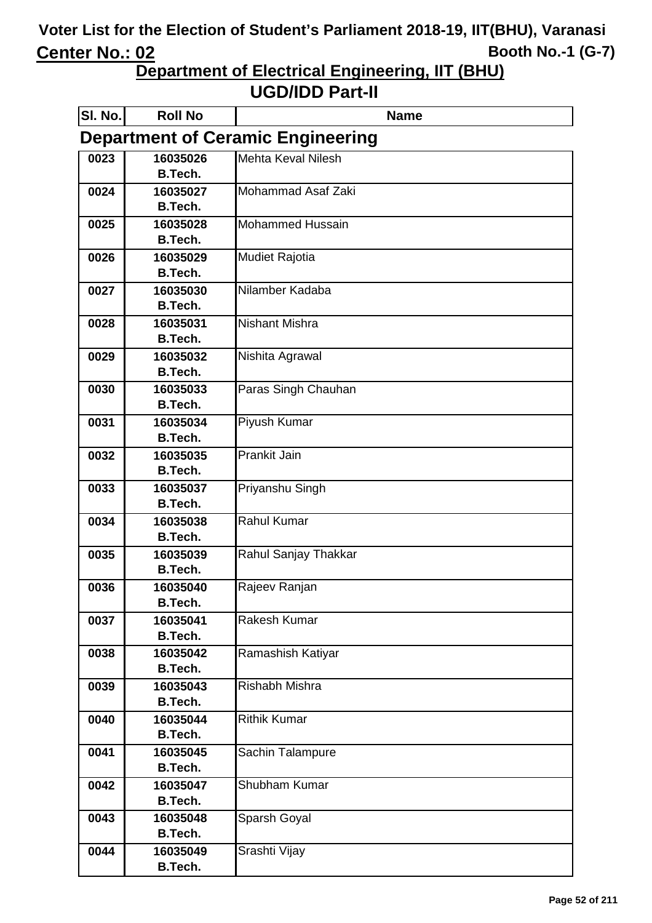**Department of Electrical Engineering, IIT (BHU)**

| SI. No. | <b>Roll No</b>                           | <b>Name</b>             |  |
|---------|------------------------------------------|-------------------------|--|
|         | <b>Department of Ceramic Engineering</b> |                         |  |
| 0023    | 16035026                                 | Mehta Keval Nilesh      |  |
|         | <b>B.Tech.</b>                           |                         |  |
| 0024    | 16035027                                 | Mohammad Asaf Zaki      |  |
|         | <b>B.Tech.</b>                           |                         |  |
| 0025    | 16035028                                 | <b>Mohammed Hussain</b> |  |
|         | <b>B.Tech.</b>                           |                         |  |
| 0026    | 16035029                                 | <b>Mudiet Rajotia</b>   |  |
|         | <b>B.Tech.</b>                           |                         |  |
| 0027    | 16035030                                 | Nilamber Kadaba         |  |
|         | <b>B.Tech.</b>                           |                         |  |
| 0028    | 16035031                                 | <b>Nishant Mishra</b>   |  |
|         | <b>B.Tech.</b>                           |                         |  |
| 0029    | 16035032<br><b>B.Tech.</b>               | Nishita Agrawal         |  |
|         | 16035033                                 | Paras Singh Chauhan     |  |
| 0030    | <b>B.Tech.</b>                           |                         |  |
| 0031    | 16035034                                 | <b>Piyush Kumar</b>     |  |
|         | <b>B.Tech.</b>                           |                         |  |
| 0032    | 16035035                                 | <b>Prankit Jain</b>     |  |
|         | <b>B.Tech.</b>                           |                         |  |
| 0033    | 16035037                                 | Priyanshu Singh         |  |
|         | <b>B.Tech.</b>                           |                         |  |
| 0034    | 16035038                                 | <b>Rahul Kumar</b>      |  |
|         | <b>B.Tech.</b>                           |                         |  |
| 0035    | 16035039                                 | Rahul Sanjay Thakkar    |  |
|         | <b>B.Tech.</b>                           |                         |  |
| 0036    | 16035040                                 | Rajeev Ranjan           |  |
|         | <b>B.Tech.</b>                           |                         |  |
| 0037    | 16035041                                 | Rakesh Kumar            |  |
|         | <b>B.Tech.</b>                           |                         |  |
| 0038    | 16035042                                 | Ramashish Katiyar       |  |
|         | <b>B.Tech.</b>                           |                         |  |
| 0039    | 16035043                                 | Rishabh Mishra          |  |
|         | <b>B.Tech.</b>                           |                         |  |
| 0040    | 16035044                                 | <b>Rithik Kumar</b>     |  |
|         | <b>B.Tech.</b>                           |                         |  |
| 0041    | 16035045                                 | Sachin Talampure        |  |
|         | <b>B.Tech.</b>                           |                         |  |
| 0042    | 16035047                                 | Shubham Kumar           |  |
|         | <b>B.Tech.</b>                           |                         |  |
| 0043    | 16035048                                 | Sparsh Goyal            |  |
|         | <b>B.Tech.</b>                           |                         |  |
| 0044    | 16035049<br><b>B.Tech.</b>               | Srashti Vijay           |  |
|         |                                          |                         |  |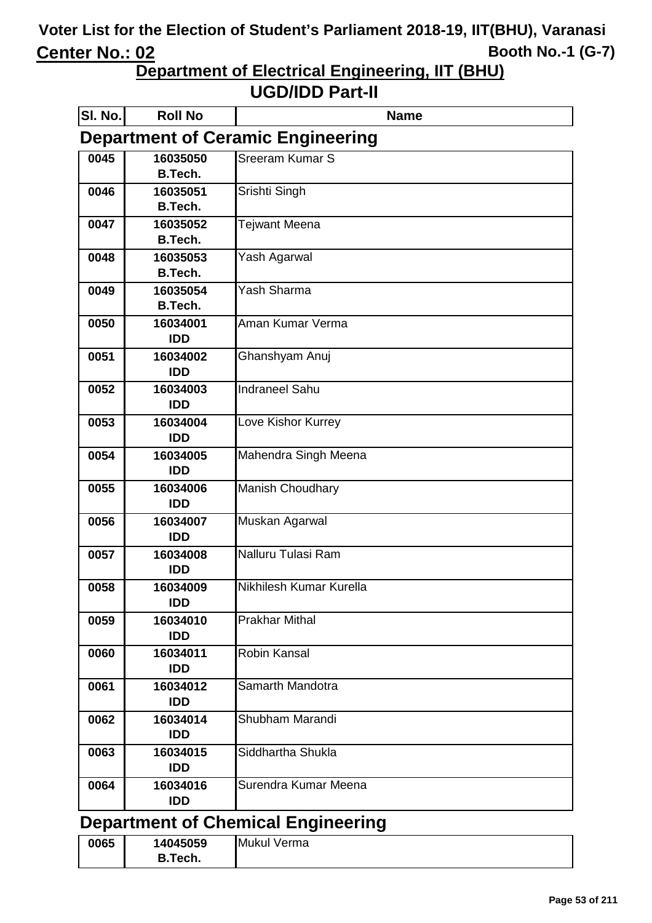**Department of Electrical Engineering, IIT (BHU)**

| <b>SI. No.</b> | <b>Roll No</b>                            | <b>Name</b>                              |  |
|----------------|-------------------------------------------|------------------------------------------|--|
|                |                                           | <b>Department of Ceramic Engineering</b> |  |
| 0045           | 16035050                                  | Sreeram Kumar S                          |  |
|                | <b>B.Tech.</b>                            |                                          |  |
| 0046           | 16035051                                  | Srishti Singh                            |  |
|                | <b>B.Tech.</b>                            |                                          |  |
| 0047           | 16035052                                  | Tejwant Meena                            |  |
|                | <b>B.Tech.</b>                            |                                          |  |
| 0048           | 16035053                                  | Yash Agarwal                             |  |
|                | <b>B.Tech.</b>                            |                                          |  |
| 0049           | 16035054<br><b>B.Tech.</b>                | Yash Sharma                              |  |
|                |                                           | Aman Kumar Verma                         |  |
| 0050           | 16034001<br><b>IDD</b>                    |                                          |  |
|                | 16034002                                  |                                          |  |
| 0051           | <b>IDD</b>                                | Ghanshyam Anuj                           |  |
| 0052           | 16034003                                  | <b>Indraneel Sahu</b>                    |  |
|                | <b>IDD</b>                                |                                          |  |
| 0053           | 16034004                                  | Love Kishor Kurrey                       |  |
|                | <b>IDD</b>                                |                                          |  |
| 0054           | 16034005                                  | Mahendra Singh Meena                     |  |
|                | <b>IDD</b>                                |                                          |  |
| 0055           | 16034006                                  | Manish Choudhary                         |  |
|                | <b>IDD</b>                                |                                          |  |
| 0056           | 16034007                                  | Muskan Agarwal                           |  |
|                | <b>IDD</b>                                |                                          |  |
| 0057           | 16034008                                  | Nalluru Tulasi Ram                       |  |
|                | <b>IDD</b>                                |                                          |  |
| 0058           | 16034009                                  | Nikhilesh Kumar Kurella                  |  |
|                | <b>IDD</b>                                |                                          |  |
| 0059           | 16034010                                  | <b>Prakhar Mithal</b>                    |  |
|                | <b>IDD</b>                                |                                          |  |
| 0060           | 16034011<br><b>IDD</b>                    | <b>Robin Kansal</b>                      |  |
|                |                                           |                                          |  |
| 0061           | 16034012<br><b>IDD</b>                    | Samarth Mandotra                         |  |
| 0062           | 16034014                                  | Shubham Marandi                          |  |
|                | <b>IDD</b>                                |                                          |  |
| 0063           | 16034015                                  | Siddhartha Shukla                        |  |
|                | <b>IDD</b>                                |                                          |  |
| 0064           | 16034016                                  | Surendra Kumar Meena                     |  |
|                | <b>IDD</b>                                |                                          |  |
|                | <b>Department of Chemical Engineering</b> |                                          |  |

| 0065 | 14045059 | Mukul Verma |
|------|----------|-------------|
|      | B.Tech.  |             |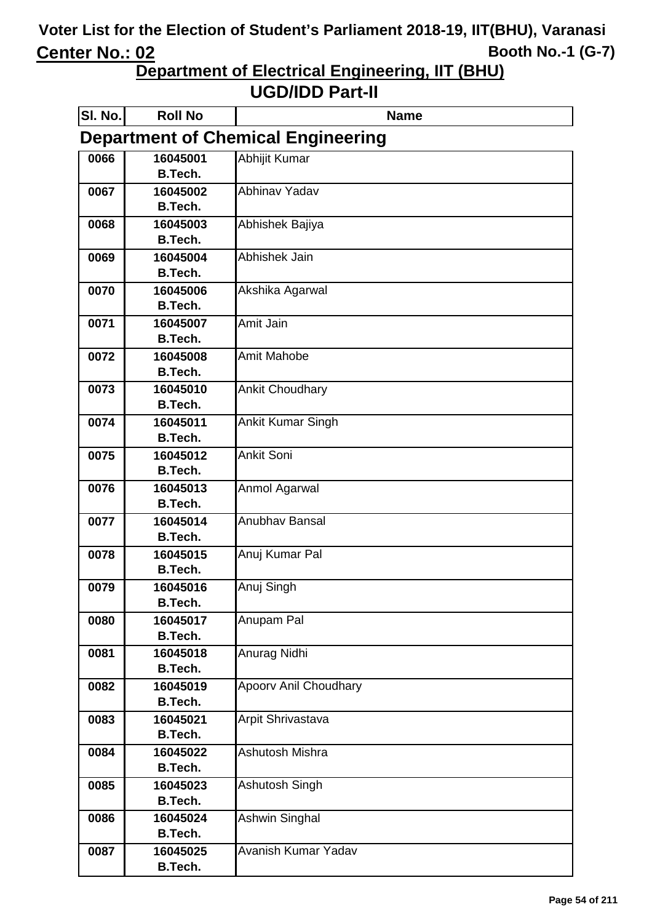**Department of Electrical Engineering, IIT (BHU)**

| SI. No.                                   | <b>Roll No</b>             | <b>Name</b>                  |
|-------------------------------------------|----------------------------|------------------------------|
| <b>Department of Chemical Engineering</b> |                            |                              |
| 0066                                      | 16045001                   | Abhijit Kumar                |
|                                           | B.Tech.                    |                              |
| 0067                                      | 16045002                   | Abhinav Yadav                |
|                                           | <b>B.Tech.</b>             |                              |
| 0068                                      | 16045003                   | Abhishek Bajiya              |
|                                           | <b>B.Tech.</b>             |                              |
| 0069                                      | 16045004                   | Abhishek Jain                |
|                                           | <b>B.Tech.</b>             |                              |
| 0070                                      | 16045006<br>B.Tech.        | Akshika Agarwal              |
| 0071                                      |                            | Amit Jain                    |
|                                           | 16045007<br><b>B.Tech.</b> |                              |
| 0072                                      | 16045008                   | <b>Amit Mahobe</b>           |
|                                           | <b>B.Tech.</b>             |                              |
| 0073                                      | 16045010                   | <b>Ankit Choudhary</b>       |
|                                           | <b>B.Tech.</b>             |                              |
| 0074                                      | 16045011                   | <b>Ankit Kumar Singh</b>     |
|                                           | <b>B.Tech.</b>             |                              |
| 0075                                      | 16045012                   | Ankit Soni                   |
|                                           | <b>B.Tech.</b>             |                              |
| 0076                                      | 16045013                   | Anmol Agarwal                |
|                                           | <b>B.Tech.</b>             |                              |
| 0077                                      | 16045014                   | Anubhav Bansal               |
|                                           | <b>B.Tech.</b>             |                              |
| 0078                                      | 16045015                   | Anuj Kumar Pal               |
|                                           | <b>B.Tech.</b>             |                              |
| 0079                                      | 16045016                   | Anuj Singh                   |
|                                           | B.Tech.                    |                              |
| 0080                                      | 16045017                   | Anupam Pal                   |
|                                           | <b>B.Tech.</b>             |                              |
| 0081                                      | 16045018<br><b>B.Tech.</b> | Anurag Nidhi                 |
| 0082                                      | 16045019                   | <b>Apoorv Anil Choudhary</b> |
|                                           | <b>B.Tech.</b>             |                              |
| 0083                                      | 16045021                   | Arpit Shrivastava            |
|                                           | <b>B.Tech.</b>             |                              |
| 0084                                      | 16045022                   | Ashutosh Mishra              |
|                                           | <b>B.Tech.</b>             |                              |
| 0085                                      | 16045023                   | Ashutosh Singh               |
|                                           | <b>B.Tech.</b>             |                              |
| 0086                                      | 16045024                   | Ashwin Singhal               |
|                                           | <b>B.Tech.</b>             |                              |
| 0087                                      | 16045025                   | Avanish Kumar Yadav          |
|                                           | <b>B.Tech.</b>             |                              |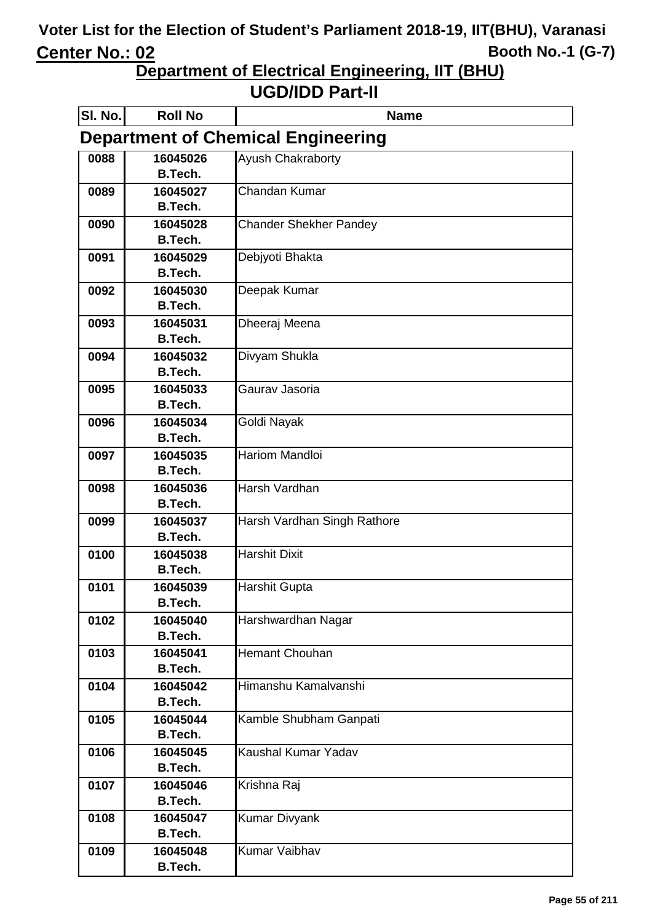**Department of Electrical Engineering, IIT (BHU)**

| SI. No.                                   | <b>Roll No</b>             | <b>Name</b>                   |
|-------------------------------------------|----------------------------|-------------------------------|
| <b>Department of Chemical Engineering</b> |                            |                               |
| 0088                                      | 16045026                   | Ayush Chakraborty             |
|                                           | <b>B.Tech.</b>             |                               |
| 0089                                      | 16045027                   | Chandan Kumar                 |
|                                           | <b>B.Tech.</b>             |                               |
| 0090                                      | 16045028                   | <b>Chander Shekher Pandey</b> |
|                                           | <b>B.Tech.</b>             |                               |
| 0091                                      | 16045029<br><b>B.Tech.</b> | Debjyoti Bhakta               |
|                                           |                            |                               |
| 0092                                      | 16045030<br><b>B.Tech.</b> | Deepak Kumar                  |
| 0093                                      | 16045031                   | Dheeraj Meena                 |
|                                           | <b>B.Tech.</b>             |                               |
| 0094                                      | 16045032                   | Divyam Shukla                 |
|                                           | <b>B.Tech.</b>             |                               |
| 0095                                      | 16045033                   | Gaurav Jasoria                |
|                                           | <b>B.Tech.</b>             |                               |
| 0096                                      | 16045034                   | Goldi Nayak                   |
|                                           | <b>B.Tech.</b>             |                               |
| 0097                                      | 16045035                   | <b>Hariom Mandloi</b>         |
|                                           | <b>B.Tech.</b>             |                               |
| 0098                                      | 16045036                   | Harsh Vardhan                 |
|                                           | <b>B.Tech.</b>             |                               |
| 0099                                      | 16045037                   | Harsh Vardhan Singh Rathore   |
|                                           | B.Tech.                    |                               |
| 0100                                      | 16045038                   | <b>Harshit Dixit</b>          |
|                                           | <b>B.Tech.</b>             |                               |
| 0101                                      | 16045039                   | <b>Harshit Gupta</b>          |
| 0102                                      | <b>B.Tech.</b><br>16045040 |                               |
|                                           | B.Tech.                    | Harshwardhan Nagar            |
| 0103                                      | 16045041                   | <b>Hemant Chouhan</b>         |
|                                           | B.Tech.                    |                               |
| 0104                                      | 16045042                   | Himanshu Kamalvanshi          |
|                                           | <b>B.Tech.</b>             |                               |
| 0105                                      | 16045044                   | Kamble Shubham Ganpati        |
|                                           | <b>B.Tech.</b>             |                               |
| 0106                                      | 16045045                   | Kaushal Kumar Yadav           |
|                                           | <b>B.Tech.</b>             |                               |
| 0107                                      | 16045046                   | Krishna Raj                   |
|                                           | <b>B.Tech.</b>             |                               |
| 0108                                      | 16045047                   | <b>Kumar Divyank</b>          |
|                                           | <b>B.Tech.</b>             |                               |
| 0109                                      | 16045048                   | <b>Kumar Vaibhav</b>          |
|                                           | <b>B.Tech.</b>             |                               |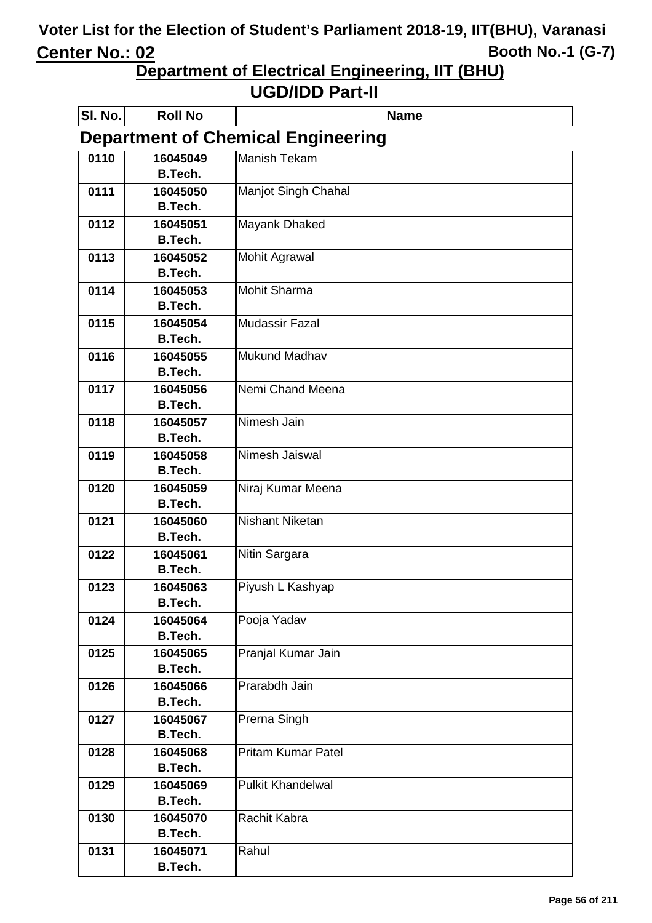**Department of Electrical Engineering, IIT (BHU)**

| SI. No. | <b>Roll No</b>                            | <b>Name</b>               |  |
|---------|-------------------------------------------|---------------------------|--|
|         | <b>Department of Chemical Engineering</b> |                           |  |
| 0110    | 16045049                                  | <b>Manish Tekam</b>       |  |
|         | B.Tech.                                   |                           |  |
| 0111    | 16045050                                  | Manjot Singh Chahal       |  |
|         | <b>B.Tech.</b>                            |                           |  |
| 0112    | 16045051                                  | Mayank Dhaked             |  |
|         | <b>B.Tech.</b>                            |                           |  |
| 0113    | 16045052                                  | <b>Mohit Agrawal</b>      |  |
|         | <b>B.Tech.</b>                            |                           |  |
| 0114    | 16045053                                  | <b>Mohit Sharma</b>       |  |
|         | B.Tech.                                   |                           |  |
| 0115    | 16045054                                  | <b>Mudassir Fazal</b>     |  |
|         | <b>B.Tech.</b>                            | <b>Mukund Madhav</b>      |  |
| 0116    | 16045055<br><b>B.Tech.</b>                |                           |  |
| 0117    | 16045056                                  | Nemi Chand Meena          |  |
|         | <b>B.Tech.</b>                            |                           |  |
| 0118    | 16045057                                  | Nimesh Jain               |  |
|         | <b>B.Tech.</b>                            |                           |  |
| 0119    | 16045058                                  | Nimesh Jaiswal            |  |
|         | <b>B.Tech.</b>                            |                           |  |
| 0120    | 16045059                                  | Niraj Kumar Meena         |  |
|         | <b>B.Tech.</b>                            |                           |  |
| 0121    | 16045060                                  | <b>Nishant Niketan</b>    |  |
|         | <b>B.Tech.</b>                            |                           |  |
| 0122    | 16045061                                  | Nitin Sargara             |  |
|         | <b>B.Tech.</b>                            |                           |  |
| 0123    | 16045063                                  | Piyush L Kashyap          |  |
|         | <b>B.Tech.</b>                            |                           |  |
| 0124    | 16045064                                  | Pooja Yadav               |  |
|         | <b>B.Tech.</b>                            |                           |  |
| 0125    | 16045065                                  | Pranjal Kumar Jain        |  |
|         | B.Tech.                                   |                           |  |
| 0126    | 16045066                                  | Prarabdh Jain             |  |
|         | <b>B.Tech.</b>                            |                           |  |
| 0127    | 16045067                                  | Prerna Singh              |  |
|         | <b>B.Tech.</b>                            |                           |  |
| 0128    | 16045068<br><b>B.Tech.</b>                | <b>Pritam Kumar Patel</b> |  |
| 0129    | 16045069                                  | <b>Pulkit Khandelwal</b>  |  |
|         | <b>B.Tech.</b>                            |                           |  |
| 0130    | 16045070                                  | Rachit Kabra              |  |
|         | <b>B.Tech.</b>                            |                           |  |
| 0131    | 16045071                                  | Rahul                     |  |
|         | B.Tech.                                   |                           |  |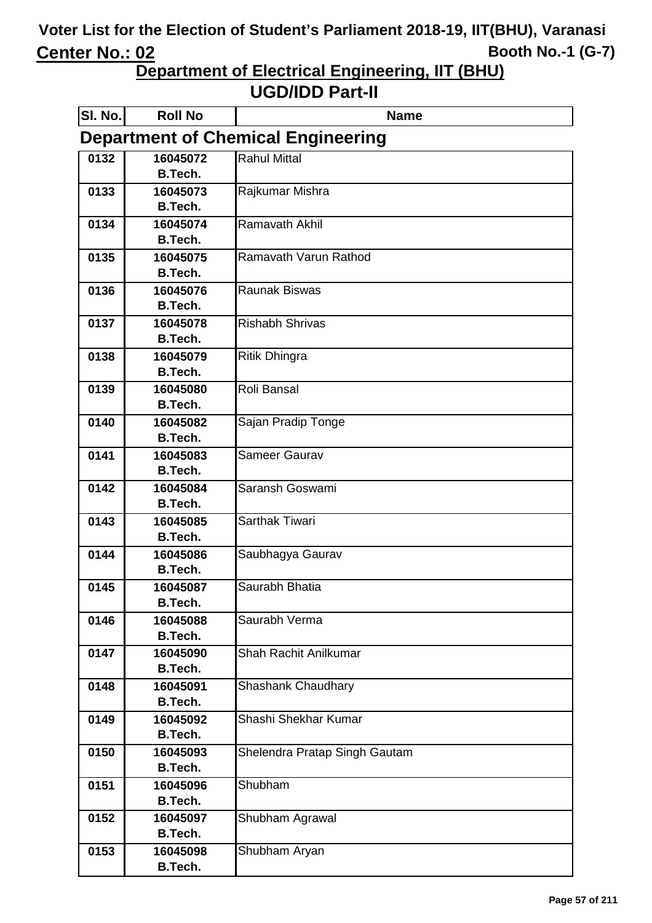**Department of Electrical Engineering, IIT (BHU)**

| SI. No. | <b>Roll No</b>                            | <b>Name</b>                   |  |
|---------|-------------------------------------------|-------------------------------|--|
|         | <b>Department of Chemical Engineering</b> |                               |  |
| 0132    | 16045072                                  | <b>Rahul Mittal</b>           |  |
|         | <b>B.Tech.</b>                            |                               |  |
| 0133    | 16045073                                  | Rajkumar Mishra               |  |
|         | <b>B.Tech.</b>                            |                               |  |
| 0134    | 16045074                                  | Ramavath Akhil                |  |
|         | <b>B.Tech.</b>                            |                               |  |
| 0135    | 16045075                                  | Ramavath Varun Rathod         |  |
|         | <b>B.Tech.</b>                            |                               |  |
| 0136    | 16045076                                  | <b>Raunak Biswas</b>          |  |
|         | B.Tech.                                   |                               |  |
| 0137    | 16045078                                  | <b>Rishabh Shrivas</b>        |  |
|         | B.Tech.                                   |                               |  |
| 0138    | 16045079                                  | Ritik Dhingra                 |  |
|         | <b>B.Tech.</b>                            |                               |  |
| 0139    | 16045080<br><b>B.Tech.</b>                | Roli Bansal                   |  |
| 0140    | 16045082                                  | Sajan Pradip Tonge            |  |
|         | <b>B.Tech.</b>                            |                               |  |
| 0141    | 16045083                                  | <b>Sameer Gaurav</b>          |  |
|         | <b>B.Tech.</b>                            |                               |  |
| 0142    | 16045084                                  | Saransh Goswami               |  |
|         | <b>B.Tech.</b>                            |                               |  |
| 0143    | 16045085                                  | <b>Sarthak Tiwari</b>         |  |
|         | <b>B.Tech.</b>                            |                               |  |
| 0144    | 16045086                                  | Saubhagya Gaurav              |  |
|         | <b>B.Tech.</b>                            |                               |  |
| 0145    | 16045087                                  | Saurabh Bhatia                |  |
|         | B.Tech.                                   |                               |  |
| 0146    | 16045088                                  | Saurabh Verma                 |  |
|         | <b>B.Tech.</b>                            |                               |  |
| 0147    | 16045090                                  | Shah Rachit Anilkumar         |  |
|         | <b>B.Tech.</b>                            |                               |  |
| 0148    | 16045091                                  | Shashank Chaudhary            |  |
|         | <b>B.Tech.</b>                            |                               |  |
| 0149    | 16045092                                  | Shashi Shekhar Kumar          |  |
|         | <b>B.Tech.</b>                            |                               |  |
| 0150    | 16045093                                  | Shelendra Pratap Singh Gautam |  |
|         | <b>B.Tech.</b>                            |                               |  |
| 0151    | 16045096                                  | Shubham                       |  |
|         | <b>B.Tech.</b>                            |                               |  |
| 0152    | 16045097                                  | Shubham Agrawal               |  |
|         | <b>B.Tech.</b>                            |                               |  |
| 0153    | 16045098                                  | Shubham Aryan                 |  |
|         | <b>B.Tech.</b>                            |                               |  |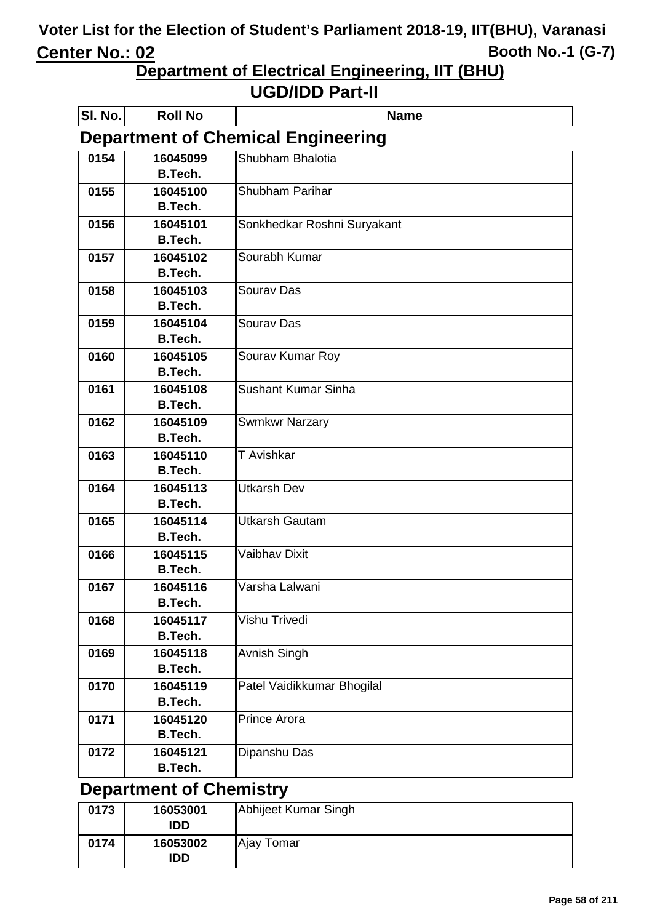**Department of Electrical Engineering, IIT (BHU)** 

**UGD/IDD Part-II**

| <b>SI. No.</b> | <b>Roll No</b>                            | <b>Name</b>                 |  |
|----------------|-------------------------------------------|-----------------------------|--|
|                | <b>Department of Chemical Engineering</b> |                             |  |
| 0154           | 16045099                                  | Shubham Bhalotia            |  |
|                | <b>B.Tech.</b>                            |                             |  |
| 0155           | 16045100                                  | Shubham Parihar             |  |
|                | <b>B.Tech.</b>                            |                             |  |
| 0156           | 16045101                                  | Sonkhedkar Roshni Suryakant |  |
|                | B.Tech.                                   |                             |  |
| 0157           | 16045102                                  | Sourabh Kumar               |  |
|                | B.Tech.                                   |                             |  |
| 0158           | 16045103                                  | Sourav Das                  |  |
|                | B.Tech.                                   |                             |  |
| 0159           | 16045104                                  | Sourav Das                  |  |
|                | <b>B.Tech.</b>                            |                             |  |
| 0160           | 16045105<br>B.Tech.                       | Sourav Kumar Roy            |  |
|                |                                           | <b>Sushant Kumar Sinha</b>  |  |
| 0161           | 16045108<br>B.Tech.                       |                             |  |
| 0162           | 16045109                                  | <b>Swmkwr Narzary</b>       |  |
|                | B.Tech.                                   |                             |  |
| 0163           | 16045110                                  | T Avishkar                  |  |
|                | B.Tech.                                   |                             |  |
| 0164           | 16045113                                  | <b>Utkarsh Dev</b>          |  |
|                | B.Tech.                                   |                             |  |
| 0165           | 16045114                                  | <b>Utkarsh Gautam</b>       |  |
|                | <b>B.Tech.</b>                            |                             |  |
| 0166           | 16045115                                  | <b>Vaibhav Dixit</b>        |  |
|                | <b>B.Tech.</b>                            |                             |  |
| 0167           | 16045116                                  | Varsha Lalwani              |  |
|                | <b>B.Tech.</b>                            |                             |  |
| 0168           | 16045117                                  | Vishu Trivedi               |  |
|                | B.Tech.                                   |                             |  |
| 0169           | 16045118                                  | Avnish Singh                |  |
|                | <b>B.Tech.</b>                            |                             |  |
| 0170           | 16045119                                  | Patel Vaidikkumar Bhogilal  |  |
|                | <b>B.Tech.</b>                            |                             |  |
| 0171           | 16045120                                  | <b>Prince Arora</b>         |  |
|                | <b>B.Tech.</b>                            |                             |  |
| 0172           | 16045121                                  | Dipanshu Das                |  |
|                | B.Tech.                                   |                             |  |
|                |                                           |                             |  |

#### **Department of Chemistry**

| 0173 | 16053001<br>IDD | Abhijeet Kumar Singh |
|------|-----------------|----------------------|
| 0174 | 16053002<br>IDD | Ajay Tomar           |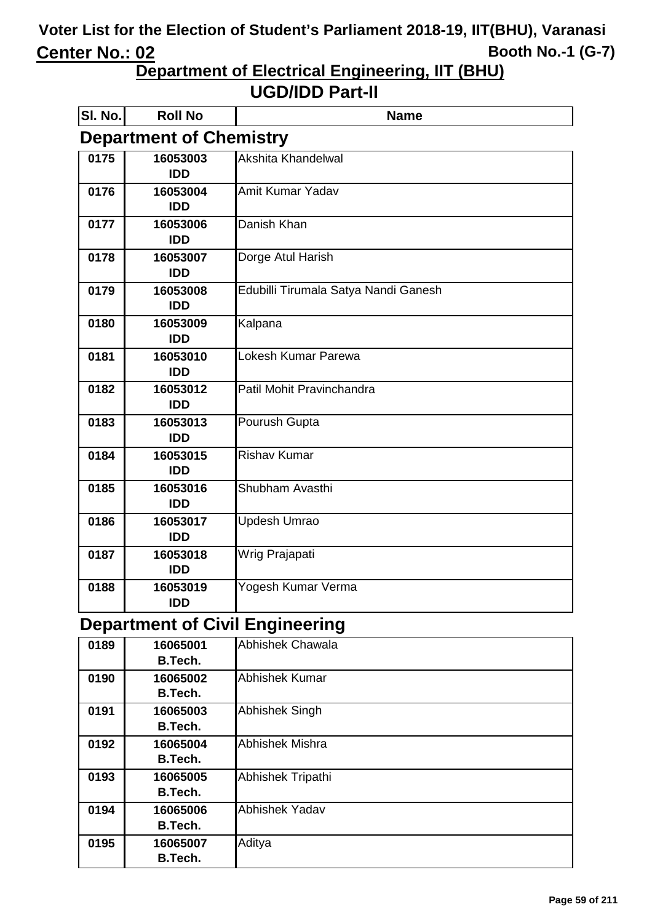**Department of Electrical Engineering, IIT (BHU)**

#### **UGD/IDD Part-II**

| SI. No. | <b>Roll No</b>                 | <b>Name</b>                          |  |
|---------|--------------------------------|--------------------------------------|--|
|         | <b>Department of Chemistry</b> |                                      |  |
| 0175    | 16053003<br><b>IDD</b>         | Akshita Khandelwal                   |  |
| 0176    | 16053004<br><b>IDD</b>         | Amit Kumar Yadav                     |  |
| 0177    | 16053006<br><b>IDD</b>         | Danish Khan                          |  |
| 0178    | 16053007<br><b>IDD</b>         | Dorge Atul Harish                    |  |
| 0179    | 16053008<br><b>IDD</b>         | Edubilli Tirumala Satya Nandi Ganesh |  |
| 0180    | 16053009<br><b>IDD</b>         | Kalpana                              |  |
| 0181    | 16053010<br><b>IDD</b>         | Lokesh Kumar Parewa                  |  |
| 0182    | 16053012<br><b>IDD</b>         | Patil Mohit Pravinchandra            |  |
| 0183    | 16053013<br><b>IDD</b>         | Pourush Gupta                        |  |
| 0184    | 16053015<br><b>IDD</b>         | <b>Rishav Kumar</b>                  |  |
| 0185    | 16053016<br><b>IDD</b>         | Shubham Avasthi                      |  |
| 0186    | 16053017<br><b>IDD</b>         | <b>Updesh Umrao</b>                  |  |
| 0187    | 16053018<br><b>IDD</b>         | Wrig Prajapati                       |  |
| 0188    | 16053019<br><b>IDD</b>         | Yogesh Kumar Verma                   |  |

# **Department of Civil Engineering**

| 0189 | 16065001<br>B.Tech. | Abhishek Chawala      |
|------|---------------------|-----------------------|
| 0190 | 16065002<br>B.Tech. | Abhishek Kumar        |
| 0191 | 16065003<br>B.Tech. | <b>Abhishek Singh</b> |
| 0192 | 16065004<br>B.Tech. | Abhishek Mishra       |
| 0193 | 16065005<br>B.Tech. | Abhishek Tripathi     |
| 0194 | 16065006<br>B.Tech. | <b>Abhishek Yadav</b> |
| 0195 | 16065007<br>B.Tech. | Aditya                |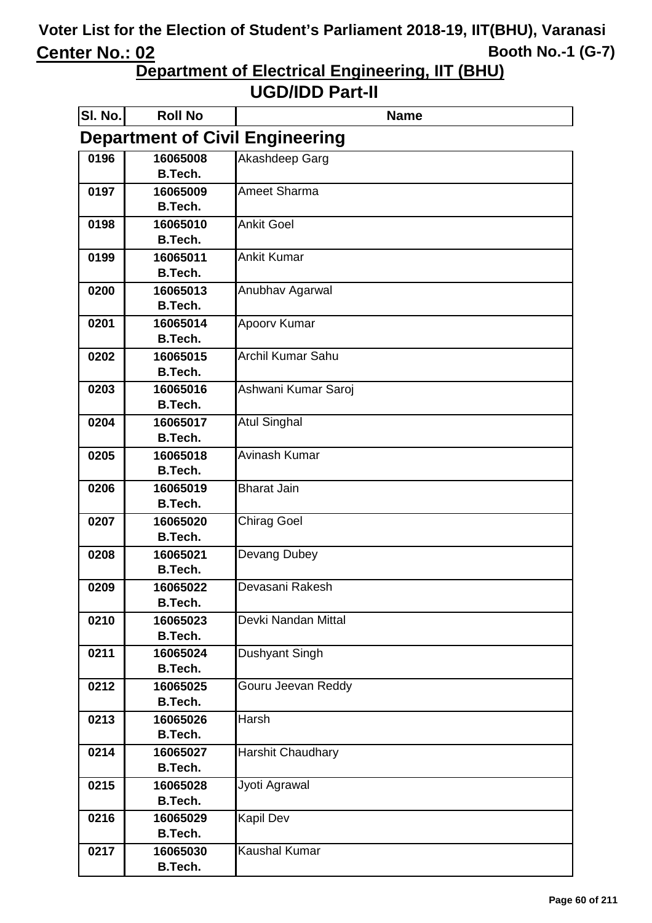**Department of Electrical Engineering, IIT (BHU)**

| SI. No. | <b>Roll No</b>             | <b>Name</b>                            |
|---------|----------------------------|----------------------------------------|
|         |                            | <b>Department of Civil Engineering</b> |
| 0196    | 16065008<br><b>B.Tech.</b> | Akashdeep Garg                         |
| 0197    | 16065009                   | Ameet Sharma                           |
|         | <b>B.Tech.</b>             |                                        |
| 0198    | 16065010<br><b>B.Tech.</b> | <b>Ankit Goel</b>                      |
| 0199    | 16065011                   | <b>Ankit Kumar</b>                     |
|         | <b>B.Tech.</b>             |                                        |
| 0200    | 16065013<br><b>B.Tech.</b> | Anubhav Agarwal                        |
| 0201    | 16065014                   | Apoorv Kumar                           |
|         | <b>B.Tech.</b>             |                                        |
| 0202    | 16065015                   | <b>Archil Kumar Sahu</b>               |
|         | <b>B.Tech.</b>             |                                        |
| 0203    | 16065016<br><b>B.Tech.</b> | Ashwani Kumar Saroj                    |
| 0204    | 16065017                   | <b>Atul Singhal</b>                    |
|         | <b>B.Tech.</b>             |                                        |
| 0205    | 16065018                   | Avinash Kumar                          |
|         | <b>B.Tech.</b>             |                                        |
| 0206    | 16065019                   | <b>Bharat Jain</b>                     |
|         | <b>B.Tech.</b>             |                                        |
| 0207    | 16065020                   | <b>Chirag Goel</b>                     |
|         | <b>B.Tech.</b>             |                                        |
| 0208    | 16065021                   | Devang Dubey                           |
|         | <b>B.Tech.</b>             |                                        |
| 0209    | 16065022<br><b>B.Tech.</b> | Devasani Rakesh                        |
| 0210    | 16065023                   | Devki Nandan Mittal                    |
|         | B.Tech.                    |                                        |
| 0211    | 16065024                   | Dushyant Singh                         |
|         | <b>B.Tech.</b>             |                                        |
| 0212    | 16065025                   | Gouru Jeevan Reddy                     |
|         | <b>B.Tech.</b>             |                                        |
| 0213    | 16065026                   | <b>Harsh</b>                           |
|         | <b>B.Tech.</b>             |                                        |
| 0214    | 16065027                   | <b>Harshit Chaudhary</b>               |
|         | <b>B.Tech.</b>             |                                        |
| 0215    | 16065028<br><b>B.Tech.</b> | Jyoti Agrawal                          |
| 0216    | 16065029                   | <b>Kapil Dev</b>                       |
|         | <b>B.Tech.</b>             |                                        |
| 0217    | 16065030                   | <b>Kaushal Kumar</b>                   |
|         | <b>B.Tech.</b>             |                                        |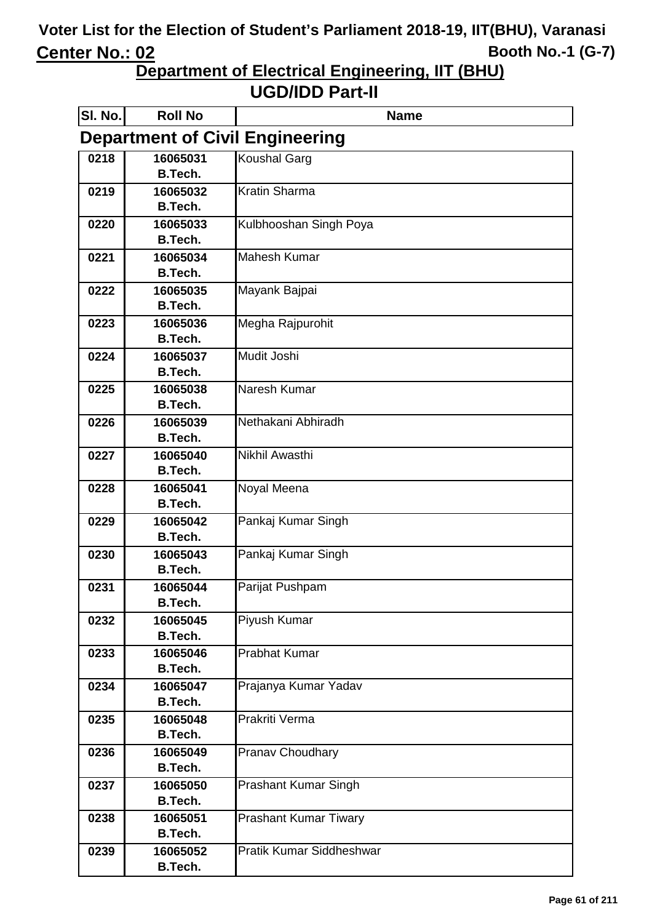**Department of Electrical Engineering, IIT (BHU)**

| SI. No. | <b>Roll No</b>                         | <b>Name</b>                     |  |  |
|---------|----------------------------------------|---------------------------------|--|--|
|         | <b>Department of Civil Engineering</b> |                                 |  |  |
| 0218    | 16065031                               | <b>Koushal Garg</b>             |  |  |
|         | <b>B.Tech.</b>                         |                                 |  |  |
| 0219    | 16065032                               | <b>Kratin Sharma</b>            |  |  |
|         | <b>B.Tech.</b>                         |                                 |  |  |
| 0220    | 16065033<br><b>B.Tech.</b>             | Kulbhooshan Singh Poya          |  |  |
| 0221    | 16065034                               | <b>Mahesh Kumar</b>             |  |  |
|         | <b>B.Tech.</b>                         |                                 |  |  |
| 0222    | 16065035                               | Mayank Bajpai                   |  |  |
|         | <b>B.Tech.</b>                         |                                 |  |  |
| 0223    | 16065036                               | Megha Rajpurohit                |  |  |
|         | <b>B.Tech.</b>                         |                                 |  |  |
| 0224    | 16065037                               | Mudit Joshi                     |  |  |
|         | <b>B.Tech.</b>                         |                                 |  |  |
| 0225    | 16065038                               | Naresh Kumar                    |  |  |
|         | <b>B.Tech.</b>                         |                                 |  |  |
| 0226    | 16065039                               | Nethakani Abhiradh              |  |  |
|         | <b>B.Tech.</b>                         |                                 |  |  |
| 0227    | 16065040<br><b>B.Tech.</b>             | Nikhil Awasthi                  |  |  |
| 0228    | 16065041                               | Noyal Meena                     |  |  |
|         | <b>B.Tech.</b>                         |                                 |  |  |
| 0229    | 16065042                               | Pankaj Kumar Singh              |  |  |
|         | <b>B.Tech.</b>                         |                                 |  |  |
| 0230    | 16065043                               | Pankaj Kumar Singh              |  |  |
|         | <b>B.Tech.</b>                         |                                 |  |  |
| 0231    | 16065044                               | Parijat Pushpam                 |  |  |
|         | <b>B.Tech.</b>                         |                                 |  |  |
| 0232    | 16065045                               | Piyush Kumar                    |  |  |
|         | <b>B.Tech.</b>                         |                                 |  |  |
| 0233    | 16065046                               | <b>Prabhat Kumar</b>            |  |  |
|         | <b>B.Tech.</b>                         |                                 |  |  |
| 0234    | 16065047<br><b>B.Tech.</b>             | Prajanya Kumar Yadav            |  |  |
| 0235    | 16065048                               | Prakriti Verma                  |  |  |
|         | <b>B.Tech.</b>                         |                                 |  |  |
| 0236    | 16065049                               | <b>Pranav Choudhary</b>         |  |  |
|         | <b>B.Tech.</b>                         |                                 |  |  |
| 0237    | 16065050                               | <b>Prashant Kumar Singh</b>     |  |  |
|         | <b>B.Tech.</b>                         |                                 |  |  |
| 0238    | 16065051                               | Prashant Kumar Tiwary           |  |  |
|         | <b>B.Tech.</b>                         |                                 |  |  |
| 0239    | 16065052                               | <b>Pratik Kumar Siddheshwar</b> |  |  |
|         | <b>B.Tech.</b>                         |                                 |  |  |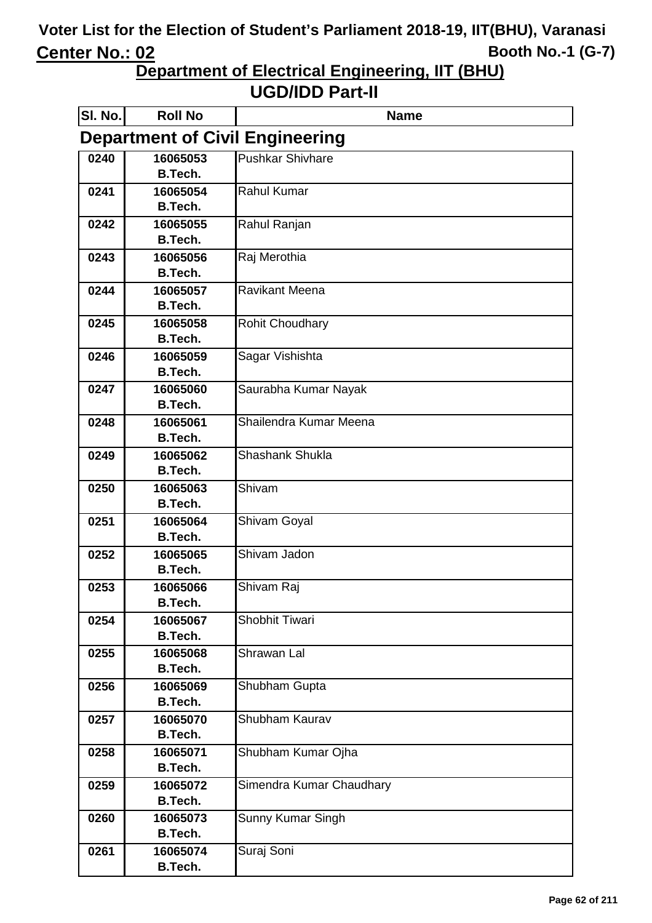**Department of Electrical Engineering, IIT (BHU)**

| SI. No.                                | <b>Roll No</b>             | <b>Name</b>              |  |
|----------------------------------------|----------------------------|--------------------------|--|
| <b>Department of Civil Engineering</b> |                            |                          |  |
| 0240                                   | 16065053                   | <b>Pushkar Shivhare</b>  |  |
|                                        | <b>B.Tech.</b>             |                          |  |
| 0241                                   | 16065054<br><b>B.Tech.</b> | <b>Rahul Kumar</b>       |  |
| 0242                                   | 16065055                   | Rahul Ranjan             |  |
|                                        | <b>B.Tech.</b>             |                          |  |
| 0243                                   | 16065056                   | Raj Merothia             |  |
|                                        | <b>B.Tech.</b>             |                          |  |
| 0244                                   | 16065057                   | <b>Ravikant Meena</b>    |  |
|                                        | <b>B.Tech.</b>             |                          |  |
| 0245                                   | 16065058                   | <b>Rohit Choudhary</b>   |  |
| 0246                                   | <b>B.Tech.</b><br>16065059 |                          |  |
|                                        | <b>B.Tech.</b>             | Sagar Vishishta          |  |
| 0247                                   | 16065060                   | Saurabha Kumar Nayak     |  |
|                                        | <b>B.Tech.</b>             |                          |  |
| 0248                                   | 16065061                   | Shailendra Kumar Meena   |  |
|                                        | <b>B.Tech.</b>             |                          |  |
| 0249                                   | 16065062                   | Shashank Shukla          |  |
|                                        | <b>B.Tech.</b>             |                          |  |
| 0250                                   | 16065063                   | Shivam                   |  |
|                                        | <b>B.Tech.</b>             |                          |  |
| 0251                                   | 16065064<br><b>B.Tech.</b> | <b>Shivam Goyal</b>      |  |
| 0252                                   | 16065065                   | Shivam Jadon             |  |
|                                        | <b>B.Tech.</b>             |                          |  |
| 0253                                   | 16065066                   | Shivam Raj               |  |
|                                        | <b>B.Tech.</b>             |                          |  |
| 0254                                   | 16065067                   | Shobhit Tiwari           |  |
|                                        | <b>B.Tech.</b>             |                          |  |
| 0255                                   | 16065068                   | Shrawan Lal              |  |
|                                        | <b>B.Tech.</b>             |                          |  |
| 0256                                   | 16065069<br>B.Tech.        | Shubham Gupta            |  |
| 0257                                   | 16065070                   | Shubham Kaurav           |  |
|                                        | <b>B.Tech.</b>             |                          |  |
| 0258                                   | 16065071                   | Shubham Kumar Ojha       |  |
|                                        | B.Tech.                    |                          |  |
| 0259                                   | 16065072                   | Simendra Kumar Chaudhary |  |
|                                        | <b>B.Tech.</b>             |                          |  |
| 0260                                   | 16065073                   | Sunny Kumar Singh        |  |
|                                        | <b>B.Tech.</b>             |                          |  |
| 0261                                   | 16065074<br><b>B.Tech.</b> | Suraj Soni               |  |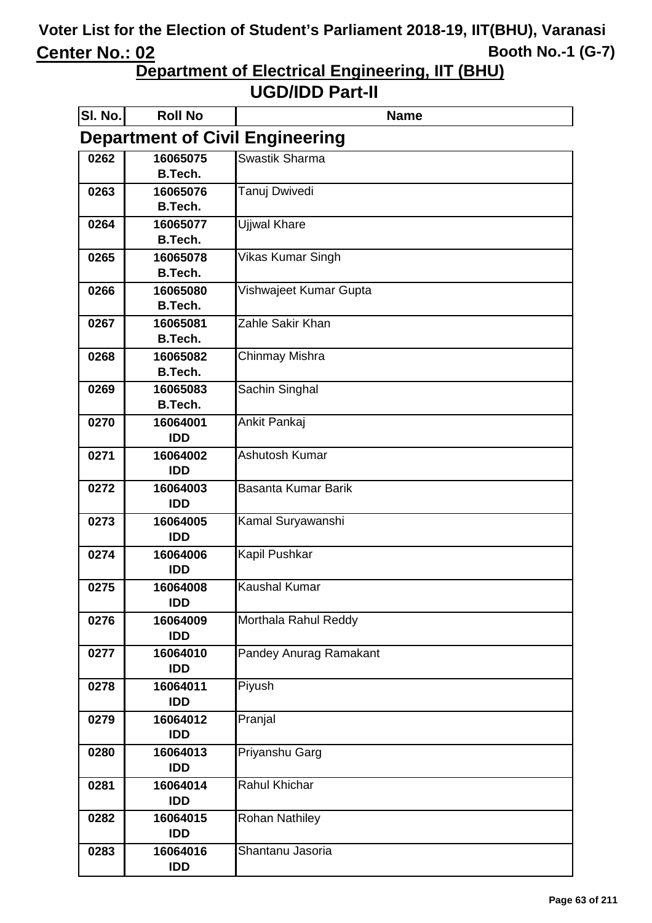**Department of Electrical Engineering, IIT (BHU)**

| SI. No. | <b>Roll No</b>                         | <b>Name</b>            |  |  |
|---------|----------------------------------------|------------------------|--|--|
|         | <b>Department of Civil Engineering</b> |                        |  |  |
| 0262    | 16065075                               | Swastik Sharma         |  |  |
|         | <b>B.Tech.</b>                         |                        |  |  |
| 0263    | 16065076                               | Tanuj Dwivedi          |  |  |
|         | <b>B.Tech.</b>                         |                        |  |  |
| 0264    | 16065077<br><b>B.Tech.</b>             | Ujjwal Khare           |  |  |
| 0265    | 16065078                               | Vikas Kumar Singh      |  |  |
|         | <b>B.Tech.</b>                         |                        |  |  |
| 0266    | 16065080                               | Vishwajeet Kumar Gupta |  |  |
|         | <b>B.Tech.</b>                         |                        |  |  |
| 0267    | 16065081                               | Zahle Sakir Khan       |  |  |
|         | B.Tech.                                |                        |  |  |
| 0268    | 16065082                               | Chinmay Mishra         |  |  |
|         | <b>B.Tech.</b>                         |                        |  |  |
| 0269    | 16065083<br>B.Tech.                    | Sachin Singhal         |  |  |
| 0270    | 16064001                               |                        |  |  |
|         | <b>IDD</b>                             | Ankit Pankaj           |  |  |
| 0271    | 16064002                               | Ashutosh Kumar         |  |  |
|         | <b>IDD</b>                             |                        |  |  |
| 0272    | 16064003                               | Basanta Kumar Barik    |  |  |
|         | <b>IDD</b>                             |                        |  |  |
| 0273    | 16064005                               | Kamal Suryawanshi      |  |  |
|         | <b>IDD</b>                             |                        |  |  |
| 0274    | 16064006                               | Kapil Pushkar          |  |  |
|         | <b>IDD</b>                             |                        |  |  |
| 0275    | 16064008<br><b>IDD</b>                 | <b>Kaushal Kumar</b>   |  |  |
| 0276    | 16064009                               | Morthala Rahul Reddy   |  |  |
|         | <b>IDD</b>                             |                        |  |  |
| 0277    | 16064010                               | Pandey Anurag Ramakant |  |  |
|         | <b>IDD</b>                             |                        |  |  |
| 0278    | 16064011                               | Piyush                 |  |  |
|         | <b>IDD</b>                             |                        |  |  |
| 0279    | 16064012                               | Pranjal                |  |  |
|         | <b>IDD</b>                             |                        |  |  |
| 0280    | 16064013<br><b>IDD</b>                 | Priyanshu Garg         |  |  |
| 0281    | 16064014                               | <b>Rahul Khichar</b>   |  |  |
|         | <b>IDD</b>                             |                        |  |  |
| 0282    | 16064015                               | <b>Rohan Nathiley</b>  |  |  |
|         | <b>IDD</b>                             |                        |  |  |
| 0283    | 16064016                               | Shantanu Jasoria       |  |  |
|         | <b>IDD</b>                             |                        |  |  |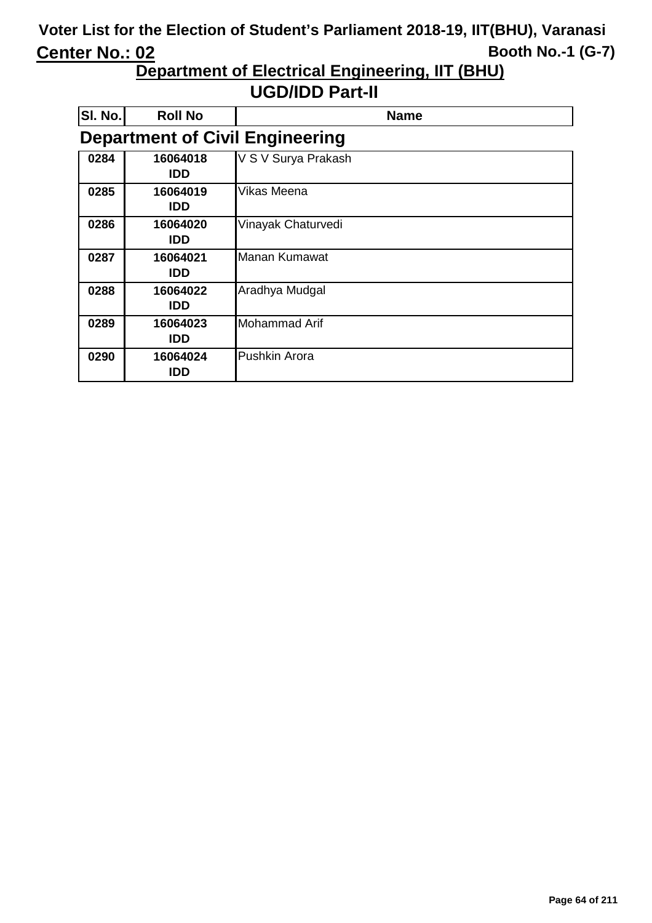**Department of Electrical Engineering, IIT (BHU)**

| SI. No. | <b>Roll No</b>         | <b>Name</b>                            |
|---------|------------------------|----------------------------------------|
|         |                        | <b>Department of Civil Engineering</b> |
| 0284    | 16064018<br><b>IDD</b> | V S V Surya Prakash                    |
| 0285    | 16064019<br><b>IDD</b> | Vikas Meena                            |
| 0286    | 16064020<br><b>IDD</b> | Vinayak Chaturvedi                     |
| 0287    | 16064021<br><b>IDD</b> | Manan Kumawat                          |
| 0288    | 16064022<br><b>IDD</b> | Aradhya Mudgal                         |
| 0289    | 16064023<br>IDD        | <b>Mohammad Arif</b>                   |
| 0290    | 16064024<br>IDD        | <b>Pushkin Arora</b>                   |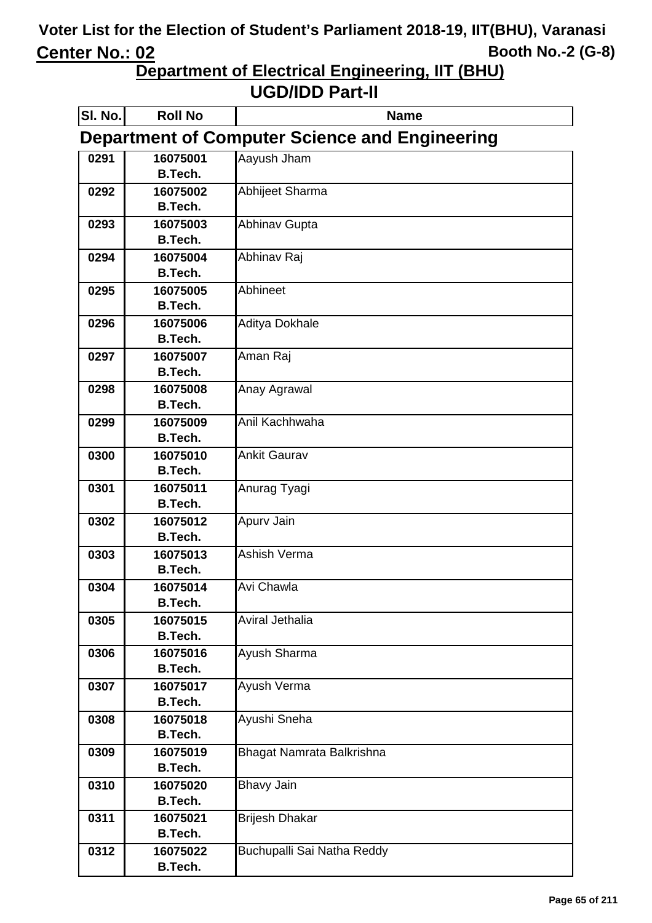**Department of Electrical Engineering, IIT (BHU)**

| SI. No. | <b>Roll No</b>                                        | <b>Name</b>                |  |  |
|---------|-------------------------------------------------------|----------------------------|--|--|
|         | <b>Department of Computer Science and Engineering</b> |                            |  |  |
| 0291    | 16075001                                              | Aayush Jham                |  |  |
|         | <b>B.Tech.</b>                                        |                            |  |  |
| 0292    | 16075002                                              | Abhijeet Sharma            |  |  |
|         | <b>B.Tech.</b>                                        |                            |  |  |
| 0293    | 16075003                                              | <b>Abhinav Gupta</b>       |  |  |
|         | <b>B.Tech.</b>                                        |                            |  |  |
| 0294    | 16075004                                              | Abhinav Raj                |  |  |
|         | <b>B.Tech.</b>                                        |                            |  |  |
| 0295    | 16075005                                              | Abhineet                   |  |  |
|         | <b>B.Tech.</b>                                        |                            |  |  |
| 0296    | 16075006                                              | Aditya Dokhale             |  |  |
|         | <b>B.Tech.</b>                                        |                            |  |  |
| 0297    | 16075007                                              | Aman Raj                   |  |  |
|         | B.Tech.                                               |                            |  |  |
| 0298    | 16075008                                              | Anay Agrawal               |  |  |
|         | <b>B.Tech.</b>                                        |                            |  |  |
| 0299    | 16075009                                              | Anil Kachhwaha             |  |  |
|         | <b>B.Tech.</b>                                        |                            |  |  |
| 0300    | 16075010                                              | <b>Ankit Gaurav</b>        |  |  |
|         | <b>B.Tech.</b>                                        |                            |  |  |
| 0301    | 16075011<br><b>B.Tech.</b>                            | Anurag Tyagi               |  |  |
|         |                                                       |                            |  |  |
| 0302    | 16075012<br><b>B.Tech.</b>                            | Apurv Jain                 |  |  |
| 0303    | 16075013                                              | Ashish Verma               |  |  |
|         | <b>B.Tech.</b>                                        |                            |  |  |
| 0304    | 16075014                                              | Avi Chawla                 |  |  |
|         | B.Tech.                                               |                            |  |  |
| 0305    | 16075015                                              | Aviral Jethalia            |  |  |
|         | <b>B.Tech.</b>                                        |                            |  |  |
| 0306    | 16075016                                              | Ayush Sharma               |  |  |
|         | <b>B.Tech.</b>                                        |                            |  |  |
| 0307    | 16075017                                              | Ayush Verma                |  |  |
|         | <b>B.Tech.</b>                                        |                            |  |  |
| 0308    | 16075018                                              | Ayushi Sneha               |  |  |
|         | B.Tech.                                               |                            |  |  |
| 0309    | 16075019                                              | Bhagat Namrata Balkrishna  |  |  |
|         | <b>B.Tech.</b>                                        |                            |  |  |
| 0310    | 16075020                                              | <b>Bhavy Jain</b>          |  |  |
|         | B.Tech.                                               |                            |  |  |
| 0311    | 16075021                                              | <b>Brijesh Dhakar</b>      |  |  |
|         | <b>B.Tech.</b>                                        |                            |  |  |
| 0312    | 16075022                                              | Buchupalli Sai Natha Reddy |  |  |
|         | <b>B.Tech.</b>                                        |                            |  |  |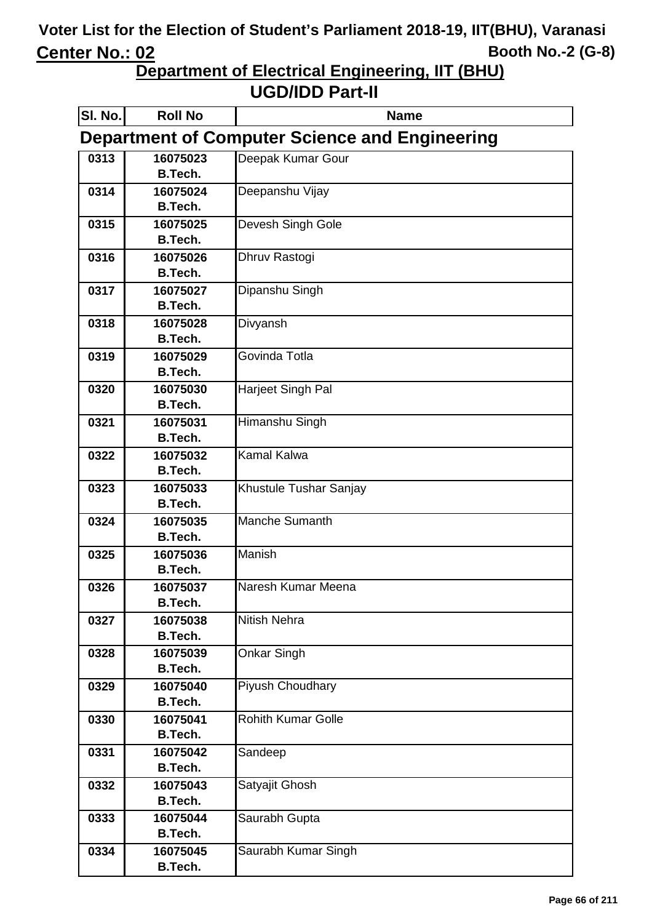**Department of Electrical Engineering, IIT (BHU)**

| SI. No. | <b>Roll No</b>                                        | <b>Name</b>               |  |  |
|---------|-------------------------------------------------------|---------------------------|--|--|
|         | <b>Department of Computer Science and Engineering</b> |                           |  |  |
| 0313    | 16075023                                              | Deepak Kumar Gour         |  |  |
|         | <b>B.Tech.</b>                                        |                           |  |  |
| 0314    | 16075024                                              | Deepanshu Vijay           |  |  |
|         | <b>B.Tech.</b>                                        |                           |  |  |
| 0315    | 16075025                                              | Devesh Singh Gole         |  |  |
|         | B.Tech.                                               |                           |  |  |
| 0316    | 16075026                                              | Dhruv Rastogi             |  |  |
|         | <b>B.Tech.</b>                                        |                           |  |  |
| 0317    | 16075027                                              | Dipanshu Singh            |  |  |
|         | <b>B.Tech.</b>                                        |                           |  |  |
| 0318    | 16075028                                              | Divyansh                  |  |  |
|         | <b>B.Tech.</b>                                        |                           |  |  |
| 0319    | 16075029                                              | Govinda Totla             |  |  |
|         | B.Tech.                                               |                           |  |  |
| 0320    | 16075030                                              | Harjeet Singh Pal         |  |  |
|         | <b>B.Tech.</b>                                        |                           |  |  |
| 0321    | 16075031                                              | Himanshu Singh            |  |  |
|         | <b>B.Tech.</b>                                        |                           |  |  |
| 0322    | 16075032                                              | <b>Kamal Kalwa</b>        |  |  |
|         | <b>B.Tech.</b>                                        |                           |  |  |
| 0323    | 16075033<br><b>B.Tech.</b>                            | Khustule Tushar Sanjay    |  |  |
|         |                                                       | <b>Manche Sumanth</b>     |  |  |
| 0324    | 16075035<br><b>B.Tech.</b>                            |                           |  |  |
|         | 16075036                                              | <b>Manish</b>             |  |  |
| 0325    | <b>B.Tech.</b>                                        |                           |  |  |
| 0326    | 16075037                                              | Naresh Kumar Meena        |  |  |
|         | B.Tech.                                               |                           |  |  |
| 0327    | 16075038                                              | <b>Nitish Nehra</b>       |  |  |
|         | <b>B.Tech.</b>                                        |                           |  |  |
| 0328    | 16075039                                              | Onkar Singh               |  |  |
|         | <b>B.Tech.</b>                                        |                           |  |  |
| 0329    | 16075040                                              | Piyush Choudhary          |  |  |
|         | <b>B.Tech.</b>                                        |                           |  |  |
| 0330    | 16075041                                              | <b>Rohith Kumar Golle</b> |  |  |
|         | B.Tech.                                               |                           |  |  |
| 0331    | 16075042                                              | Sandeep                   |  |  |
|         | <b>B.Tech.</b>                                        |                           |  |  |
| 0332    | 16075043                                              | Satyajit Ghosh            |  |  |
|         | <b>B.Tech.</b>                                        |                           |  |  |
| 0333    | 16075044                                              | Saurabh Gupta             |  |  |
|         | B.Tech.                                               |                           |  |  |
| 0334    | 16075045                                              | Saurabh Kumar Singh       |  |  |
|         | <b>B.Tech.</b>                                        |                           |  |  |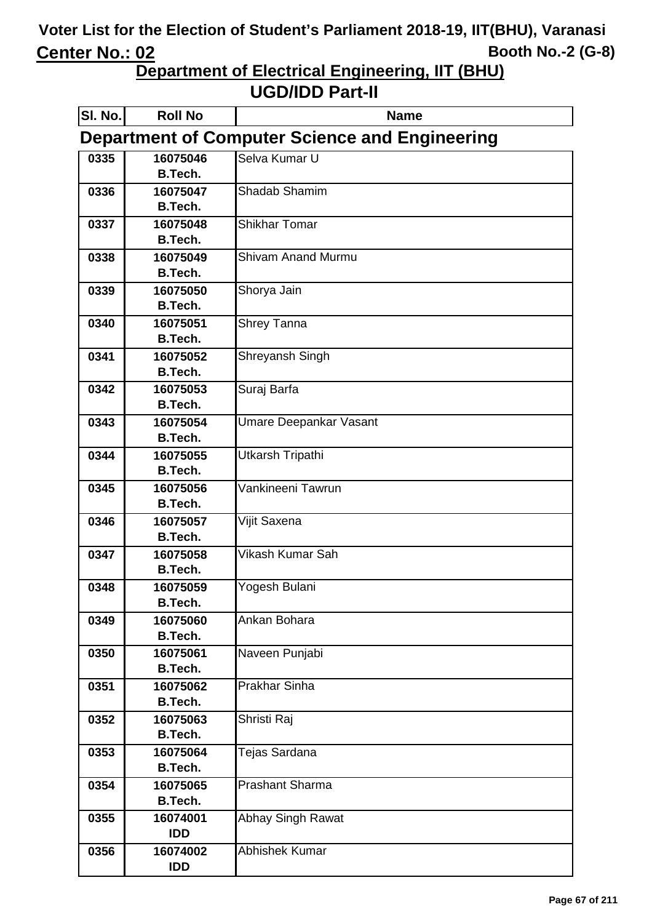**Department of Electrical Engineering, IIT (BHU)**

| SI. No. | <b>Roll No</b>                                        | <b>Name</b>               |  |  |  |
|---------|-------------------------------------------------------|---------------------------|--|--|--|
|         | <b>Department of Computer Science and Engineering</b> |                           |  |  |  |
| 0335    | 16075046                                              | Selva Kumar U             |  |  |  |
|         | <b>B.Tech.</b>                                        |                           |  |  |  |
| 0336    | 16075047                                              | Shadab Shamim             |  |  |  |
|         | <b>B.Tech.</b>                                        |                           |  |  |  |
| 0337    | 16075048                                              | <b>Shikhar Tomar</b>      |  |  |  |
|         | B.Tech.                                               |                           |  |  |  |
| 0338    | 16075049                                              | <b>Shivam Anand Murmu</b> |  |  |  |
|         | <b>B.Tech.</b>                                        |                           |  |  |  |
| 0339    | 16075050                                              | Shorya Jain               |  |  |  |
|         | <b>B.Tech.</b>                                        |                           |  |  |  |
| 0340    | 16075051                                              | Shrey Tanna               |  |  |  |
|         | <b>B.Tech.</b>                                        |                           |  |  |  |
| 0341    | 16075052                                              | Shreyansh Singh           |  |  |  |
|         | B.Tech.                                               |                           |  |  |  |
| 0342    | 16075053                                              | Suraj Barfa               |  |  |  |
|         | <b>B.Tech.</b>                                        |                           |  |  |  |
| 0343    | 16075054                                              | Umare Deepankar Vasant    |  |  |  |
|         | <b>B.Tech.</b>                                        |                           |  |  |  |
| 0344    | 16075055                                              | Utkarsh Tripathi          |  |  |  |
|         | <b>B.Tech.</b>                                        |                           |  |  |  |
| 0345    | 16075056                                              | Vankineeni Tawrun         |  |  |  |
|         | <b>B.Tech.</b>                                        |                           |  |  |  |
| 0346    | 16075057                                              | Vijit Saxena              |  |  |  |
|         | <b>B.Tech.</b>                                        | Vikash Kumar Sah          |  |  |  |
| 0347    | 16075058<br><b>B.Tech.</b>                            |                           |  |  |  |
| 0348    | 16075059                                              |                           |  |  |  |
|         | B.Tech.                                               | Yogesh Bulani             |  |  |  |
| 0349    | 16075060                                              | Ankan Bohara              |  |  |  |
|         | <b>B.Tech.</b>                                        |                           |  |  |  |
| 0350    | 16075061                                              | Naveen Punjabi            |  |  |  |
|         | <b>B.Tech.</b>                                        |                           |  |  |  |
| 0351    | 16075062                                              | <b>Prakhar Sinha</b>      |  |  |  |
|         | <b>B.Tech.</b>                                        |                           |  |  |  |
| 0352    | 16075063                                              | Shristi Raj               |  |  |  |
|         | B.Tech.                                               |                           |  |  |  |
| 0353    | 16075064                                              | Tejas Sardana             |  |  |  |
|         | <b>B.Tech.</b>                                        |                           |  |  |  |
| 0354    | 16075065                                              | <b>Prashant Sharma</b>    |  |  |  |
|         | <b>B.Tech.</b>                                        |                           |  |  |  |
| 0355    | 16074001                                              | Abhay Singh Rawat         |  |  |  |
|         | IDD                                                   |                           |  |  |  |
| 0356    | 16074002                                              | Abhishek Kumar            |  |  |  |
|         | <b>IDD</b>                                            |                           |  |  |  |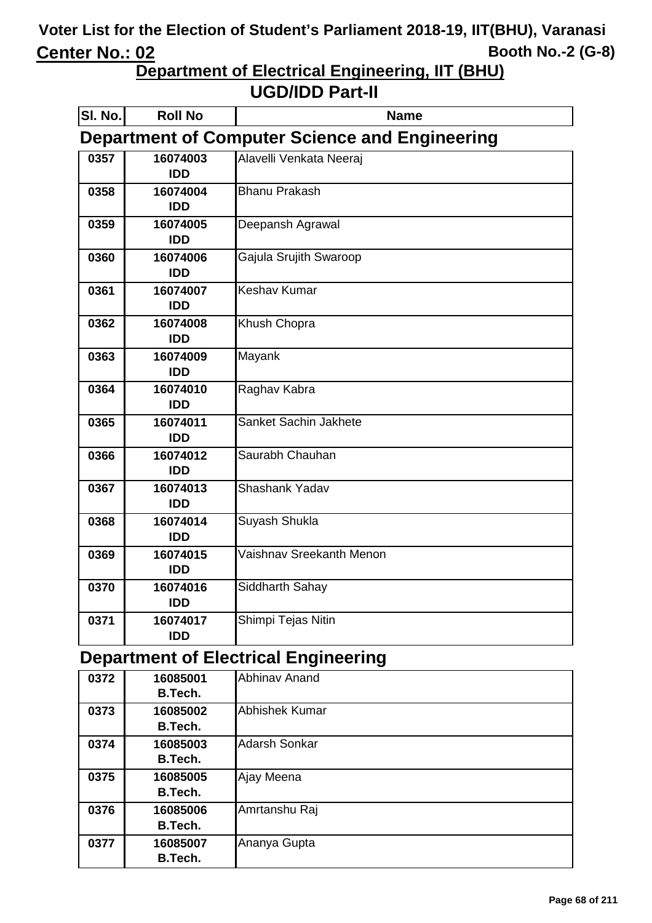**Department of Electrical Engineering, IIT (BHU)**

#### **UGD/IDD Part-II**

| SI. No. | <b>Roll No</b>                                        | <b>Name</b>              |  |
|---------|-------------------------------------------------------|--------------------------|--|
|         | <b>Department of Computer Science and Engineering</b> |                          |  |
| 0357    | 16074003<br><b>IDD</b>                                | Alavelli Venkata Neeraj  |  |
| 0358    | 16074004<br><b>IDD</b>                                | <b>Bhanu Prakash</b>     |  |
| 0359    | 16074005<br><b>IDD</b>                                | Deepansh Agrawal         |  |
| 0360    | 16074006<br><b>IDD</b>                                | Gajula Srujith Swaroop   |  |
| 0361    | 16074007<br><b>IDD</b>                                | <b>Keshav Kumar</b>      |  |
| 0362    | 16074008<br><b>IDD</b>                                | Khush Chopra             |  |
| 0363    | 16074009<br><b>IDD</b>                                | Mayank                   |  |
| 0364    | 16074010<br><b>IDD</b>                                | Raghav Kabra             |  |
| 0365    | 16074011<br><b>IDD</b>                                | Sanket Sachin Jakhete    |  |
| 0366    | 16074012<br><b>IDD</b>                                | Saurabh Chauhan          |  |
| 0367    | 16074013<br><b>IDD</b>                                | <b>Shashank Yadav</b>    |  |
| 0368    | 16074014<br><b>IDD</b>                                | Suyash Shukla            |  |
| 0369    | 16074015<br><b>IDD</b>                                | Vaishnav Sreekanth Menon |  |
| 0370    | 16074016<br><b>IDD</b>                                | Siddharth Sahay          |  |
| 0371    | 16074017<br><b>IDD</b>                                | Shimpi Tejas Nitin       |  |

#### **Department of Electrical Engineering**

| 0372 | 16085001 | <b>Abhinav Anand</b>  |
|------|----------|-----------------------|
|      | B.Tech.  |                       |
| 0373 | 16085002 | <b>Abhishek Kumar</b> |
|      | B.Tech.  |                       |
| 0374 | 16085003 | <b>Adarsh Sonkar</b>  |
|      | B.Tech.  |                       |
| 0375 | 16085005 | Ajay Meena            |
|      | B.Tech.  |                       |
| 0376 | 16085006 | Amrtanshu Raj         |
|      | B.Tech.  |                       |
| 0377 | 16085007 | Ananya Gupta          |
|      | B.Tech.  |                       |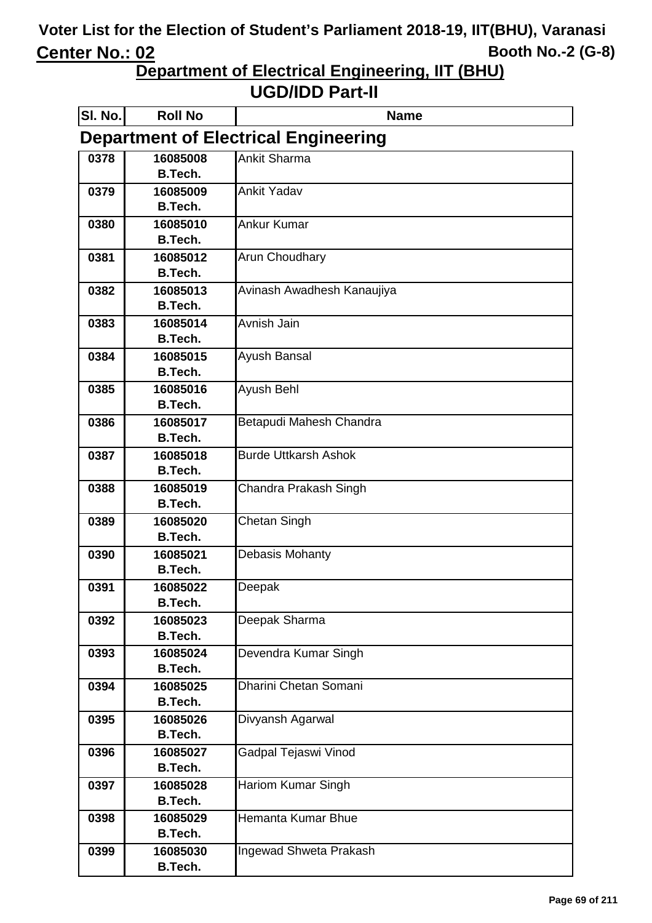**Department of Electrical Engineering, IIT (BHU)**

| SI. No.                                     | <b>Roll No</b>             | <b>Name</b>                 |  |
|---------------------------------------------|----------------------------|-----------------------------|--|
| <b>Department of Electrical Engineering</b> |                            |                             |  |
| 0378                                        | 16085008                   | <b>Ankit Sharma</b>         |  |
|                                             | <b>B.Tech.</b>             |                             |  |
| 0379                                        | 16085009                   | <b>Ankit Yadav</b>          |  |
|                                             | <b>B.Tech.</b>             |                             |  |
| 0380                                        | 16085010                   | <b>Ankur Kumar</b>          |  |
|                                             | <b>B.Tech.</b>             |                             |  |
| 0381                                        | 16085012                   | Arun Choudhary              |  |
|                                             | <b>B.Tech.</b>             |                             |  |
| 0382                                        | 16085013                   | Avinash Awadhesh Kanaujiya  |  |
|                                             | <b>B.Tech.</b>             |                             |  |
| 0383                                        | 16085014                   | Avnish Jain                 |  |
|                                             | <b>B.Tech.</b>             |                             |  |
| 0384                                        | 16085015<br><b>B.Tech.</b> | Ayush Bansal                |  |
|                                             |                            |                             |  |
| 0385                                        | 16085016<br><b>B.Tech.</b> | Ayush Behl                  |  |
| 0386                                        | 16085017                   | Betapudi Mahesh Chandra     |  |
|                                             | <b>B.Tech.</b>             |                             |  |
| 0387                                        | 16085018                   | <b>Burde Uttkarsh Ashok</b> |  |
|                                             | <b>B.Tech.</b>             |                             |  |
| 0388                                        | 16085019                   | Chandra Prakash Singh       |  |
|                                             | <b>B.Tech.</b>             |                             |  |
| 0389                                        | 16085020                   | Chetan Singh                |  |
|                                             | <b>B.Tech.</b>             |                             |  |
| 0390                                        | 16085021                   | Debasis Mohanty             |  |
|                                             | <b>B.Tech.</b>             |                             |  |
| 0391                                        | 16085022                   | Deepak                      |  |
|                                             | <b>B.Tech.</b>             |                             |  |
| 0392                                        | 16085023                   | Deepak Sharma               |  |
|                                             | <b>B.Tech.</b>             |                             |  |
| 0393                                        | 16085024                   | Devendra Kumar Singh        |  |
|                                             | <b>B.Tech.</b>             |                             |  |
| 0394                                        | 16085025                   | Dharini Chetan Somani       |  |
|                                             | <b>B.Tech.</b>             |                             |  |
| 0395                                        | 16085026                   | Divyansh Agarwal            |  |
|                                             | <b>B.Tech.</b>             |                             |  |
| 0396                                        | 16085027<br><b>B.Tech.</b> | Gadpal Tejaswi Vinod        |  |
|                                             |                            |                             |  |
| 0397                                        | 16085028<br><b>B.Tech.</b> | <b>Hariom Kumar Singh</b>   |  |
| 0398                                        | 16085029                   | Hemanta Kumar Bhue          |  |
|                                             | <b>B.Tech.</b>             |                             |  |
| 0399                                        | 16085030                   | Ingewad Shweta Prakash      |  |
|                                             | <b>B.Tech.</b>             |                             |  |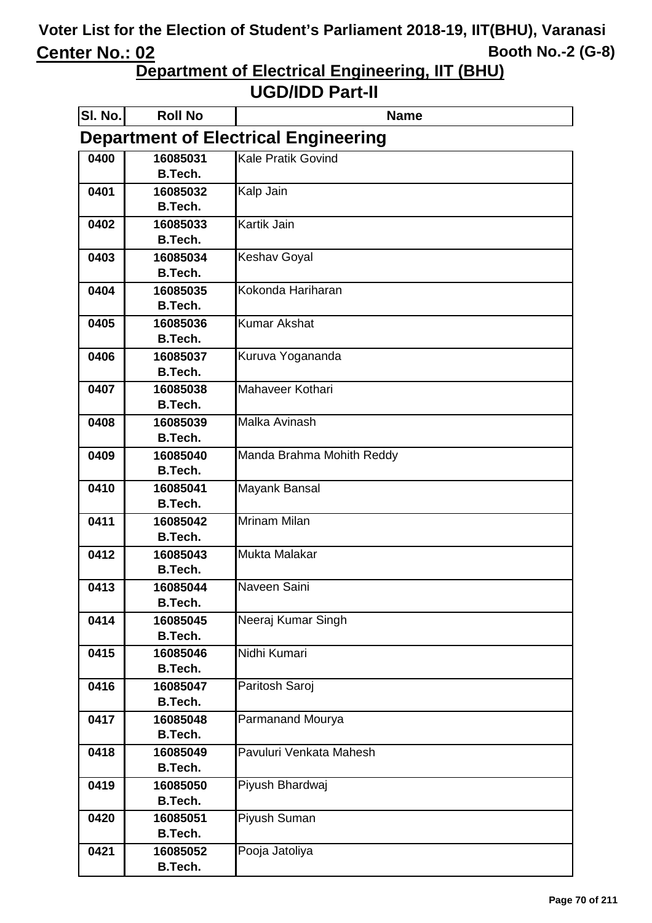**Department of Electrical Engineering, IIT (BHU)**

| SI. No. | <b>Roll No</b>             | <b>Name</b>                                 |
|---------|----------------------------|---------------------------------------------|
|         |                            | <b>Department of Electrical Engineering</b> |
| 0400    | 16085031                   | Kale Pratik Govind                          |
|         | <b>B.Tech.</b>             |                                             |
| 0401    | 16085032                   | Kalp Jain                                   |
|         | <b>B.Tech.</b>             |                                             |
| 0402    | 16085033                   | Kartik Jain                                 |
|         | <b>B.Tech.</b>             |                                             |
| 0403    | 16085034<br><b>B.Tech.</b> | <b>Keshav Goyal</b>                         |
|         |                            | Kokonda Hariharan                           |
| 0404    | 16085035<br><b>B.Tech.</b> |                                             |
| 0405    | 16085036                   | <b>Kumar Akshat</b>                         |
|         | <b>B.Tech.</b>             |                                             |
| 0406    | 16085037                   | Kuruva Yogananda                            |
|         | <b>B.Tech.</b>             |                                             |
| 0407    | 16085038                   | Mahaveer Kothari                            |
|         | <b>B.Tech.</b>             |                                             |
| 0408    | 16085039                   | Malka Avinash                               |
|         | <b>B.Tech.</b>             |                                             |
| 0409    | 16085040                   | Manda Brahma Mohith Reddy                   |
|         | <b>B.Tech.</b>             |                                             |
| 0410    | 16085041                   | Mayank Bansal                               |
|         | <b>B.Tech.</b>             |                                             |
| 0411    | 16085042                   | <b>Mrinam Milan</b>                         |
|         | <b>B.Tech.</b>             |                                             |
| 0412    | 16085043<br><b>B.Tech.</b> | Mukta Malakar                               |
| 0413    | 16085044                   | Naveen Saini                                |
|         | <b>B.Tech.</b>             |                                             |
| 0414    | 16085045                   | Neeraj Kumar Singh                          |
|         | <b>B.Tech.</b>             |                                             |
| 0415    | 16085046                   | Nidhi Kumari                                |
|         | <b>B.Tech.</b>             |                                             |
| 0416    | 16085047                   | Paritosh Saroj                              |
|         | <b>B.Tech.</b>             |                                             |
| 0417    | 16085048                   | Parmanand Mourya                            |
|         | <b>B.Tech.</b>             |                                             |
| 0418    | 16085049                   | Pavuluri Venkata Mahesh                     |
|         | <b>B.Tech.</b>             |                                             |
| 0419    | 16085050                   | Piyush Bhardwaj                             |
|         | <b>B.Tech.</b>             |                                             |
| 0420    | 16085051                   | Piyush Suman                                |
|         | <b>B.Tech.</b>             |                                             |
| 0421    | 16085052<br><b>B.Tech.</b> | Pooja Jatoliya                              |
|         |                            |                                             |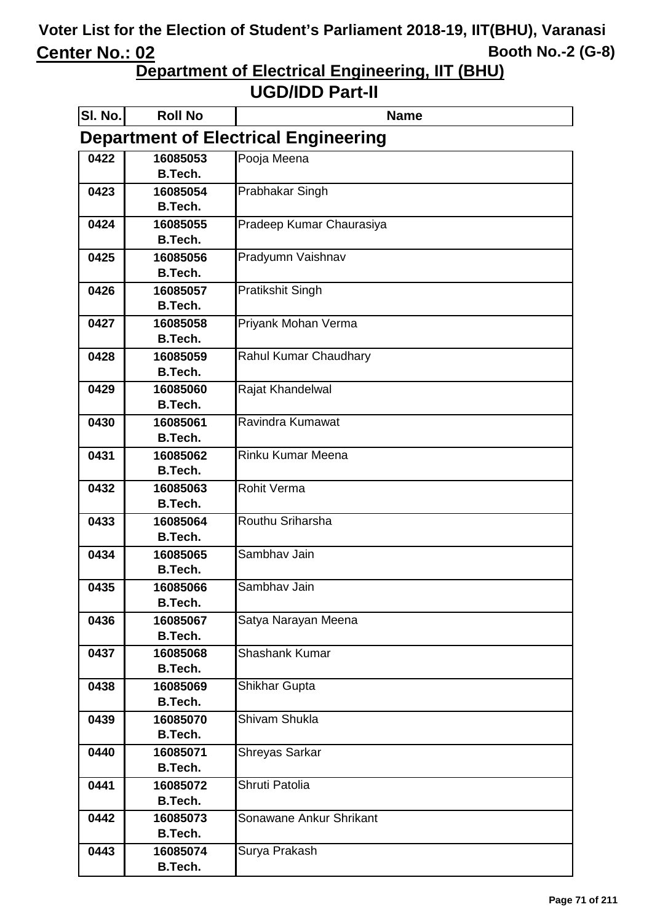**Department of Electrical Engineering, IIT (BHU)**

| SI. No.                                     | <b>Roll No</b>             | <b>Name</b>              |  |  |
|---------------------------------------------|----------------------------|--------------------------|--|--|
| <b>Department of Electrical Engineering</b> |                            |                          |  |  |
| 0422                                        | 16085053                   | Pooja Meena              |  |  |
|                                             | B.Tech.                    |                          |  |  |
| 0423                                        | 16085054                   | Prabhakar Singh          |  |  |
|                                             | <b>B.Tech.</b>             |                          |  |  |
| 0424                                        | 16085055                   | Pradeep Kumar Chaurasiya |  |  |
|                                             | <b>B.Tech.</b>             |                          |  |  |
| 0425                                        | 16085056                   | Pradyumn Vaishnav        |  |  |
|                                             | <b>B.Tech.</b>             |                          |  |  |
| 0426                                        | 16085057<br><b>B.Tech.</b> | <b>Pratikshit Singh</b>  |  |  |
|                                             |                            |                          |  |  |
| 0427                                        | 16085058<br><b>B.Tech.</b> | Priyank Mohan Verma      |  |  |
| 0428                                        | 16085059                   | Rahul Kumar Chaudhary    |  |  |
|                                             | <b>B.Tech.</b>             |                          |  |  |
| 0429                                        | 16085060                   | Rajat Khandelwal         |  |  |
|                                             | <b>B.Tech.</b>             |                          |  |  |
| 0430                                        | 16085061                   | Ravindra Kumawat         |  |  |
|                                             | <b>B.Tech.</b>             |                          |  |  |
| 0431                                        | 16085062                   | <b>Rinku Kumar Meena</b> |  |  |
|                                             | <b>B.Tech.</b>             |                          |  |  |
| 0432                                        | 16085063                   | <b>Rohit Verma</b>       |  |  |
|                                             | B.Tech.                    |                          |  |  |
| 0433                                        | 16085064                   | Routhu Sriharsha         |  |  |
|                                             | <b>B.Tech.</b>             |                          |  |  |
| 0434                                        | 16085065                   | Sambhav Jain             |  |  |
|                                             | <b>B.Tech.</b>             |                          |  |  |
| 0435                                        | 16085066                   | Sambhav Jain             |  |  |
|                                             | <b>B.Tech.</b><br>16085067 |                          |  |  |
| 0436                                        | <b>B.Tech.</b>             | Satya Narayan Meena      |  |  |
| 0437                                        | 16085068                   | <b>Shashank Kumar</b>    |  |  |
|                                             | <b>B.Tech.</b>             |                          |  |  |
| 0438                                        | 16085069                   | Shikhar Gupta            |  |  |
|                                             | <b>B.Tech.</b>             |                          |  |  |
| 0439                                        | 16085070                   | Shivam Shukla            |  |  |
|                                             | <b>B.Tech.</b>             |                          |  |  |
| 0440                                        | 16085071                   | Shreyas Sarkar           |  |  |
|                                             | <b>B.Tech.</b>             |                          |  |  |
| 0441                                        | 16085072                   | Shruti Patolia           |  |  |
|                                             | <b>B.Tech.</b>             |                          |  |  |
| 0442                                        | 16085073                   | Sonawane Ankur Shrikant  |  |  |
|                                             | <b>B.Tech.</b>             |                          |  |  |
| 0443                                        | 16085074                   | Surya Prakash            |  |  |
|                                             | <b>B.Tech.</b>             |                          |  |  |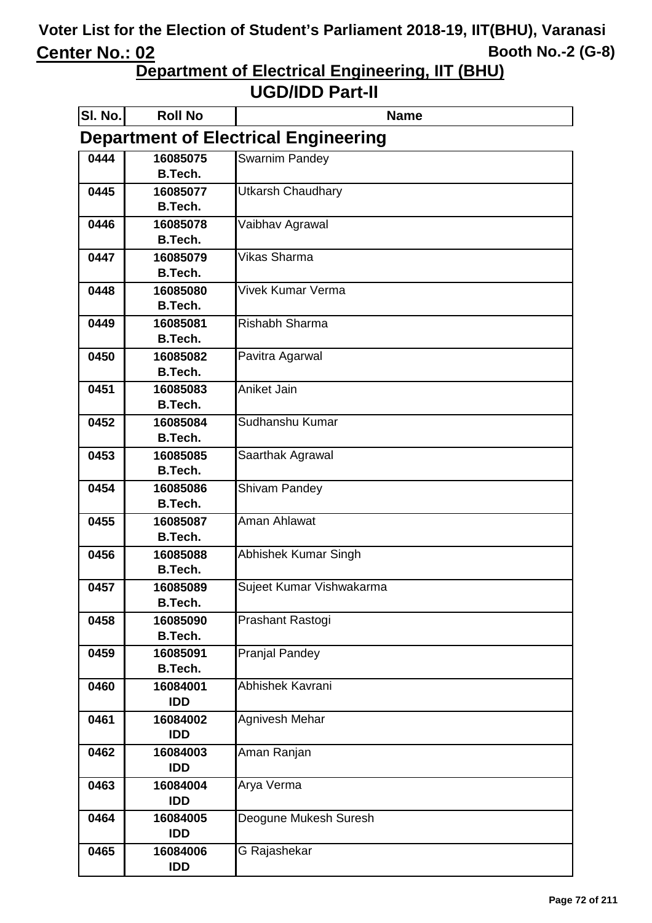**Department of Electrical Engineering, IIT (BHU)**

| SI. No. | <b>Roll No</b>             | <b>Name</b>                                 |
|---------|----------------------------|---------------------------------------------|
|         |                            | <b>Department of Electrical Engineering</b> |
| 0444    | 16085075                   | Swarnim Pandey                              |
|         | <b>B.Tech.</b>             |                                             |
| 0445    | 16085077                   | <b>Utkarsh Chaudhary</b>                    |
|         | <b>B.Tech.</b>             |                                             |
| 0446    | 16085078<br><b>B.Tech.</b> | Vaibhav Agrawal                             |
| 0447    | 16085079                   | Vikas Sharma                                |
|         | <b>B.Tech.</b>             |                                             |
| 0448    | 16085080                   | Vivek Kumar Verma                           |
|         | <b>B.Tech.</b>             |                                             |
| 0449    | 16085081                   | <b>Rishabh Sharma</b>                       |
|         | <b>B.Tech.</b>             |                                             |
| 0450    | 16085082                   | Pavitra Agarwal                             |
|         | B.Tech.                    |                                             |
| 0451    | 16085083                   | <b>Aniket Jain</b>                          |
|         | B.Tech.                    |                                             |
| 0452    | 16085084<br><b>B.Tech.</b> | Sudhanshu Kumar                             |
| 0453    | 16085085                   |                                             |
|         | <b>B.Tech.</b>             | Saarthak Agrawal                            |
| 0454    | 16085086                   | Shivam Pandey                               |
|         | <b>B.Tech.</b>             |                                             |
| 0455    | 16085087                   | Aman Ahlawat                                |
|         | <b>B.Tech.</b>             |                                             |
| 0456    | 16085088                   | Abhishek Kumar Singh                        |
|         | <b>B.Tech.</b>             |                                             |
| 0457    | 16085089                   | Sujeet Kumar Vishwakarma                    |
|         | <b>B.Tech.</b>             |                                             |
| 0458    | 16085090                   | Prashant Rastogi                            |
|         | <b>B.Tech.</b>             |                                             |
| 0459    | 16085091<br><b>B.Tech.</b> | <b>Pranjal Pandey</b>                       |
| 0460    | 16084001                   | Abhishek Kavrani                            |
|         | <b>IDD</b>                 |                                             |
| 0461    | 16084002                   | Agnivesh Mehar                              |
|         | <b>IDD</b>                 |                                             |
| 0462    | 16084003                   | Aman Ranjan                                 |
|         | <b>IDD</b>                 |                                             |
| 0463    | 16084004                   | Arya Verma                                  |
|         | <b>IDD</b>                 |                                             |
| 0464    | 16084005                   | Deogune Mukesh Suresh                       |
|         | <b>IDD</b>                 |                                             |
| 0465    | 16084006<br><b>IDD</b>     | G Rajashekar                                |
|         |                            |                                             |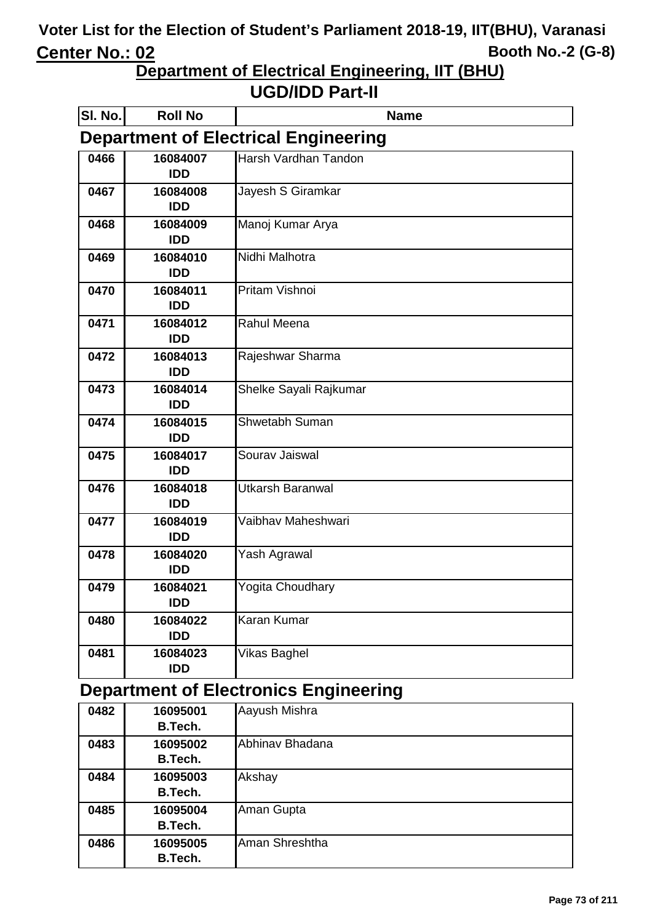**Department of Electrical Engineering, IIT (BHU)**

**UGD/IDD Part-II**

| SI. No. | <b>Roll No</b>         | <b>Name</b>                                 |
|---------|------------------------|---------------------------------------------|
|         |                        | <b>Department of Electrical Engineering</b> |
| 0466    | 16084007<br><b>IDD</b> | Harsh Vardhan Tandon                        |
| 0467    | 16084008<br><b>IDD</b> | Jayesh S Giramkar                           |
| 0468    | 16084009<br><b>IDD</b> | Manoj Kumar Arya                            |
| 0469    | 16084010<br><b>IDD</b> | Nidhi Malhotra                              |
| 0470    | 16084011<br><b>IDD</b> | <b>Pritam Vishnoi</b>                       |
| 0471    | 16084012<br><b>IDD</b> | Rahul Meena                                 |
| 0472    | 16084013<br><b>IDD</b> | Rajeshwar Sharma                            |
| 0473    | 16084014<br><b>IDD</b> | Shelke Sayali Rajkumar                      |
| 0474    | 16084015<br><b>IDD</b> | Shwetabh Suman                              |
| 0475    | 16084017<br><b>IDD</b> | Sourav Jaiswal                              |
| 0476    | 16084018<br><b>IDD</b> | <b>Utkarsh Baranwal</b>                     |
| 0477    | 16084019<br><b>IDD</b> | Vaibhav Maheshwari                          |
| 0478    | 16084020<br><b>IDD</b> | Yash Agrawal                                |
| 0479    | 16084021<br><b>IDD</b> | Yogita Choudhary                            |
| 0480    | 16084022<br><b>IDD</b> | <b>Karan Kumar</b>                          |
| 0481    | 16084023<br><b>IDD</b> | Vikas Baghel                                |

# **Department of Electronics Engineering**

| 0482 | 16095001       | Aayush Mishra   |
|------|----------------|-----------------|
|      | <b>B.Tech.</b> |                 |
| 0483 | 16095002       | Abhinav Bhadana |
|      | <b>B.Tech.</b> |                 |
| 0484 | 16095003       | Akshay          |
|      | <b>B.Tech.</b> |                 |
| 0485 | 16095004       | Aman Gupta      |
|      | <b>B.Tech.</b> |                 |
| 0486 | 16095005       | Aman Shreshtha  |
|      | <b>B.Tech.</b> |                 |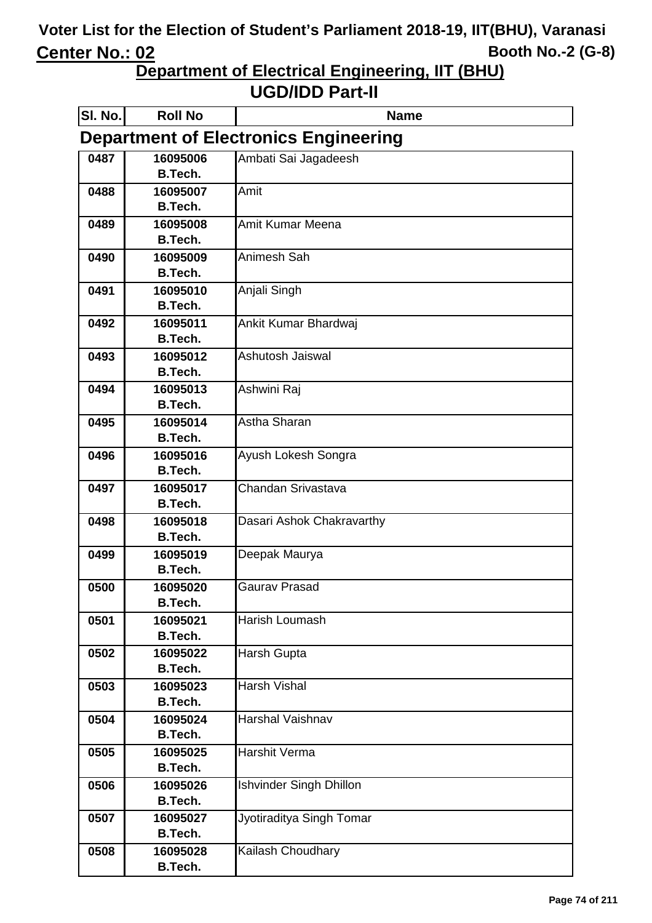**Department of Electrical Engineering, IIT (BHU)**

| SI. No.                                      | <b>Roll No</b>             | <b>Name</b>                    |  |
|----------------------------------------------|----------------------------|--------------------------------|--|
| <b>Department of Electronics Engineering</b> |                            |                                |  |
| 0487                                         | 16095006                   | Ambati Sai Jagadeesh           |  |
|                                              | <b>B.Tech.</b>             |                                |  |
| 0488                                         | 16095007                   | Amit                           |  |
|                                              | <b>B.Tech.</b>             |                                |  |
| 0489                                         | 16095008                   | <b>Amit Kumar Meena</b>        |  |
|                                              | <b>B.Tech.</b>             |                                |  |
| 0490                                         | 16095009                   | Animesh Sah                    |  |
|                                              | <b>B.Tech.</b>             |                                |  |
| 0491                                         | 16095010                   | Anjali Singh                   |  |
|                                              | <b>B.Tech.</b>             |                                |  |
| 0492                                         | 16095011<br><b>B.Tech.</b> | Ankit Kumar Bhardwaj           |  |
| 0493                                         | 16095012                   | Ashutosh Jaiswal               |  |
|                                              | <b>B.Tech.</b>             |                                |  |
| 0494                                         | 16095013                   | Ashwini Raj                    |  |
|                                              | <b>B.Tech.</b>             |                                |  |
| 0495                                         | 16095014                   | Astha Sharan                   |  |
|                                              | <b>B.Tech.</b>             |                                |  |
| 0496                                         | 16095016                   | Ayush Lokesh Songra            |  |
|                                              | <b>B.Tech.</b>             |                                |  |
| 0497                                         | 16095017                   | Chandan Srivastava             |  |
|                                              | <b>B.Tech.</b>             |                                |  |
| 0498                                         | 16095018                   | Dasari Ashok Chakravarthy      |  |
|                                              | <b>B.Tech.</b>             |                                |  |
| 0499                                         | 16095019                   | Deepak Maurya                  |  |
|                                              | <b>B.Tech.</b>             |                                |  |
| 0500                                         | 16095020                   | Gaurav Prasad                  |  |
|                                              | <b>B.Tech.</b>             |                                |  |
| 0501                                         | 16095021                   | Harish Loumash                 |  |
|                                              | <b>B.Tech.</b>             |                                |  |
| 0502                                         | 16095022                   | <b>Harsh Gupta</b>             |  |
|                                              | B.Tech.                    |                                |  |
| 0503                                         | 16095023<br><b>B.Tech.</b> | Harsh Vishal                   |  |
| 0504                                         | 16095024                   | Harshal Vaishnav               |  |
|                                              | <b>B.Tech.</b>             |                                |  |
| 0505                                         | 16095025                   | Harshit Verma                  |  |
|                                              | <b>B.Tech.</b>             |                                |  |
| 0506                                         | 16095026                   | <b>Ishvinder Singh Dhillon</b> |  |
|                                              | <b>B.Tech.</b>             |                                |  |
| 0507                                         | 16095027                   | Jyotiraditya Singh Tomar       |  |
|                                              | <b>B.Tech.</b>             |                                |  |
| 0508                                         | 16095028                   | Kailash Choudhary              |  |
|                                              | <b>B.Tech.</b>             |                                |  |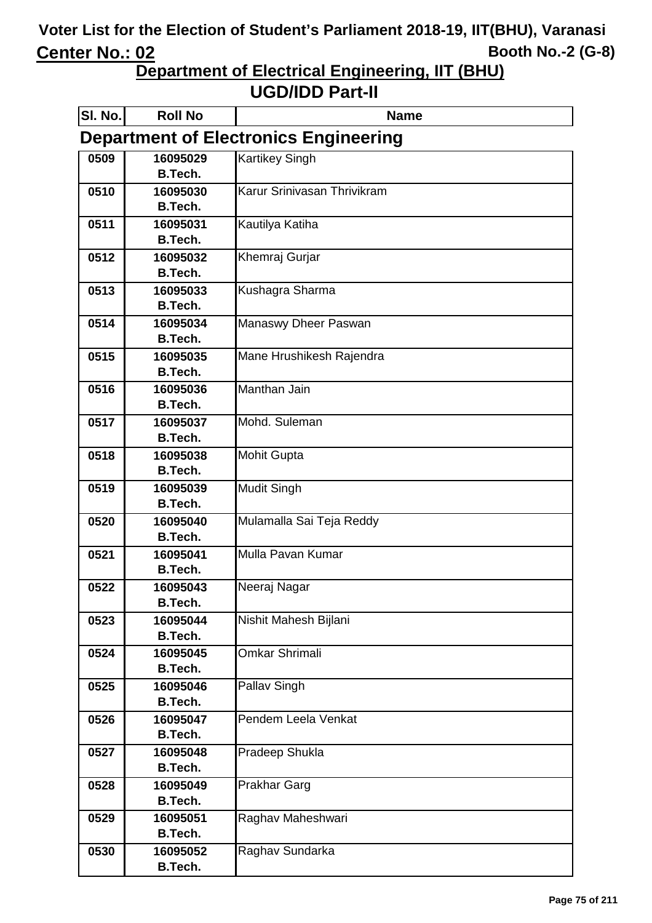**Department of Electrical Engineering, IIT (BHU)**

| SI. No.                                      | <b>Roll No</b>             | <b>Name</b>                 |  |  |
|----------------------------------------------|----------------------------|-----------------------------|--|--|
| <b>Department of Electronics Engineering</b> |                            |                             |  |  |
| 0509                                         | 16095029                   | <b>Kartikey Singh</b>       |  |  |
|                                              | <b>B.Tech.</b>             |                             |  |  |
| 0510                                         | 16095030                   | Karur Srinivasan Thrivikram |  |  |
|                                              | <b>B.Tech.</b>             |                             |  |  |
| 0511                                         | 16095031                   | Kautilya Katiha             |  |  |
|                                              | <b>B.Tech.</b>             |                             |  |  |
| 0512                                         | 16095032                   | Khemraj Gurjar              |  |  |
|                                              | <b>B.Tech.</b>             |                             |  |  |
| 0513                                         | 16095033                   | Kushagra Sharma             |  |  |
|                                              | <b>B.Tech.</b>             |                             |  |  |
| 0514                                         | 16095034                   | Manaswy Dheer Paswan        |  |  |
|                                              | <b>B.Tech.</b>             |                             |  |  |
| 0515                                         | 16095035                   | Mane Hrushikesh Rajendra    |  |  |
|                                              | <b>B.Tech.</b>             |                             |  |  |
| 0516                                         | 16095036<br><b>B.Tech.</b> | Manthan Jain                |  |  |
| 0517                                         | 16095037                   | Mohd. Suleman               |  |  |
|                                              | <b>B.Tech.</b>             |                             |  |  |
| 0518                                         | 16095038                   | <b>Mohit Gupta</b>          |  |  |
|                                              | <b>B.Tech.</b>             |                             |  |  |
| 0519                                         | 16095039                   | <b>Mudit Singh</b>          |  |  |
|                                              | <b>B.Tech.</b>             |                             |  |  |
| 0520                                         | 16095040                   | Mulamalla Sai Teja Reddy    |  |  |
|                                              | <b>B.Tech.</b>             |                             |  |  |
| 0521                                         | 16095041                   | Mulla Pavan Kumar           |  |  |
|                                              | <b>B.Tech.</b>             |                             |  |  |
| 0522                                         | 16095043                   | Neeraj Nagar                |  |  |
|                                              | <b>B.Tech.</b>             |                             |  |  |
| 0523                                         | 16095044                   | Nishit Mahesh Bijlani       |  |  |
|                                              | <b>B.Tech.</b>             |                             |  |  |
| 0524                                         | 16095045                   | Omkar Shrimali              |  |  |
|                                              | B.Tech.                    |                             |  |  |
| 0525                                         | 16095046                   | <b>Pallav Singh</b>         |  |  |
|                                              | <b>B.Tech.</b>             |                             |  |  |
| 0526                                         | 16095047                   | Pendem Leela Venkat         |  |  |
|                                              | <b>B.Tech.</b>             |                             |  |  |
| 0527                                         | 16095048                   | Pradeep Shukla              |  |  |
|                                              | <b>B.Tech.</b>             |                             |  |  |
| 0528                                         | 16095049                   | <b>Prakhar Garg</b>         |  |  |
|                                              | <b>B.Tech.</b>             |                             |  |  |
| 0529                                         | 16095051                   | Raghav Maheshwari           |  |  |
|                                              | <b>B.Tech.</b>             |                             |  |  |
| 0530                                         | 16095052                   | Raghav Sundarka             |  |  |
|                                              | <b>B.Tech.</b>             |                             |  |  |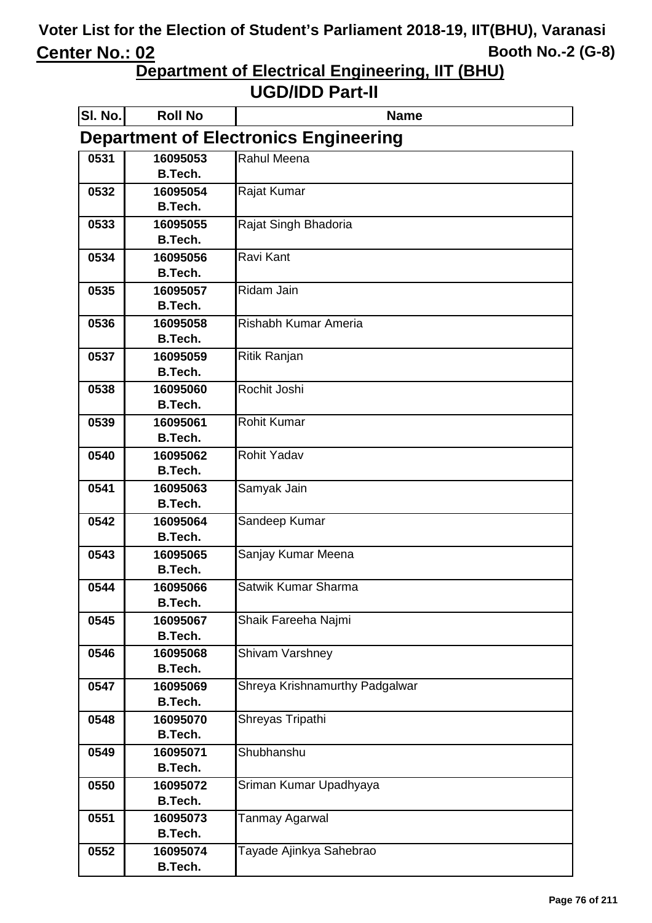**Department of Electrical Engineering, IIT (BHU)**

| SI. No.                                      | <b>Roll No</b>             | <b>Name</b>                    |  |  |
|----------------------------------------------|----------------------------|--------------------------------|--|--|
| <b>Department of Electronics Engineering</b> |                            |                                |  |  |
| 0531                                         | 16095053                   | Rahul Meena                    |  |  |
|                                              | <b>B.Tech.</b>             |                                |  |  |
| 0532                                         | 16095054                   | Rajat Kumar                    |  |  |
|                                              | <b>B.Tech.</b>             |                                |  |  |
| 0533                                         | 16095055                   | Rajat Singh Bhadoria           |  |  |
| 0534                                         | <b>B.Tech.</b><br>16095056 | Ravi Kant                      |  |  |
|                                              | <b>B.Tech.</b>             |                                |  |  |
| 0535                                         | 16095057                   | Ridam Jain                     |  |  |
|                                              | <b>B.Tech.</b>             |                                |  |  |
| 0536                                         | 16095058                   | Rishabh Kumar Ameria           |  |  |
|                                              | <b>B.Tech.</b>             |                                |  |  |
| 0537                                         | 16095059                   | Ritik Ranjan                   |  |  |
|                                              | <b>B.Tech.</b>             |                                |  |  |
| 0538                                         | 16095060                   | Rochit Joshi                   |  |  |
|                                              | <b>B.Tech.</b>             |                                |  |  |
| 0539                                         | 16095061                   | <b>Rohit Kumar</b>             |  |  |
|                                              | B.Tech.                    |                                |  |  |
| 0540                                         | 16095062                   | <b>Rohit Yadav</b>             |  |  |
|                                              | B.Tech.                    |                                |  |  |
| 0541                                         | 16095063                   | Samyak Jain                    |  |  |
|                                              | B.Tech.                    |                                |  |  |
| 0542                                         | 16095064<br><b>B.Tech.</b> | Sandeep Kumar                  |  |  |
| 0543                                         | 16095065                   | Sanjay Kumar Meena             |  |  |
|                                              | <b>B.Tech.</b>             |                                |  |  |
| 0544                                         | 16095066                   | Satwik Kumar Sharma            |  |  |
|                                              | <b>B.Tech.</b>             |                                |  |  |
| 0545                                         | 16095067                   | Shaik Fareeha Najmi            |  |  |
|                                              | <b>B.Tech.</b>             |                                |  |  |
| 0546                                         | 16095068                   | Shivam Varshney                |  |  |
|                                              | <b>B.Tech.</b>             |                                |  |  |
| 0547                                         | 16095069                   | Shreya Krishnamurthy Padgalwar |  |  |
|                                              | <b>B.Tech.</b>             |                                |  |  |
| 0548                                         | 16095070                   | Shreyas Tripathi               |  |  |
|                                              | <b>B.Tech.</b>             |                                |  |  |
| 0549                                         | 16095071                   | Shubhanshu                     |  |  |
|                                              | <b>B.Tech.</b>             |                                |  |  |
| 0550                                         | 16095072                   | Sriman Kumar Upadhyaya         |  |  |
|                                              | <b>B.Tech.</b>             |                                |  |  |
| 0551                                         | 16095073<br><b>B.Tech.</b> | Tanmay Agarwal                 |  |  |
| 0552                                         | 16095074                   | Tayade Ajinkya Sahebrao        |  |  |
|                                              | <b>B.Tech.</b>             |                                |  |  |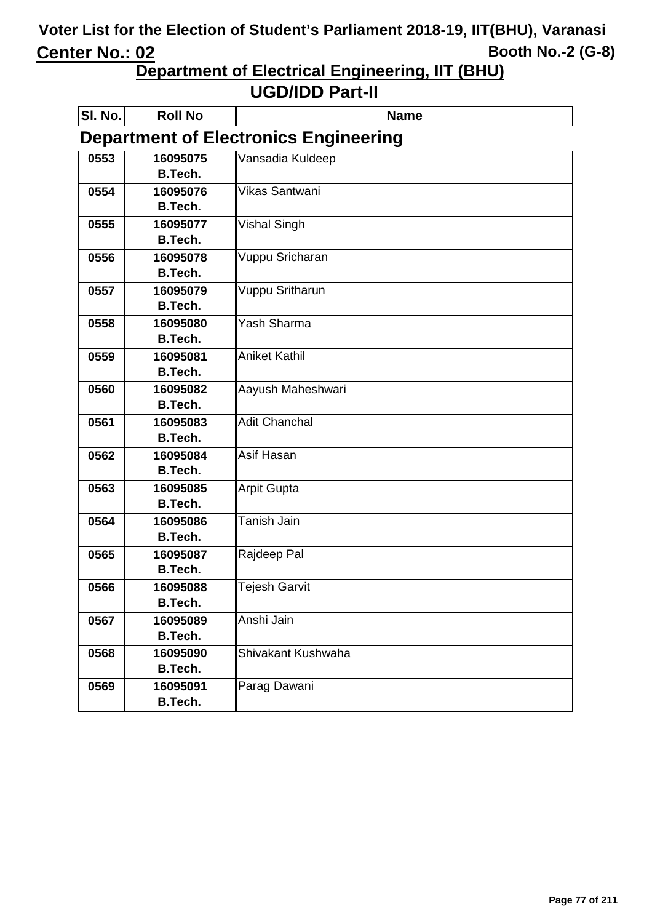**Department of Electrical Engineering, IIT (BHU)**

| <b>SI. No.</b> | <b>Roll No</b> | <b>Name</b>                                  |
|----------------|----------------|----------------------------------------------|
|                |                | <b>Department of Electronics Engineering</b> |
| 0553           | 16095075       | Vansadia Kuldeep                             |
|                | <b>B.Tech.</b> |                                              |
| 0554           | 16095076       | Vikas Santwani                               |
|                | <b>B.Tech.</b> |                                              |
| 0555           | 16095077       | Vishal Singh                                 |
|                | <b>B.Tech.</b> |                                              |
| 0556           | 16095078       | Vuppu Sricharan                              |
|                | <b>B.Tech.</b> |                                              |
| 0557           | 16095079       | Vuppu Sritharun                              |
|                | <b>B.Tech.</b> |                                              |
| 0558           | 16095080       | Yash Sharma                                  |
|                | B.Tech.        |                                              |
| 0559           | 16095081       | <b>Aniket Kathil</b>                         |
|                | <b>B.Tech.</b> |                                              |
| 0560           | 16095082       | Aayush Maheshwari                            |
|                | <b>B.Tech.</b> |                                              |
| 0561           | 16095083       | <b>Adit Chanchal</b>                         |
|                | <b>B.Tech.</b> |                                              |
| 0562           | 16095084       | Asif Hasan                                   |
|                | B.Tech.        |                                              |
| 0563           | 16095085       | <b>Arpit Gupta</b>                           |
|                | <b>B.Tech.</b> |                                              |
| 0564           | 16095086       | Tanish Jain                                  |
|                | B.Tech.        |                                              |
| 0565           | 16095087       | Rajdeep Pal                                  |
|                | <b>B.Tech.</b> |                                              |
| 0566           | 16095088       | Tejesh Garvit                                |
|                | <b>B.Tech.</b> |                                              |
| 0567           | 16095089       | Anshi Jain                                   |
|                | B.Tech.        |                                              |
| 0568           | 16095090       | Shivakant Kushwaha                           |
|                | <b>B.Tech.</b> |                                              |
| 0569           | 16095091       | Parag Dawani                                 |
|                | B.Tech.        |                                              |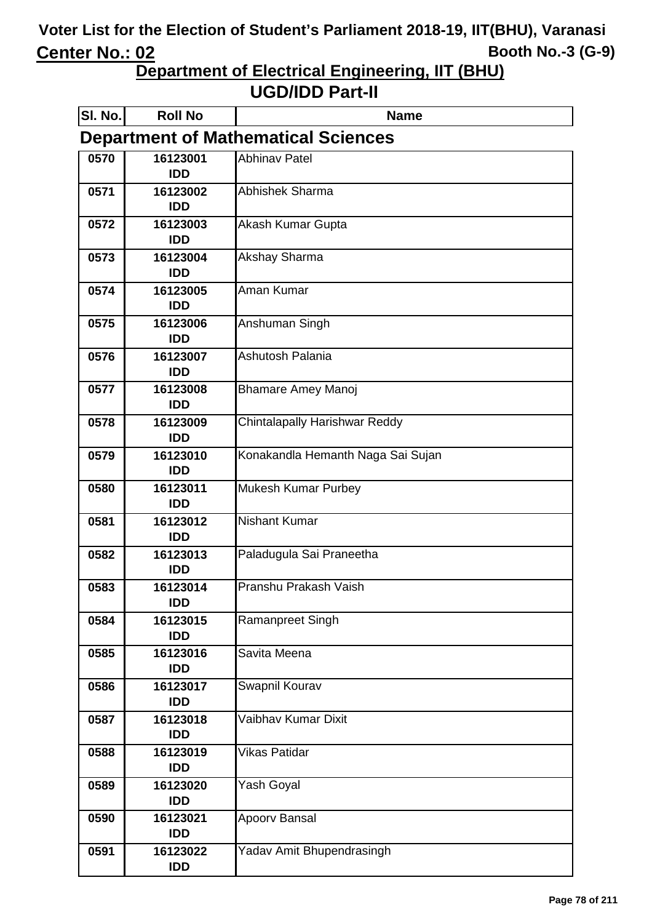**Department of Electrical Engineering, IIT (BHU)**

| SI. No.                                    | <b>Roll No</b>         | <b>Name</b>                       |  |  |
|--------------------------------------------|------------------------|-----------------------------------|--|--|
| <b>Department of Mathematical Sciences</b> |                        |                                   |  |  |
| 0570                                       | 16123001<br><b>IDD</b> | <b>Abhinav Patel</b>              |  |  |
| 0571                                       | 16123002<br><b>IDD</b> | Abhishek Sharma                   |  |  |
| 0572                                       | 16123003<br><b>IDD</b> | Akash Kumar Gupta                 |  |  |
| 0573                                       | 16123004<br><b>IDD</b> | Akshay Sharma                     |  |  |
| 0574                                       | 16123005<br><b>IDD</b> | Aman Kumar                        |  |  |
| 0575                                       | 16123006<br><b>IDD</b> | Anshuman Singh                    |  |  |
| 0576                                       | 16123007<br><b>IDD</b> | Ashutosh Palania                  |  |  |
| 0577                                       | 16123008<br><b>IDD</b> | <b>Bhamare Amey Manoj</b>         |  |  |
| 0578                                       | 16123009<br><b>IDD</b> | Chintalapally Harishwar Reddy     |  |  |
| 0579                                       | 16123010<br><b>IDD</b> | Konakandla Hemanth Naga Sai Sujan |  |  |
| 0580                                       | 16123011<br><b>IDD</b> | Mukesh Kumar Purbey               |  |  |
| 0581                                       | 16123012<br><b>IDD</b> | <b>Nishant Kumar</b>              |  |  |
| 0582                                       | 16123013<br><b>IDD</b> | Paladugula Sai Praneetha          |  |  |
| 0583                                       | 16123014<br><b>IDD</b> | Pranshu Prakash Vaish             |  |  |
| 0584                                       | 16123015<br><b>IDD</b> | Ramanpreet Singh                  |  |  |
| 0585                                       | 16123016<br><b>IDD</b> | Savita Meena                      |  |  |
| 0586                                       | 16123017<br><b>IDD</b> | Swapnil Kourav                    |  |  |
| 0587                                       | 16123018<br><b>IDD</b> | Vaibhav Kumar Dixit               |  |  |
| 0588                                       | 16123019<br><b>IDD</b> | Vikas Patidar                     |  |  |
| 0589                                       | 16123020<br><b>IDD</b> | Yash Goyal                        |  |  |
| 0590                                       | 16123021<br><b>IDD</b> | Apoorv Bansal                     |  |  |
| 0591                                       | 16123022<br><b>IDD</b> | Yadav Amit Bhupendrasingh         |  |  |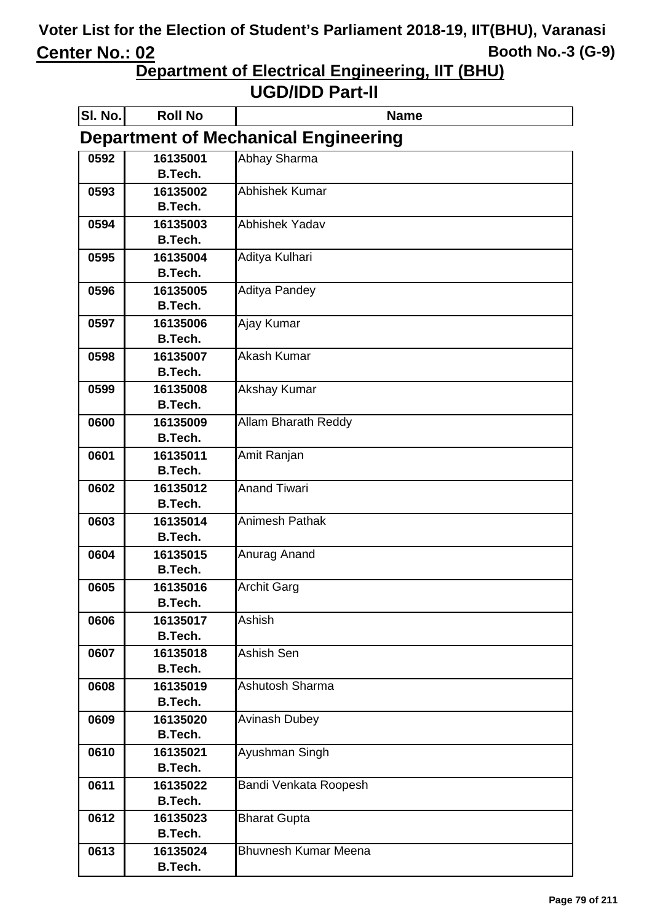**Department of Electrical Engineering, IIT (BHU)**

| SI. No.                                     | <b>Roll No</b>             | <b>Name</b>                 |  |  |
|---------------------------------------------|----------------------------|-----------------------------|--|--|
| <b>Department of Mechanical Engineering</b> |                            |                             |  |  |
| 0592                                        | 16135001                   | Abhay Sharma                |  |  |
|                                             | B.Tech.                    |                             |  |  |
| 0593                                        | 16135002                   | Abhishek Kumar              |  |  |
|                                             | <b>B.Tech.</b>             |                             |  |  |
| 0594                                        | 16135003                   | Abhishek Yadav              |  |  |
|                                             | <b>B.Tech.</b>             |                             |  |  |
| 0595                                        | 16135004                   | Aditya Kulhari              |  |  |
|                                             | <b>B.Tech.</b>             |                             |  |  |
| 0596                                        | 16135005<br><b>B.Tech.</b> | <b>Aditya Pandey</b>        |  |  |
|                                             |                            |                             |  |  |
| 0597                                        | 16135006<br><b>B.Tech.</b> | Ajay Kumar                  |  |  |
| 0598                                        | 16135007                   | Akash Kumar                 |  |  |
|                                             | <b>B.Tech.</b>             |                             |  |  |
| 0599                                        | 16135008                   | <b>Akshay Kumar</b>         |  |  |
|                                             | <b>B.Tech.</b>             |                             |  |  |
| 0600                                        | 16135009                   | <b>Allam Bharath Reddy</b>  |  |  |
|                                             | <b>B.Tech.</b>             |                             |  |  |
| 0601                                        | 16135011                   | Amit Ranjan                 |  |  |
|                                             | <b>B.Tech.</b>             |                             |  |  |
| 0602                                        | 16135012                   | <b>Anand Tiwari</b>         |  |  |
|                                             | <b>B.Tech.</b>             |                             |  |  |
| 0603                                        | 16135014                   | <b>Animesh Pathak</b>       |  |  |
|                                             | B.Tech.                    |                             |  |  |
| 0604                                        | 16135015                   | Anurag Anand                |  |  |
|                                             | <b>B.Tech.</b>             |                             |  |  |
| 0605                                        | 16135016<br><b>B.Tech.</b> | <b>Archit Garg</b>          |  |  |
| 0606                                        | 16135017                   | Ashish                      |  |  |
|                                             | B.Tech.                    |                             |  |  |
| 0607                                        | 16135018                   | Ashish Sen                  |  |  |
|                                             | <b>B.Tech.</b>             |                             |  |  |
| 0608                                        | 16135019                   | Ashutosh Sharma             |  |  |
|                                             | <b>B.Tech.</b>             |                             |  |  |
| 0609                                        | 16135020                   | <b>Avinash Dubey</b>        |  |  |
|                                             | <b>B.Tech.</b>             |                             |  |  |
| 0610                                        | 16135021                   | Ayushman Singh              |  |  |
|                                             | <b>B.Tech.</b>             |                             |  |  |
| 0611                                        | 16135022                   | Bandi Venkata Roopesh       |  |  |
|                                             | <b>B.Tech.</b>             |                             |  |  |
| 0612                                        | 16135023                   | <b>Bharat Gupta</b>         |  |  |
|                                             | <b>B.Tech.</b>             |                             |  |  |
| 0613                                        | 16135024                   | <b>Bhuvnesh Kumar Meena</b> |  |  |
|                                             | <b>B.Tech.</b>             |                             |  |  |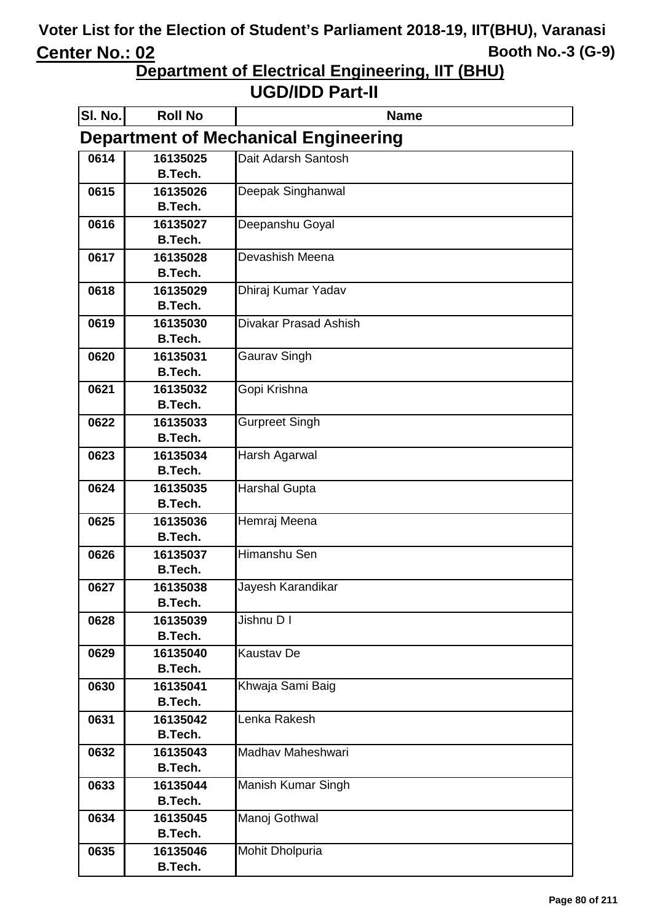**Department of Electrical Engineering, IIT (BHU)**

| SI. No.                                     | <b>Roll No</b>             | <b>Name</b>           |  |  |
|---------------------------------------------|----------------------------|-----------------------|--|--|
| <b>Department of Mechanical Engineering</b> |                            |                       |  |  |
| 0614                                        | 16135025                   | Dait Adarsh Santosh   |  |  |
|                                             | <b>B.Tech.</b>             |                       |  |  |
| 0615                                        | 16135026                   | Deepak Singhanwal     |  |  |
|                                             | <b>B.Tech.</b>             |                       |  |  |
| 0616                                        | 16135027                   | Deepanshu Goyal       |  |  |
|                                             | <b>B.Tech.</b>             | Devashish Meena       |  |  |
| 0617                                        | 16135028<br><b>B.Tech.</b> |                       |  |  |
| 0618                                        | 16135029                   | Dhiraj Kumar Yadav    |  |  |
|                                             | <b>B.Tech.</b>             |                       |  |  |
| 0619                                        | 16135030                   | Divakar Prasad Ashish |  |  |
|                                             | <b>B.Tech.</b>             |                       |  |  |
| 0620                                        | 16135031                   | Gaurav Singh          |  |  |
|                                             | <b>B.Tech.</b>             |                       |  |  |
| 0621                                        | 16135032                   | Gopi Krishna          |  |  |
|                                             | <b>B.Tech.</b>             |                       |  |  |
| 0622                                        | 16135033                   | Gurpreet Singh        |  |  |
|                                             | <b>B.Tech.</b>             |                       |  |  |
| 0623                                        | 16135034                   | Harsh Agarwal         |  |  |
|                                             | B.Tech.                    |                       |  |  |
| 0624                                        | 16135035<br><b>B.Tech.</b> | <b>Harshal Gupta</b>  |  |  |
| 0625                                        | 16135036                   | Hemraj Meena          |  |  |
|                                             | B.Tech.                    |                       |  |  |
| 0626                                        | 16135037                   | Himanshu Sen          |  |  |
|                                             | <b>B.Tech.</b>             |                       |  |  |
| 0627                                        | 16135038                   | Jayesh Karandikar     |  |  |
|                                             | B.Tech.                    |                       |  |  |
| 0628                                        | 16135039                   | Jishnu D I            |  |  |
|                                             | <b>B.Tech.</b>             |                       |  |  |
| 0629                                        | 16135040                   | <b>Kaustav De</b>     |  |  |
|                                             | <b>B.Tech.</b>             |                       |  |  |
| 0630                                        | 16135041                   | Khwaja Sami Baig      |  |  |
|                                             | <b>B.Tech.</b>             |                       |  |  |
| 0631                                        | 16135042<br><b>B.Tech.</b> | Lenka Rakesh          |  |  |
| 0632                                        | 16135043                   | Madhav Maheshwari     |  |  |
|                                             | <b>B.Tech.</b>             |                       |  |  |
| 0633                                        | 16135044                   | Manish Kumar Singh    |  |  |
|                                             | <b>B.Tech.</b>             |                       |  |  |
| 0634                                        | 16135045                   | Manoj Gothwal         |  |  |
|                                             | <b>B.Tech.</b>             |                       |  |  |
| 0635                                        | 16135046                   | Mohit Dholpuria       |  |  |
|                                             | <b>B.Tech.</b>             |                       |  |  |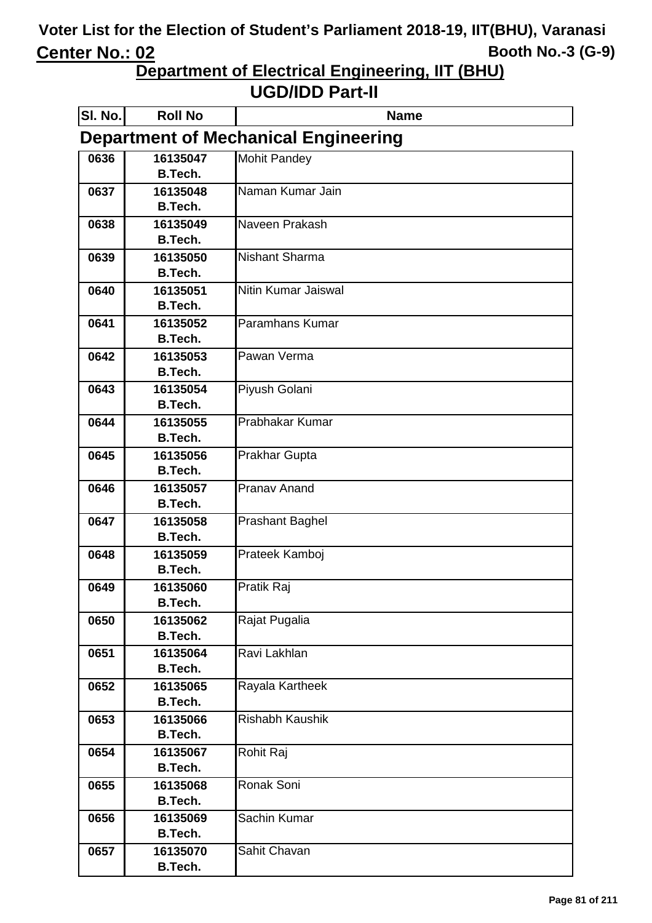**Department of Electrical Engineering, IIT (BHU)**

| SI. No.                                     | <b>Roll No</b>             | <b>Name</b>            |  |  |
|---------------------------------------------|----------------------------|------------------------|--|--|
| <b>Department of Mechanical Engineering</b> |                            |                        |  |  |
| 0636                                        | 16135047                   | <b>Mohit Pandey</b>    |  |  |
|                                             | B.Tech.                    |                        |  |  |
| 0637                                        | 16135048                   | Naman Kumar Jain       |  |  |
|                                             | <b>B.Tech.</b>             |                        |  |  |
| 0638                                        | 16135049                   | Naveen Prakash         |  |  |
|                                             | <b>B.Tech.</b>             |                        |  |  |
| 0639                                        | 16135050                   | <b>Nishant Sharma</b>  |  |  |
|                                             | <b>B.Tech.</b>             |                        |  |  |
| 0640                                        | 16135051                   | Nitin Kumar Jaiswal    |  |  |
|                                             | B.Tech.                    |                        |  |  |
| 0641                                        | 16135052                   | Paramhans Kumar        |  |  |
|                                             | <b>B.Tech.</b>             |                        |  |  |
| 0642                                        | 16135053                   | Pawan Verma            |  |  |
|                                             | <b>B.Tech.</b>             |                        |  |  |
| 0643                                        | 16135054<br><b>B.Tech.</b> | Piyush Golani          |  |  |
|                                             |                            | Prabhakar Kumar        |  |  |
| 0644                                        | 16135055<br><b>B.Tech.</b> |                        |  |  |
| 0645                                        |                            |                        |  |  |
|                                             | 16135056<br><b>B.Tech.</b> | Prakhar Gupta          |  |  |
| 0646                                        | 16135057                   | <b>Pranav Anand</b>    |  |  |
|                                             | <b>B.Tech.</b>             |                        |  |  |
| 0647                                        | 16135058                   | <b>Prashant Baghel</b> |  |  |
|                                             | <b>B.Tech.</b>             |                        |  |  |
| 0648                                        | 16135059                   | Prateek Kamboj         |  |  |
|                                             | <b>B.Tech.</b>             |                        |  |  |
| 0649                                        | 16135060                   | Pratik Raj             |  |  |
|                                             | <b>B.Tech.</b>             |                        |  |  |
| 0650                                        | 16135062                   | Rajat Pugalia          |  |  |
|                                             | <b>B.Tech.</b>             |                        |  |  |
| 0651                                        | 16135064                   | Ravi Lakhlan           |  |  |
|                                             | <b>B.Tech.</b>             |                        |  |  |
| 0652                                        | 16135065                   | Rayala Kartheek        |  |  |
|                                             | <b>B.Tech.</b>             |                        |  |  |
| 0653                                        | 16135066                   | <b>Rishabh Kaushik</b> |  |  |
|                                             | <b>B.Tech.</b>             |                        |  |  |
| 0654                                        | 16135067                   | Rohit Raj              |  |  |
|                                             | <b>B.Tech.</b>             |                        |  |  |
| 0655                                        | 16135068                   | Ronak Soni             |  |  |
|                                             | <b>B.Tech.</b>             |                        |  |  |
| 0656                                        | 16135069                   | Sachin Kumar           |  |  |
|                                             | <b>B.Tech.</b>             |                        |  |  |
| 0657                                        | 16135070                   | Sahit Chavan           |  |  |
|                                             | <b>B.Tech.</b>             |                        |  |  |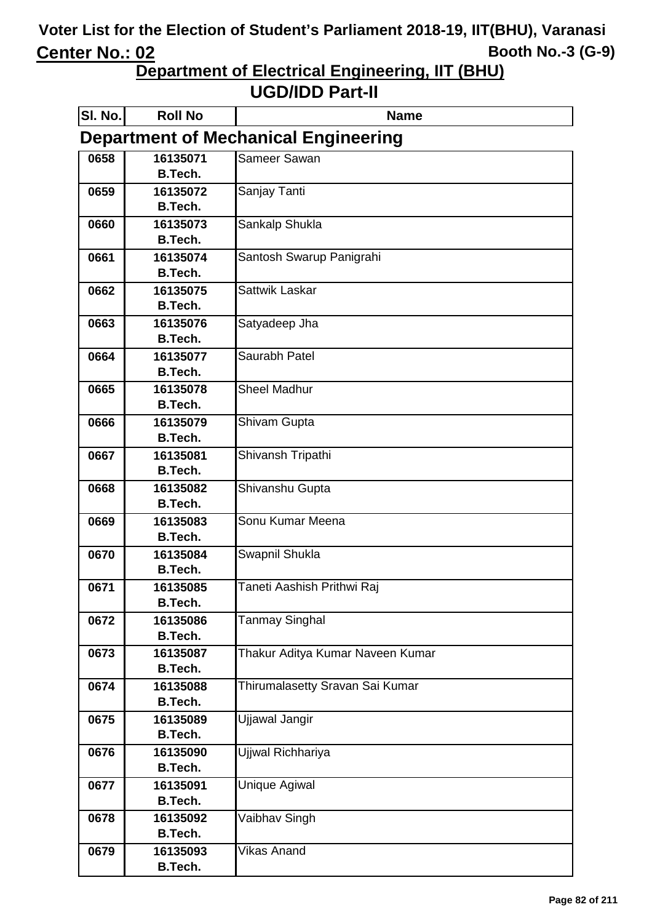**Department of Electrical Engineering, IIT (BHU)**

| SI. No.                                     | <b>Roll No</b>             | <b>Name</b>                      |  |
|---------------------------------------------|----------------------------|----------------------------------|--|
| <b>Department of Mechanical Engineering</b> |                            |                                  |  |
| 0658                                        | 16135071                   | Sameer Sawan                     |  |
|                                             | <b>B.Tech.</b>             |                                  |  |
| 0659                                        | 16135072                   | Sanjay Tanti                     |  |
|                                             | <b>B.Tech.</b>             |                                  |  |
| 0660                                        | 16135073<br><b>B.Tech.</b> | Sankalp Shukla                   |  |
| 0661                                        | 16135074                   | Santosh Swarup Panigrahi         |  |
|                                             | B.Tech.                    |                                  |  |
| 0662                                        | 16135075                   | Sattwik Laskar                   |  |
|                                             | <b>B.Tech.</b>             |                                  |  |
| 0663                                        | 16135076                   | Satyadeep Jha                    |  |
|                                             | B.Tech.                    |                                  |  |
| 0664                                        | 16135077                   | Saurabh Patel                    |  |
|                                             | B.Tech.                    |                                  |  |
| 0665                                        | 16135078                   | <b>Sheel Madhur</b>              |  |
|                                             | <b>B.Tech.</b>             |                                  |  |
| 0666                                        | 16135079                   | Shivam Gupta                     |  |
|                                             | <b>B.Tech.</b>             |                                  |  |
| 0667                                        | 16135081<br>B.Tech.        | Shivansh Tripathi                |  |
| 0668                                        | 16135082                   | Shivanshu Gupta                  |  |
|                                             | <b>B.Tech.</b>             |                                  |  |
| 0669                                        | 16135083                   | Sonu Kumar Meena                 |  |
|                                             | B.Tech.                    |                                  |  |
| 0670                                        | 16135084                   | Swapnil Shukla                   |  |
|                                             | <b>B.Tech.</b>             |                                  |  |
| 0671                                        | 16135085                   | Taneti Aashish Prithwi Raj       |  |
|                                             | <b>B.Tech.</b>             |                                  |  |
| 0672                                        | 16135086                   | <b>Tanmay Singhal</b>            |  |
|                                             | B.Tech.                    |                                  |  |
| 0673                                        | 16135087                   | Thakur Aditya Kumar Naveen Kumar |  |
|                                             | B.Tech.                    |                                  |  |
| 0674                                        | 16135088<br>B.Tech.        | Thirumalasetty Sravan Sai Kumar  |  |
| 0675                                        | 16135089                   | Ujjawal Jangir                   |  |
|                                             | B.Tech.                    |                                  |  |
| 0676                                        | 16135090                   | Ujjwal Richhariya                |  |
|                                             | <b>B.Tech.</b>             |                                  |  |
| 0677                                        | 16135091                   | Unique Agiwal                    |  |
|                                             | <b>B.Tech.</b>             |                                  |  |
| 0678                                        | 16135092                   | Vaibhav Singh                    |  |
|                                             | <b>B.Tech.</b>             |                                  |  |
| 0679                                        | 16135093                   | Vikas Anand                      |  |
|                                             | <b>B.Tech.</b>             |                                  |  |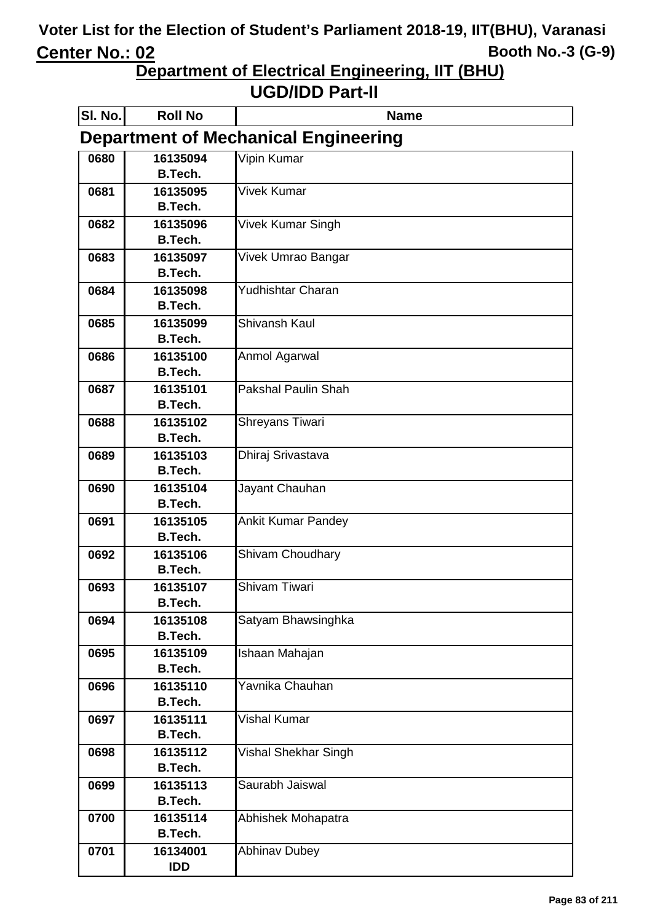**Department of Electrical Engineering, IIT (BHU)**

| SI. No.                                     | <b>Roll No</b>             | <b>Name</b>                |  |
|---------------------------------------------|----------------------------|----------------------------|--|
| <b>Department of Mechanical Engineering</b> |                            |                            |  |
| 0680                                        | 16135094                   | Vipin Kumar                |  |
|                                             | B.Tech.                    |                            |  |
| 0681                                        | 16135095                   | <b>Vivek Kumar</b>         |  |
|                                             | <b>B.Tech.</b>             |                            |  |
| 0682                                        | 16135096                   | Vivek Kumar Singh          |  |
|                                             | <b>B.Tech.</b>             |                            |  |
| 0683                                        | 16135097<br><b>B.Tech.</b> | Vivek Umrao Bangar         |  |
| 0684                                        | 16135098                   | Yudhishtar Charan          |  |
|                                             | <b>B.Tech.</b>             |                            |  |
| 0685                                        | 16135099                   | Shivansh Kaul              |  |
|                                             | <b>B.Tech.</b>             |                            |  |
| 0686                                        | 16135100                   | Anmol Agarwal              |  |
|                                             | <b>B.Tech.</b>             |                            |  |
| 0687                                        | 16135101                   | <b>Pakshal Paulin Shah</b> |  |
|                                             | <b>B.Tech.</b>             |                            |  |
| 0688                                        | 16135102                   | Shreyans Tiwari            |  |
|                                             | <b>B.Tech.</b>             |                            |  |
| 0689                                        | 16135103                   | Dhiraj Srivastava          |  |
|                                             | <b>B.Tech.</b>             |                            |  |
| 0690                                        | 16135104                   | Jayant Chauhan             |  |
|                                             | <b>B.Tech.</b>             |                            |  |
| 0691                                        | 16135105                   | <b>Ankit Kumar Pandey</b>  |  |
|                                             | B.Tech.                    |                            |  |
| 0692                                        | 16135106<br><b>B.Tech.</b> | Shivam Choudhary           |  |
| 0693                                        | 16135107                   | Shivam Tiwari              |  |
|                                             | <b>B.Tech.</b>             |                            |  |
| 0694                                        | 16135108                   | Satyam Bhawsinghka         |  |
|                                             | B.Tech.                    |                            |  |
| 0695                                        | 16135109                   | Ishaan Mahajan             |  |
|                                             | <b>B.Tech.</b>             |                            |  |
| 0696                                        | 16135110                   | Yavnika Chauhan            |  |
|                                             | <b>B.Tech.</b>             |                            |  |
| 0697                                        | 16135111                   | Vishal Kumar               |  |
|                                             | <b>B.Tech.</b>             |                            |  |
| 0698                                        | 16135112                   | Vishal Shekhar Singh       |  |
|                                             | <b>B.Tech.</b>             |                            |  |
| 0699                                        | 16135113<br><b>B.Tech.</b> | Saurabh Jaiswal            |  |
| 0700                                        | 16135114                   | Abhishek Mohapatra         |  |
|                                             | <b>B.Tech.</b>             |                            |  |
| 0701                                        | 16134001                   | <b>Abhinav Dubey</b>       |  |
|                                             | <b>IDD</b>                 |                            |  |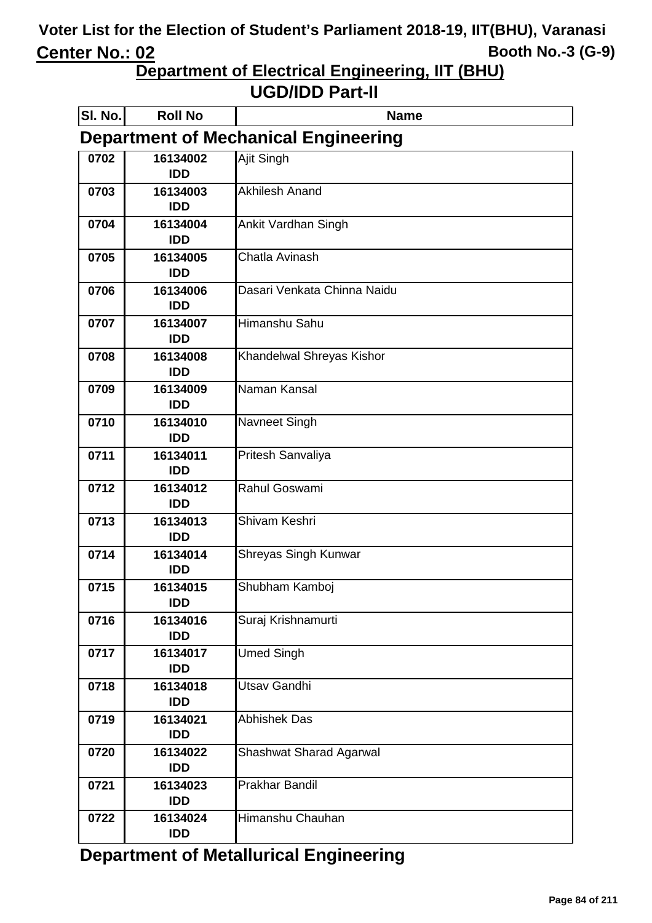**Department of Electrical Engineering, IIT (BHU)**

|  |  | <b>UGD/IDD Part-II</b> |  |
|--|--|------------------------|--|
|--|--|------------------------|--|

| SI. No.                                     | <b>Roll No</b>         | <b>Name</b>                    |  |  |
|---------------------------------------------|------------------------|--------------------------------|--|--|
| <b>Department of Mechanical Engineering</b> |                        |                                |  |  |
| 0702                                        | 16134002<br><b>IDD</b> | Ajit Singh                     |  |  |
| 0703                                        | 16134003<br><b>IDD</b> | <b>Akhilesh Anand</b>          |  |  |
| 0704                                        | 16134004<br><b>IDD</b> | Ankit Vardhan Singh            |  |  |
| 0705                                        | 16134005<br><b>IDD</b> | Chatla Avinash                 |  |  |
| 0706                                        | 16134006<br><b>IDD</b> | Dasari Venkata Chinna Naidu    |  |  |
| 0707                                        | 16134007<br><b>IDD</b> | Himanshu Sahu                  |  |  |
| 0708                                        | 16134008<br><b>IDD</b> | Khandelwal Shreyas Kishor      |  |  |
| 0709                                        | 16134009<br><b>IDD</b> | Naman Kansal                   |  |  |
| 0710                                        | 16134010<br><b>IDD</b> | Navneet Singh                  |  |  |
| 0711                                        | 16134011<br><b>IDD</b> | Pritesh Sanvaliya              |  |  |
| 0712                                        | 16134012<br><b>IDD</b> | Rahul Goswami                  |  |  |
| 0713                                        | 16134013<br><b>IDD</b> | Shivam Keshri                  |  |  |
| 0714                                        | 16134014<br><b>IDD</b> | Shreyas Singh Kunwar           |  |  |
| 0715                                        | 16134015<br><b>IDD</b> | Shubham Kamboj                 |  |  |
| 0716                                        | 16134016<br><b>IDD</b> | Suraj Krishnamurti             |  |  |
| 0717                                        | 16134017<br><b>IDD</b> | <b>Umed Singh</b>              |  |  |
| 0718                                        | 16134018<br><b>IDD</b> | Utsav Gandhi                   |  |  |
| 0719                                        | 16134021<br><b>IDD</b> | <b>Abhishek Das</b>            |  |  |
| 0720                                        | 16134022<br><b>IDD</b> | <b>Shashwat Sharad Agarwal</b> |  |  |
| 0721                                        | 16134023<br><b>IDD</b> | Prakhar Bandil                 |  |  |
| 0722                                        | 16134024<br><b>IDD</b> | Himanshu Chauhan               |  |  |

**Department of Metallurical Engineering**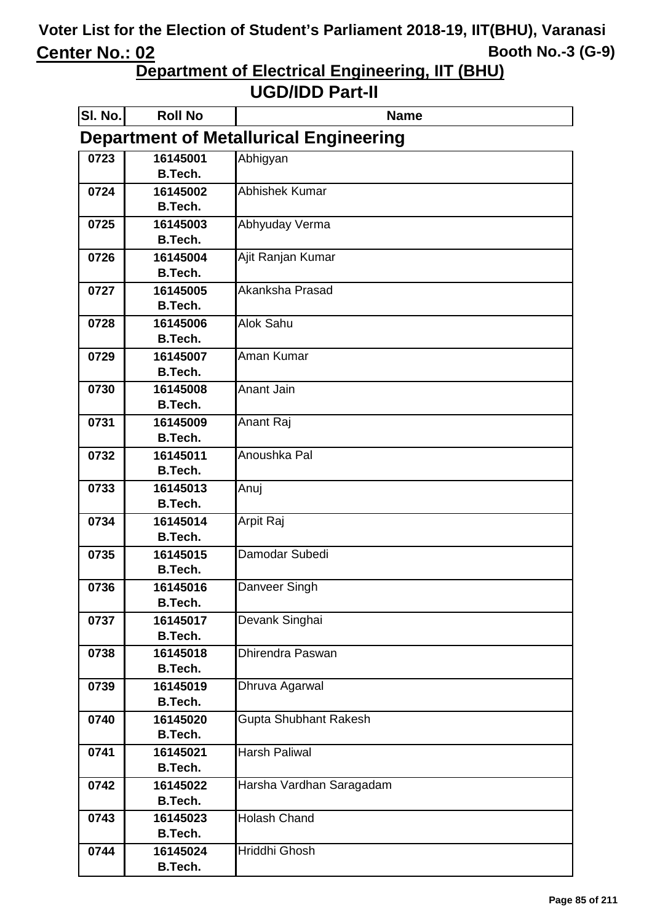**Department of Electrical Engineering, IIT (BHU)**

| SI. No.                                       | <b>Roll No</b>             | <b>Name</b>              |  |
|-----------------------------------------------|----------------------------|--------------------------|--|
| <b>Department of Metallurical Engineering</b> |                            |                          |  |
| 0723                                          | 16145001                   | Abhigyan                 |  |
|                                               | B.Tech.                    |                          |  |
| 0724                                          | 16145002                   | <b>Abhishek Kumar</b>    |  |
|                                               | <b>B.Tech.</b>             |                          |  |
| 0725                                          | 16145003                   | Abhyuday Verma           |  |
|                                               | <b>B.Tech.</b>             |                          |  |
| 0726                                          | 16145004                   | Ajit Ranjan Kumar        |  |
|                                               | B.Tech.                    |                          |  |
| 0727                                          | 16145005                   | Akanksha Prasad          |  |
|                                               | <b>B.Tech.</b>             |                          |  |
| 0728                                          | 16145006                   | <b>Alok Sahu</b>         |  |
|                                               | B.Tech.                    |                          |  |
| 0729                                          | 16145007<br>B.Tech.        | Aman Kumar               |  |
|                                               |                            | <b>Anant Jain</b>        |  |
| 0730                                          | 16145008<br>B.Tech.        |                          |  |
| 0731                                          | 16145009                   | Anant Raj                |  |
|                                               | <b>B.Tech.</b>             |                          |  |
| 0732                                          | 16145011                   | Anoushka Pal             |  |
|                                               | B.Tech.                    |                          |  |
| 0733                                          | 16145013                   | Anuj                     |  |
|                                               | <b>B.Tech.</b>             |                          |  |
| 0734                                          | 16145014                   | Arpit Raj                |  |
|                                               | B.Tech.                    |                          |  |
| 0735                                          | 16145015                   | Damodar Subedi           |  |
|                                               | <b>B.Tech.</b>             |                          |  |
| 0736                                          | 16145016                   | Danveer Singh            |  |
|                                               | B.Tech.                    |                          |  |
| 0737                                          | 16145017                   | Devank Singhai           |  |
|                                               | <b>B.Tech.</b>             |                          |  |
| 0738                                          | 16145018                   | <b>Dhirendra Paswan</b>  |  |
|                                               | B.Tech.                    |                          |  |
| 0739                                          | 16145019                   | Dhruva Agarwal           |  |
|                                               | <b>B.Tech.</b>             |                          |  |
| 0740                                          | 16145020                   | Gupta Shubhant Rakesh    |  |
|                                               | B.Tech.                    |                          |  |
| 0741                                          | 16145021                   | <b>Harsh Paliwal</b>     |  |
|                                               | B.Tech.                    |                          |  |
| 0742                                          | 16145022                   | Harsha Vardhan Saragadam |  |
|                                               | B.Tech.                    |                          |  |
| 0743                                          | 16145023<br>B.Tech.        | <b>Holash Chand</b>      |  |
|                                               |                            | Hriddhi Ghosh            |  |
| 0744                                          | 16145024<br><b>B.Tech.</b> |                          |  |
|                                               |                            |                          |  |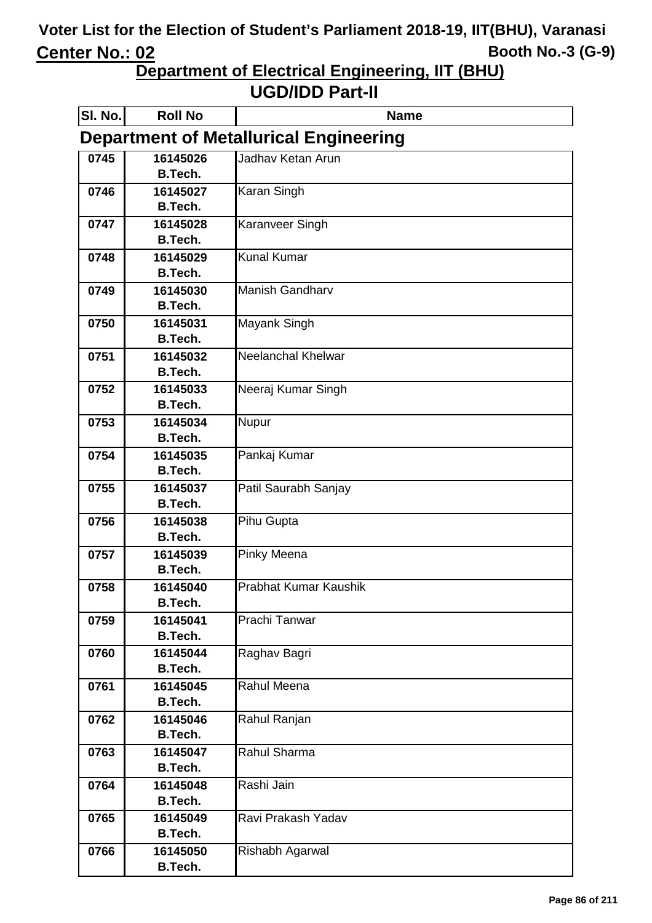**Department of Electrical Engineering, IIT (BHU)**

| SI. No.                                       | <b>Roll No</b>             | <b>Name</b>               |  |
|-----------------------------------------------|----------------------------|---------------------------|--|
| <b>Department of Metallurical Engineering</b> |                            |                           |  |
| 0745                                          | 16145026                   | Jadhav Ketan Arun         |  |
|                                               | B.Tech.                    |                           |  |
| 0746                                          | 16145027                   | Karan Singh               |  |
|                                               | <b>B.Tech.</b>             |                           |  |
| 0747                                          | 16145028                   | Karanveer Singh           |  |
|                                               | <b>B.Tech.</b>             |                           |  |
| 0748                                          | 16145029                   | <b>Kunal Kumar</b>        |  |
|                                               | <b>B.Tech.</b>             |                           |  |
| 0749                                          | 16145030                   | <b>Manish Gandharv</b>    |  |
|                                               | <b>B.Tech.</b>             |                           |  |
| 0750                                          | 16145031                   | Mayank Singh              |  |
|                                               | <b>B.Tech.</b>             |                           |  |
| 0751                                          | 16145032                   | <b>Neelanchal Khelwar</b> |  |
|                                               | <b>B.Tech.</b>             |                           |  |
| 0752                                          | 16145033                   | Neeraj Kumar Singh        |  |
|                                               | B.Tech.                    |                           |  |
| 0753                                          | 16145034<br><b>B.Tech.</b> | Nupur                     |  |
| 0754                                          | 16145035                   | Pankaj Kumar              |  |
|                                               | <b>B.Tech.</b>             |                           |  |
| 0755                                          | 16145037                   | Patil Saurabh Sanjay      |  |
|                                               | <b>B.Tech.</b>             |                           |  |
| 0756                                          | 16145038                   | Pihu Gupta                |  |
|                                               | <b>B.Tech.</b>             |                           |  |
| 0757                                          | 16145039                   | Pinky Meena               |  |
|                                               | <b>B.Tech.</b>             |                           |  |
| 0758                                          | 16145040                   | Prabhat Kumar Kaushik     |  |
|                                               | <b>B.Tech.</b>             |                           |  |
| 0759                                          | 16145041                   | Prachi Tanwar             |  |
|                                               | <b>B.Tech.</b>             |                           |  |
| 0760                                          | 16145044                   | Raghav Bagri              |  |
|                                               | <b>B.Tech.</b>             |                           |  |
| 0761                                          | 16145045                   | Rahul Meena               |  |
|                                               | <b>B.Tech.</b>             |                           |  |
| 0762                                          | 16145046                   | Rahul Ranjan              |  |
|                                               | <b>B.Tech.</b>             |                           |  |
| 0763                                          | 16145047                   | Rahul Sharma              |  |
|                                               | <b>B.Tech.</b>             |                           |  |
| 0764                                          | 16145048                   | Rashi Jain                |  |
|                                               | <b>B.Tech.</b>             |                           |  |
| 0765                                          | 16145049                   | Ravi Prakash Yadav        |  |
|                                               | <b>B.Tech.</b>             |                           |  |
| 0766                                          | 16145050                   | Rishabh Agarwal           |  |
|                                               | <b>B.Tech.</b>             |                           |  |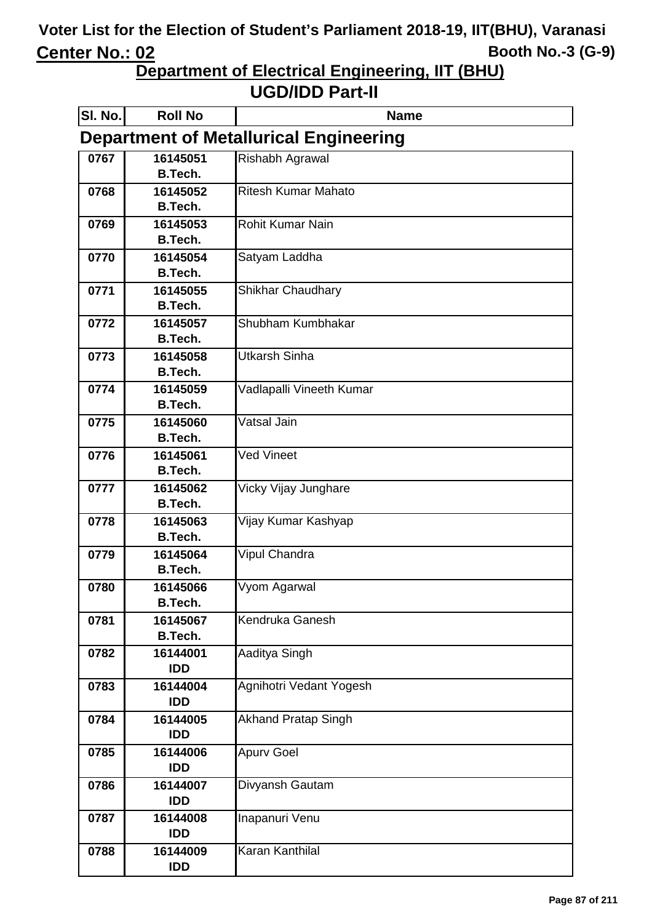**Department of Electrical Engineering, IIT (BHU)**

| <b>Department of Metallurical Engineering</b> |  |  |
|-----------------------------------------------|--|--|
|                                               |  |  |
|                                               |  |  |
|                                               |  |  |
|                                               |  |  |
|                                               |  |  |
|                                               |  |  |
|                                               |  |  |
|                                               |  |  |
|                                               |  |  |
|                                               |  |  |
|                                               |  |  |
|                                               |  |  |
|                                               |  |  |
|                                               |  |  |
|                                               |  |  |
|                                               |  |  |
|                                               |  |  |
|                                               |  |  |
|                                               |  |  |
|                                               |  |  |
|                                               |  |  |
|                                               |  |  |
|                                               |  |  |
|                                               |  |  |
|                                               |  |  |
|                                               |  |  |
|                                               |  |  |
|                                               |  |  |
|                                               |  |  |
|                                               |  |  |
|                                               |  |  |
|                                               |  |  |
|                                               |  |  |
|                                               |  |  |
|                                               |  |  |
|                                               |  |  |
|                                               |  |  |
|                                               |  |  |
|                                               |  |  |
|                                               |  |  |
|                                               |  |  |
|                                               |  |  |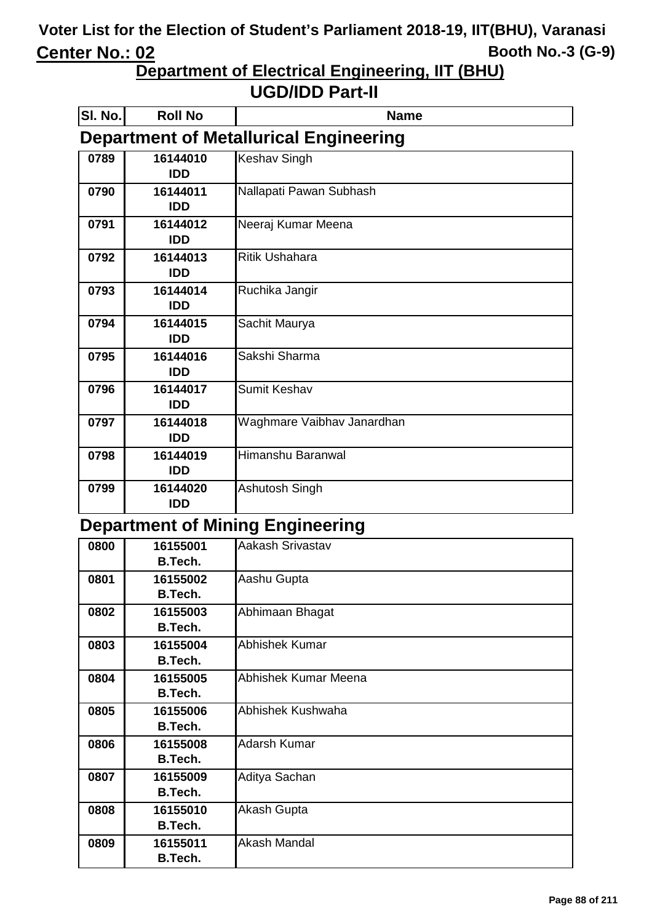**Department of Electrical Engineering, IIT (BHU)**

#### **UGD/IDD Part-II**

| SI. No. | <b>Roll No</b>         | <b>Name</b>                                   |
|---------|------------------------|-----------------------------------------------|
|         |                        | <b>Department of Metallurical Engineering</b> |
| 0789    | 16144010<br><b>IDD</b> | <b>Keshav Singh</b>                           |
| 0790    | 16144011<br><b>IDD</b> | Nallapati Pawan Subhash                       |
| 0791    | 16144012<br><b>IDD</b> | Neeraj Kumar Meena                            |
| 0792    | 16144013<br><b>IDD</b> | <b>Ritik Ushahara</b>                         |
| 0793    | 16144014<br><b>IDD</b> | Ruchika Jangir                                |
| 0794    | 16144015<br><b>IDD</b> | Sachit Maurya                                 |
| 0795    | 16144016<br><b>IDD</b> | Sakshi Sharma                                 |
| 0796    | 16144017<br><b>IDD</b> | <b>Sumit Keshav</b>                           |
| 0797    | 16144018<br><b>IDD</b> | Waghmare Vaibhav Janardhan                    |
| 0798    | 16144019<br><b>IDD</b> | Himanshu Baranwal                             |
| 0799    | 16144020<br><b>IDD</b> | Ashutosh Singh                                |

#### **Department of Mining Engineering**

| 0800 | 16155001       | Aakash Srivastav      |
|------|----------------|-----------------------|
|      | B.Tech.        |                       |
| 0801 | 16155002       | Aashu Gupta           |
|      | <b>B.Tech.</b> |                       |
| 0802 | 16155003       | Abhimaan Bhagat       |
|      | B.Tech.        |                       |
| 0803 | 16155004       | <b>Abhishek Kumar</b> |
|      | <b>B.Tech.</b> |                       |
| 0804 | 16155005       | Abhishek Kumar Meena  |
|      | B.Tech.        |                       |
| 0805 | 16155006       | Abhishek Kushwaha     |
|      | <b>B.Tech.</b> |                       |
| 0806 | 16155008       | <b>Adarsh Kumar</b>   |
|      | B.Tech.        |                       |
| 0807 | 16155009       | Aditya Sachan         |
|      | B.Tech.        |                       |
| 0808 | 16155010       | Akash Gupta           |
|      | B.Tech.        |                       |
| 0809 | 16155011       | <b>Akash Mandal</b>   |
|      | B.Tech.        |                       |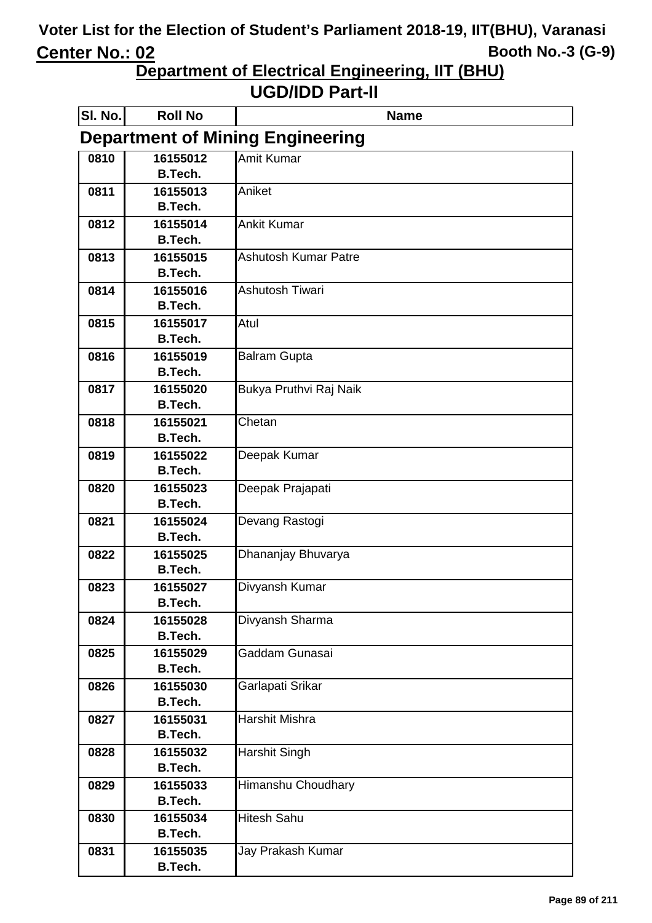**Department of Electrical Engineering, IIT (BHU)**

| SI. No.                                 | <b>Roll No</b>             | <b>Name</b>                 |  |  |
|-----------------------------------------|----------------------------|-----------------------------|--|--|
| <b>Department of Mining Engineering</b> |                            |                             |  |  |
| 0810                                    | 16155012                   | Amit Kumar                  |  |  |
|                                         | <b>B.Tech.</b>             |                             |  |  |
| 0811                                    | 16155013                   | Aniket                      |  |  |
|                                         | <b>B.Tech.</b>             |                             |  |  |
| 0812                                    | 16155014<br><b>B.Tech.</b> | <b>Ankit Kumar</b>          |  |  |
| 0813                                    | 16155015                   | <b>Ashutosh Kumar Patre</b> |  |  |
|                                         | <b>B.Tech.</b>             |                             |  |  |
| 0814                                    | 16155016                   | Ashutosh Tiwari             |  |  |
|                                         | <b>B.Tech.</b>             |                             |  |  |
| 0815                                    | 16155017                   | Atul                        |  |  |
|                                         | <b>B.Tech.</b>             |                             |  |  |
| 0816                                    | 16155019                   | <b>Balram Gupta</b>         |  |  |
|                                         | <b>B.Tech.</b>             |                             |  |  |
| 0817                                    | 16155020                   | Bukya Pruthvi Raj Naik      |  |  |
|                                         | <b>B.Tech.</b>             |                             |  |  |
| 0818                                    | 16155021                   | Chetan                      |  |  |
| 0819                                    | <b>B.Tech.</b><br>16155022 |                             |  |  |
|                                         | <b>B.Tech.</b>             | Deepak Kumar                |  |  |
| 0820                                    | 16155023                   | Deepak Prajapati            |  |  |
|                                         | <b>B.Tech.</b>             |                             |  |  |
| 0821                                    | 16155024                   | Devang Rastogi              |  |  |
|                                         | <b>B.Tech.</b>             |                             |  |  |
| 0822                                    | 16155025                   | Dhananjay Bhuvarya          |  |  |
|                                         | <b>B.Tech.</b>             |                             |  |  |
| 0823                                    | 16155027                   | Divyansh Kumar              |  |  |
|                                         | <b>B.Tech.</b>             |                             |  |  |
| 0824                                    | 16155028<br><b>B.Tech.</b> | Divyansh Sharma             |  |  |
| 0825                                    | 16155029                   | Gaddam Gunasai              |  |  |
|                                         | <b>B.Tech.</b>             |                             |  |  |
| 0826                                    | 16155030                   | Garlapati Srikar            |  |  |
|                                         | <b>B.Tech.</b>             |                             |  |  |
| 0827                                    | 16155031                   | Harshit Mishra              |  |  |
|                                         | <b>B.Tech.</b>             |                             |  |  |
| 0828                                    | 16155032                   | Harshit Singh               |  |  |
|                                         | <b>B.Tech.</b>             |                             |  |  |
| 0829                                    | 16155033                   | Himanshu Choudhary          |  |  |
|                                         | <b>B.Tech.</b>             |                             |  |  |
| 0830                                    | 16155034                   | <b>Hitesh Sahu</b>          |  |  |
|                                         | <b>B.Tech.</b>             |                             |  |  |
| 0831                                    | 16155035<br><b>B.Tech.</b> | Jay Prakash Kumar           |  |  |
|                                         |                            |                             |  |  |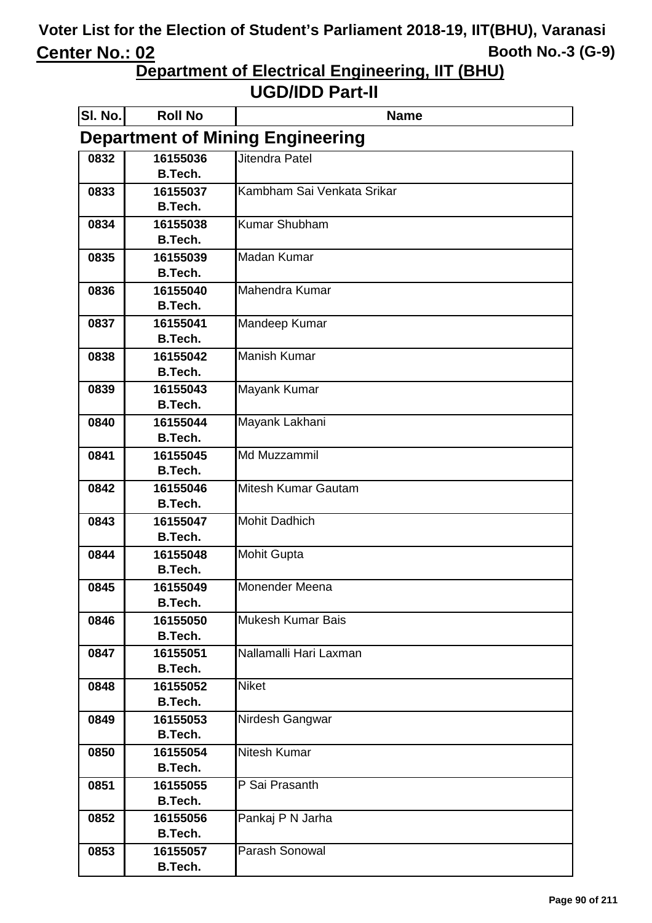**Department of Electrical Engineering, IIT (BHU)**

| SI. No. | <b>Roll No</b>                          | <b>Name</b>                |  |  |
|---------|-----------------------------------------|----------------------------|--|--|
|         | <b>Department of Mining Engineering</b> |                            |  |  |
| 0832    | 16155036                                | Jitendra Patel             |  |  |
|         | <b>B.Tech.</b>                          |                            |  |  |
| 0833    | 16155037                                | Kambham Sai Venkata Srikar |  |  |
|         | <b>B.Tech.</b>                          |                            |  |  |
| 0834    | 16155038                                | <b>Kumar Shubham</b>       |  |  |
|         | <b>B.Tech.</b>                          |                            |  |  |
| 0835    | 16155039                                | <b>Madan Kumar</b>         |  |  |
|         | <b>B.Tech.</b>                          |                            |  |  |
| 0836    | 16155040<br><b>B.Tech.</b>              | Mahendra Kumar             |  |  |
|         |                                         |                            |  |  |
| 0837    | 16155041<br><b>B.Tech.</b>              | Mandeep Kumar              |  |  |
| 0838    | 16155042                                | <b>Manish Kumar</b>        |  |  |
|         | <b>B.Tech.</b>                          |                            |  |  |
| 0839    | 16155043                                | Mayank Kumar               |  |  |
|         | <b>B.Tech.</b>                          |                            |  |  |
| 0840    | 16155044                                | Mayank Lakhani             |  |  |
|         | <b>B.Tech.</b>                          |                            |  |  |
| 0841    | 16155045                                | Md Muzzammil               |  |  |
|         | <b>B.Tech.</b>                          |                            |  |  |
| 0842    | 16155046                                | Mitesh Kumar Gautam        |  |  |
|         | <b>B.Tech.</b>                          |                            |  |  |
| 0843    | 16155047                                | <b>Mohit Dadhich</b>       |  |  |
|         | <b>B.Tech.</b>                          |                            |  |  |
| 0844    | 16155048                                | <b>Mohit Gupta</b>         |  |  |
|         | <b>B.Tech.</b>                          |                            |  |  |
| 0845    | 16155049                                | Monender Meena             |  |  |
|         | <b>B.Tech.</b>                          |                            |  |  |
| 0846    | 16155050<br><b>B.Tech.</b>              | <b>Mukesh Kumar Bais</b>   |  |  |
| 0847    | 16155051                                | Nallamalli Hari Laxman     |  |  |
|         | <b>B.Tech.</b>                          |                            |  |  |
| 0848    | 16155052                                | <b>Niket</b>               |  |  |
|         | <b>B.Tech.</b>                          |                            |  |  |
| 0849    | 16155053                                | Nirdesh Gangwar            |  |  |
|         | <b>B.Tech.</b>                          |                            |  |  |
| 0850    | 16155054                                | <b>Nitesh Kumar</b>        |  |  |
|         | <b>B.Tech.</b>                          |                            |  |  |
| 0851    | 16155055                                | P Sai Prasanth             |  |  |
|         | <b>B.Tech.</b>                          |                            |  |  |
| 0852    | 16155056                                | Pankaj P N Jarha           |  |  |
|         | <b>B.Tech.</b>                          |                            |  |  |
| 0853    | 16155057                                | Parash Sonowal             |  |  |
|         | <b>B.Tech.</b>                          |                            |  |  |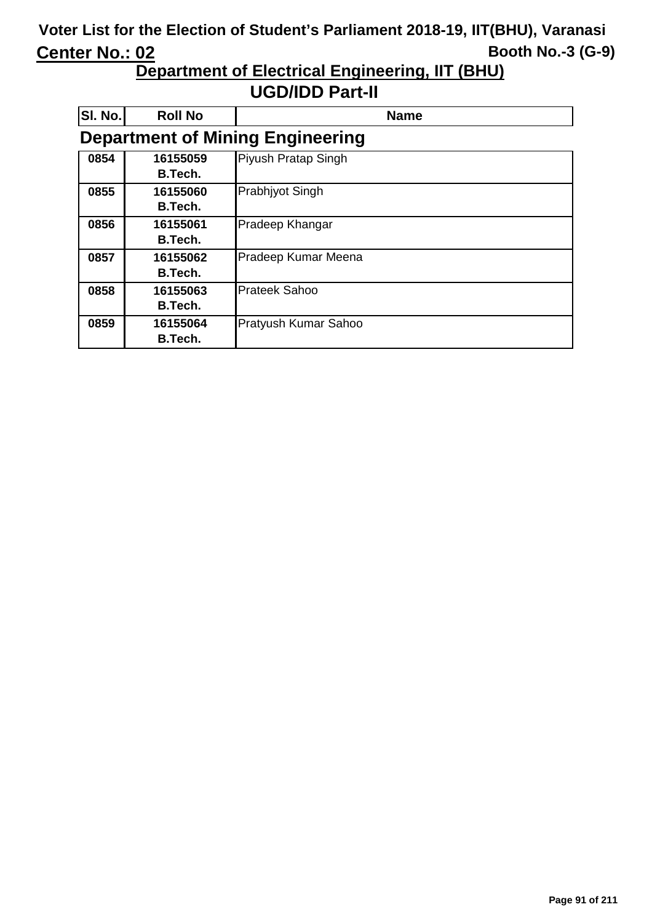**Department of Electrical Engineering, IIT (BHU)**

| SI. No. | <b>Roll No</b>             | <b>Name</b>                             |
|---------|----------------------------|-----------------------------------------|
|         |                            | <b>Department of Mining Engineering</b> |
| 0854    | 16155059<br>B.Tech.        | Piyush Pratap Singh                     |
| 0855    | 16155060<br><b>B.Tech.</b> | Prabhjyot Singh                         |
| 0856    | 16155061<br><b>B.Tech.</b> | Pradeep Khangar                         |
| 0857    | 16155062<br><b>B.Tech.</b> | Pradeep Kumar Meena                     |
| 0858    | 16155063<br><b>B.Tech.</b> | <b>Prateek Sahoo</b>                    |
| 0859    | 16155064<br>B.Tech.        | Pratyush Kumar Sahoo                    |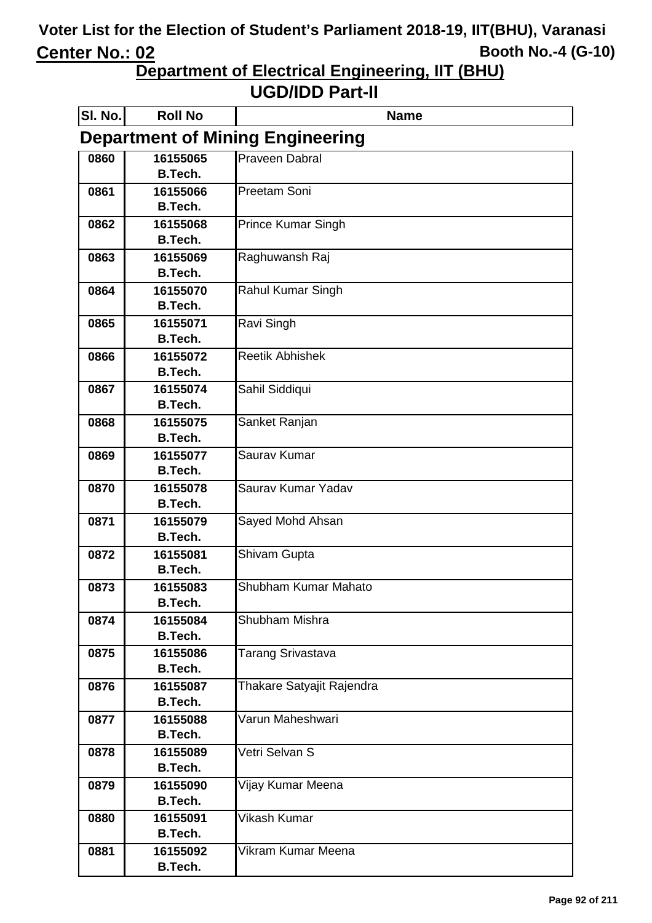**Department of Electrical Engineering, IIT (BHU)**

| SI. No. | <b>Roll No</b>             | <b>Name</b>                             |
|---------|----------------------------|-----------------------------------------|
|         |                            | <b>Department of Mining Engineering</b> |
| 0860    | 16155065                   | <b>Praveen Dabral</b>                   |
|         | <b>B.Tech.</b>             |                                         |
| 0861    | 16155066                   | Preetam Soni                            |
|         | <b>B.Tech.</b>             |                                         |
| 0862    | 16155068                   | <b>Prince Kumar Singh</b>               |
|         | <b>B.Tech.</b>             |                                         |
| 0863    | 16155069                   | Raghuwansh Raj                          |
|         | <b>B.Tech.</b>             |                                         |
| 0864    | 16155070<br><b>B.Tech.</b> | Rahul Kumar Singh                       |
| 0865    | 16155071                   | Ravi Singh                              |
|         | <b>B.Tech.</b>             |                                         |
| 0866    | 16155072                   | <b>Reetik Abhishek</b>                  |
|         | <b>B.Tech.</b>             |                                         |
| 0867    | 16155074                   | Sahil Siddiqui                          |
|         | <b>B.Tech.</b>             |                                         |
| 0868    | 16155075                   | Sanket Ranjan                           |
|         | <b>B.Tech.</b>             |                                         |
| 0869    | 16155077                   | Saurav Kumar                            |
|         | <b>B.Tech.</b>             |                                         |
| 0870    | 16155078                   | Saurav Kumar Yadav                      |
|         | <b>B.Tech.</b>             |                                         |
| 0871    | 16155079                   | Sayed Mohd Ahsan                        |
|         | <b>B.Tech.</b>             |                                         |
| 0872    | 16155081                   | Shivam Gupta                            |
|         | <b>B.Tech.</b>             | Shubham Kumar Mahato                    |
| 0873    | 16155083<br><b>B.Tech.</b> |                                         |
| 0874    | 16155084                   | Shubham Mishra                          |
|         | <b>B.Tech.</b>             |                                         |
| 0875    | 16155086                   | Tarang Srivastava                       |
|         | <b>B.Tech.</b>             |                                         |
| 0876    | 16155087                   | Thakare Satyajit Rajendra               |
|         | <b>B.Tech.</b>             |                                         |
| 0877    | 16155088                   | Varun Maheshwari                        |
|         | <b>B.Tech.</b>             |                                         |
| 0878    | 16155089                   | Vetri Selvan S                          |
|         | <b>B.Tech.</b>             |                                         |
| 0879    | 16155090                   | Vijay Kumar Meena                       |
|         | <b>B.Tech.</b>             |                                         |
| 0880    | 16155091                   | Vikash Kumar                            |
|         | <b>B.Tech.</b>             | Vikram Kumar Meena                      |
| 0881    | 16155092<br><b>B.Tech.</b> |                                         |
|         |                            |                                         |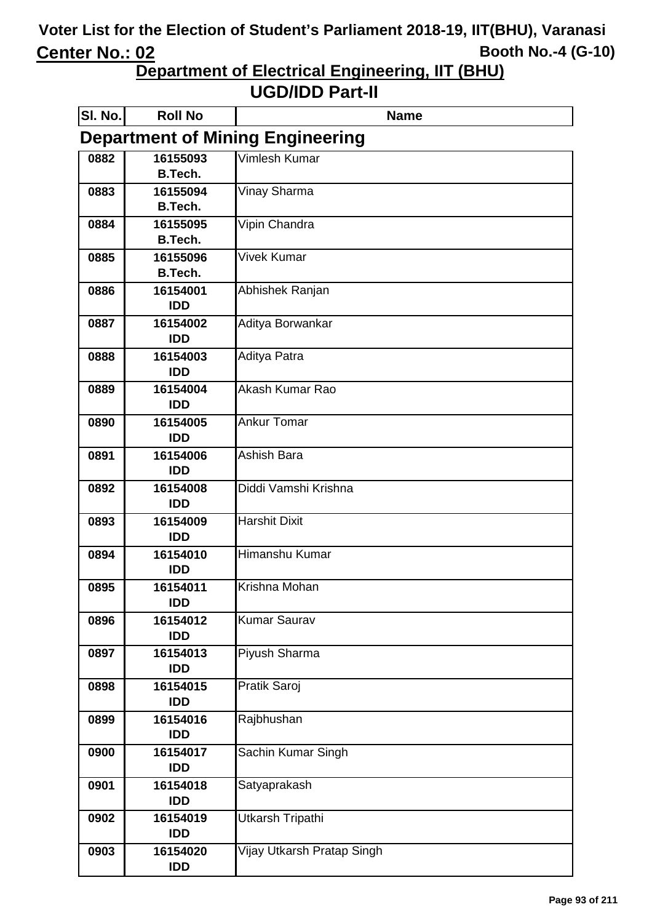**Department of Electrical Engineering, IIT (BHU)**

| SI. No.                                 | <b>Roll No</b>             | <b>Name</b>                |
|-----------------------------------------|----------------------------|----------------------------|
| <b>Department of Mining Engineering</b> |                            |                            |
| 0882                                    | 16155093                   | Vimlesh Kumar              |
|                                         | <b>B.Tech.</b>             |                            |
| 0883                                    | 16155094                   | Vinay Sharma               |
|                                         | <b>B.Tech.</b>             |                            |
| 0884                                    | 16155095<br><b>B.Tech.</b> | Vipin Chandra              |
| 0885                                    | 16155096                   | Vivek Kumar                |
|                                         | <b>B.Tech.</b>             |                            |
| 0886                                    | 16154001                   | Abhishek Ranjan            |
|                                         | <b>IDD</b>                 |                            |
| 0887                                    | 16154002                   | Aditya Borwankar           |
|                                         | <b>IDD</b>                 |                            |
| 0888                                    | 16154003                   | Aditya Patra               |
|                                         | <b>IDD</b>                 |                            |
| 0889                                    | 16154004                   | Akash Kumar Rao            |
|                                         | <b>IDD</b>                 | <b>Ankur Tomar</b>         |
| 0890                                    | 16154005<br><b>IDD</b>     |                            |
| 0891                                    | 16154006                   | Ashish Bara                |
|                                         | <b>IDD</b>                 |                            |
| 0892                                    | 16154008                   | Diddi Vamshi Krishna       |
|                                         | <b>IDD</b>                 |                            |
| 0893                                    | 16154009                   | <b>Harshit Dixit</b>       |
|                                         | <b>IDD</b>                 |                            |
| 0894                                    | 16154010                   | Himanshu Kumar             |
|                                         | <b>IDD</b>                 |                            |
| 0895                                    | 16154011<br>IDD            | Krishna Mohan              |
| 0896                                    | 16154012                   | <b>Kumar Saurav</b>        |
|                                         | <b>IDD</b>                 |                            |
| 0897                                    | 16154013                   | Piyush Sharma              |
|                                         | <b>IDD</b>                 |                            |
| 0898                                    | 16154015                   | Pratik Saroj               |
|                                         | <b>IDD</b>                 |                            |
| 0899                                    | 16154016                   | Rajbhushan                 |
|                                         | <b>IDD</b>                 |                            |
| 0900                                    | 16154017                   | Sachin Kumar Singh         |
|                                         | <b>IDD</b>                 |                            |
| 0901                                    | 16154018<br><b>IDD</b>     | Satyaprakash               |
| 0902                                    | 16154019                   | Utkarsh Tripathi           |
|                                         | <b>IDD</b>                 |                            |
| 0903                                    | 16154020                   | Vijay Utkarsh Pratap Singh |
|                                         | <b>IDD</b>                 |                            |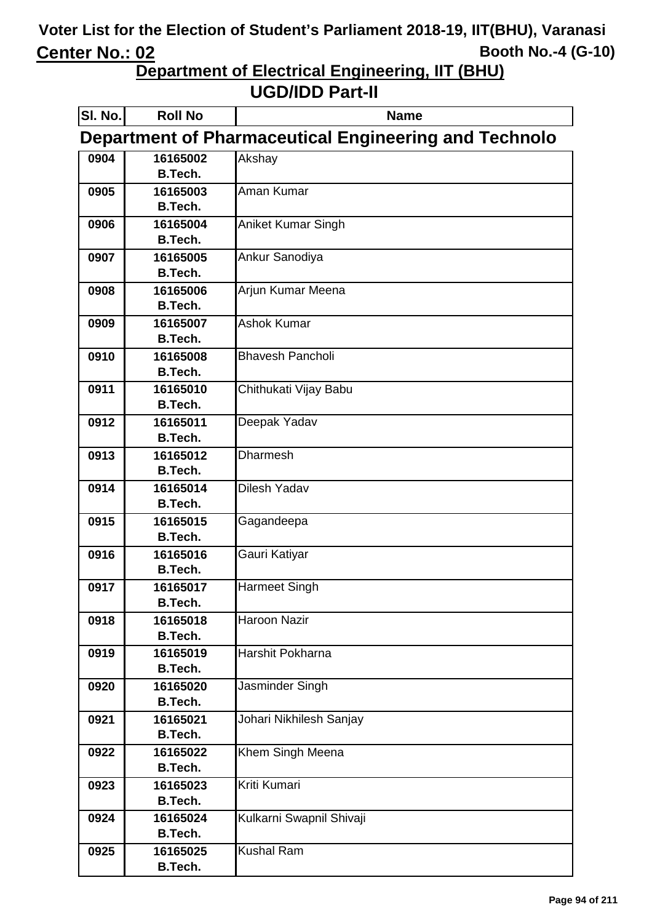**Department of Electrical Engineering, IIT (BHU)**

| SI. No. | <b>Roll No</b>             | <b>Name</b>                                           |
|---------|----------------------------|-------------------------------------------------------|
|         |                            | Department of Pharmaceutical Engineering and Technolo |
| 0904    | 16165002                   | Akshay                                                |
|         | <b>B.Tech.</b>             |                                                       |
| 0905    | 16165003                   | Aman Kumar                                            |
|         | <b>B.Tech.</b>             |                                                       |
| 0906    | 16165004                   | <b>Aniket Kumar Singh</b>                             |
|         | <b>B.Tech.</b>             |                                                       |
| 0907    | 16165005                   | Ankur Sanodiya                                        |
|         | <b>B.Tech.</b>             |                                                       |
| 0908    | 16165006                   | Arjun Kumar Meena                                     |
|         | <b>B.Tech.</b>             |                                                       |
| 0909    | 16165007                   | <b>Ashok Kumar</b>                                    |
|         | <b>B.Tech.</b>             |                                                       |
| 0910    | 16165008                   | <b>Bhavesh Pancholi</b>                               |
|         | <b>B.Tech.</b>             |                                                       |
| 0911    | 16165010                   | Chithukati Vijay Babu                                 |
|         | <b>B.Tech.</b>             |                                                       |
| 0912    | 16165011                   | Deepak Yadav                                          |
|         | <b>B.Tech.</b>             |                                                       |
| 0913    | 16165012                   | <b>Dharmesh</b>                                       |
|         | <b>B.Tech.</b>             |                                                       |
| 0914    | 16165014                   | Dilesh Yadav                                          |
|         | <b>B.Tech.</b>             |                                                       |
| 0915    | 16165015                   | Gagandeepa                                            |
|         | <b>B.Tech.</b>             |                                                       |
| 0916    | 16165016                   | Gauri Katiyar                                         |
|         | <b>B.Tech.</b>             |                                                       |
| 0917    | 16165017                   | <b>Harmeet Singh</b>                                  |
|         | <b>B.Tech.</b>             |                                                       |
| 0918    | 16165018                   | <b>Haroon Nazir</b>                                   |
|         | <b>B.Tech.</b>             |                                                       |
| 0919    | 16165019                   | Harshit Pokharna                                      |
|         | <b>B.Tech.</b>             |                                                       |
| 0920    | 16165020<br><b>B.Tech.</b> | Jasminder Singh                                       |
|         |                            |                                                       |
| 0921    | 16165021<br><b>B.Tech.</b> | Johari Nikhilesh Sanjay                               |
|         |                            |                                                       |
| 0922    | 16165022<br><b>B.Tech.</b> | Khem Singh Meena                                      |
|         |                            | Kriti Kumari                                          |
| 0923    | 16165023<br><b>B.Tech.</b> |                                                       |
|         |                            |                                                       |
| 0924    | 16165024<br><b>B.Tech.</b> | Kulkarni Swapnil Shivaji                              |
|         |                            | <b>Kushal Ram</b>                                     |
| 0925    | 16165025<br><b>B.Tech.</b> |                                                       |
|         |                            |                                                       |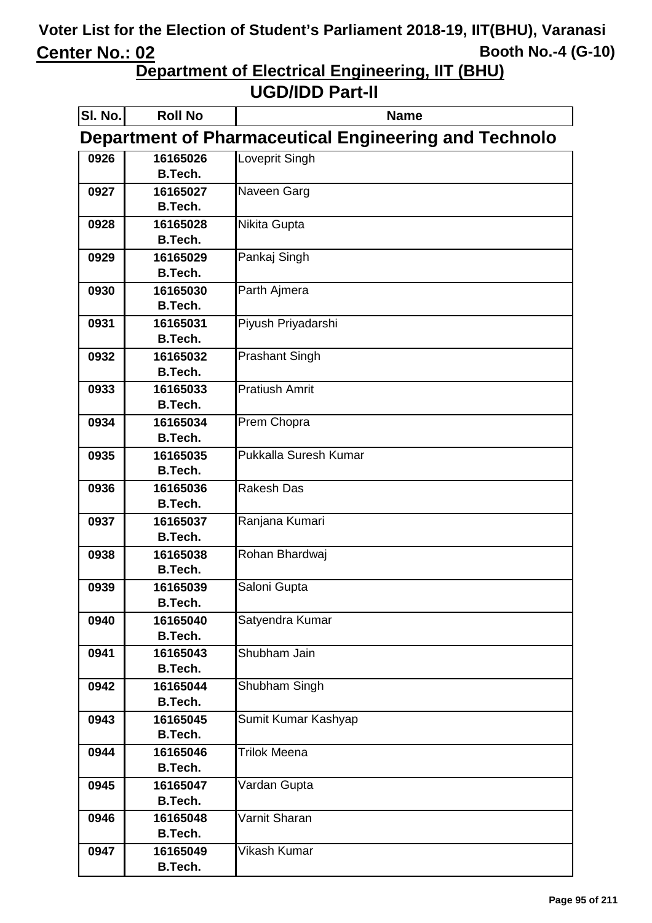**Department of Electrical Engineering, IIT (BHU)**

| SI. No. | <b>Roll No</b>             | <b>Name</b>                                                  |
|---------|----------------------------|--------------------------------------------------------------|
|         |                            | <b>Department of Pharmaceutical Engineering and Technolo</b> |
| 0926    | 16165026                   | Loveprit Singh                                               |
|         | <b>B.Tech.</b>             |                                                              |
| 0927    | 16165027                   | Naveen Garg                                                  |
|         | <b>B.Tech.</b>             |                                                              |
| 0928    | 16165028                   | Nikita Gupta                                                 |
|         | <b>B.Tech.</b>             |                                                              |
| 0929    | 16165029                   | Pankaj Singh                                                 |
|         | <b>B.Tech.</b>             |                                                              |
| 0930    | 16165030                   | Parth Ajmera                                                 |
|         | <b>B.Tech.</b>             |                                                              |
| 0931    | 16165031                   | Piyush Priyadarshi                                           |
|         | <b>B.Tech.</b>             |                                                              |
| 0932    | 16165032                   | <b>Prashant Singh</b>                                        |
|         | <b>B.Tech.</b>             | <b>Pratiush Amrit</b>                                        |
| 0933    | 16165033<br><b>B.Tech.</b> |                                                              |
| 0934    | 16165034                   | Prem Chopra                                                  |
|         | <b>B.Tech.</b>             |                                                              |
| 0935    | 16165035                   | Pukkalla Suresh Kumar                                        |
|         | <b>B.Tech.</b>             |                                                              |
| 0936    | 16165036                   | <b>Rakesh Das</b>                                            |
|         | <b>B.Tech.</b>             |                                                              |
| 0937    | 16165037                   | Ranjana Kumari                                               |
|         | <b>B.Tech.</b>             |                                                              |
| 0938    | 16165038                   | Rohan Bhardwai                                               |
|         | <b>B.Tech.</b>             |                                                              |
| 0939    | 16165039                   | Saloni Gupta                                                 |
|         | B.Tech.                    |                                                              |
| 0940    | 16165040                   | Satyendra Kumar                                              |
|         | <b>B.Tech.</b>             |                                                              |
| 0941    | 16165043                   | Shubham Jain                                                 |
|         | <b>B.Tech.</b>             |                                                              |
| 0942    | 16165044                   | Shubham Singh                                                |
|         | <b>B.Tech.</b>             |                                                              |
| 0943    | 16165045<br><b>B.Tech.</b> | Sumit Kumar Kashyap                                          |
| 0944    | 16165046                   | <b>Trilok Meena</b>                                          |
|         | <b>B.Tech.</b>             |                                                              |
| 0945    | 16165047                   | Vardan Gupta                                                 |
|         | <b>B.Tech.</b>             |                                                              |
| 0946    | 16165048                   | Varnit Sharan                                                |
|         | <b>B.Tech.</b>             |                                                              |
| 0947    | 16165049                   | Vikash Kumar                                                 |
|         | <b>B.Tech.</b>             |                                                              |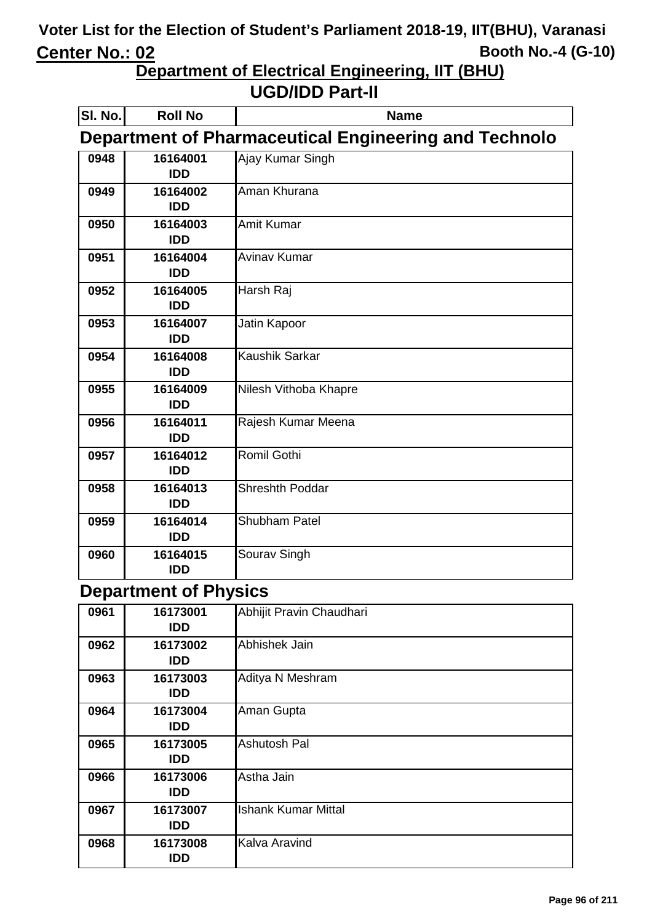**Department of Electrical Engineering, IIT (BHU)**

#### **UGD/IDD Part-II**

| SI. No. | <b>Roll No</b>                                               | <b>Name</b>            |  |
|---------|--------------------------------------------------------------|------------------------|--|
|         | <b>Department of Pharmaceutical Engineering and Technolo</b> |                        |  |
| 0948    | 16164001<br><b>IDD</b>                                       | Ajay Kumar Singh       |  |
| 0949    | 16164002<br><b>IDD</b>                                       | Aman Khurana           |  |
| 0950    | 16164003<br><b>IDD</b>                                       | Amit Kumar             |  |
| 0951    | 16164004<br><b>IDD</b>                                       | <b>Avinav Kumar</b>    |  |
| 0952    | 16164005<br><b>IDD</b>                                       | Harsh Raj              |  |
| 0953    | 16164007<br><b>IDD</b>                                       | Jatin Kapoor           |  |
| 0954    | 16164008<br><b>IDD</b>                                       | <b>Kaushik Sarkar</b>  |  |
| 0955    | 16164009<br><b>IDD</b>                                       | Nilesh Vithoba Khapre  |  |
| 0956    | 16164011<br><b>IDD</b>                                       | Rajesh Kumar Meena     |  |
| 0957    | 16164012<br><b>IDD</b>                                       | Romil Gothi            |  |
| 0958    | 16164013<br><b>IDD</b>                                       | <b>Shreshth Poddar</b> |  |
| 0959    | 16164014<br><b>IDD</b>                                       | Shubham Patel          |  |
| 0960    | 16164015<br><b>IDD</b>                                       | Sourav Singh           |  |

#### **Department of Physics**

| 0961 | 16173001<br><b>IDD</b> | Abhijit Pravin Chaudhari   |
|------|------------------------|----------------------------|
| 0962 | 16173002<br><b>IDD</b> | Abhishek Jain              |
| 0963 | 16173003<br><b>IDD</b> | Aditya N Meshram           |
| 0964 | 16173004<br><b>IDD</b> | Aman Gupta                 |
| 0965 | 16173005<br>IDD.       | <b>Ashutosh Pal</b>        |
| 0966 | 16173006<br><b>IDD</b> | Astha Jain                 |
| 0967 | 16173007<br><b>IDD</b> | <b>Ishank Kumar Mittal</b> |
| 0968 | 16173008<br>IDD        | Kalva Aravind              |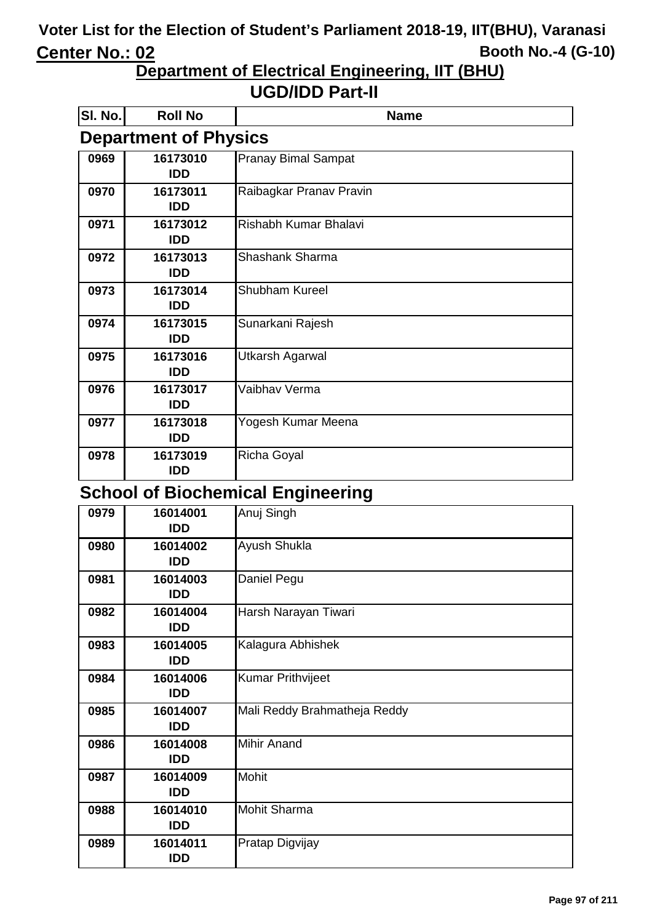**Department of Electrical Engineering, IIT (BHU)**

#### **UGD/IDD Part-II**

| SI. No. | <b>Roll No</b>               | <b>Name</b>                |  |
|---------|------------------------------|----------------------------|--|
|         | <b>Department of Physics</b> |                            |  |
| 0969    | 16173010                     | <b>Pranay Bimal Sampat</b> |  |
|         | <b>IDD</b>                   |                            |  |
| 0970    | 16173011                     | Raibagkar Pranav Pravin    |  |
|         | <b>IDD</b>                   |                            |  |
| 0971    | 16173012                     | Rishabh Kumar Bhalavi      |  |
|         | <b>IDD</b>                   |                            |  |
| 0972    | 16173013                     | Shashank Sharma            |  |
|         | <b>IDD</b>                   |                            |  |
| 0973    | 16173014                     | <b>Shubham Kureel</b>      |  |
|         | <b>IDD</b>                   |                            |  |
| 0974    | 16173015                     | Sunarkani Rajesh           |  |
|         | <b>IDD</b>                   |                            |  |
| 0975    | 16173016                     | <b>Utkarsh Agarwal</b>     |  |
|         | <b>IDD</b>                   |                            |  |
| 0976    | 16173017                     | Vaibhav Verma              |  |
|         | <b>IDD</b>                   |                            |  |
| 0977    | 16173018                     | Yogesh Kumar Meena         |  |
|         | <b>IDD</b>                   |                            |  |
| 0978    | 16173019                     | <b>Richa Goyal</b>         |  |
|         | <b>IDD</b>                   |                            |  |

#### **School of Biochemical Engineering**

| 0979 | 16014001<br><b>IDD</b> | Anuj Singh                   |
|------|------------------------|------------------------------|
| 0980 | 16014002<br><b>IDD</b> | Ayush Shukla                 |
| 0981 | 16014003<br><b>IDD</b> | Daniel Pegu                  |
| 0982 | 16014004<br><b>IDD</b> | Harsh Narayan Tiwari         |
| 0983 | 16014005<br><b>IDD</b> | Kalagura Abhishek            |
| 0984 | 16014006<br><b>IDD</b> | <b>Kumar Prithvijeet</b>     |
| 0985 | 16014007<br><b>IDD</b> | Mali Reddy Brahmatheja Reddy |
| 0986 | 16014008<br><b>IDD</b> | <b>Mihir Anand</b>           |
| 0987 | 16014009<br><b>IDD</b> | <b>Mohit</b>                 |
| 0988 | 16014010<br><b>IDD</b> | <b>Mohit Sharma</b>          |
| 0989 | 16014011<br><b>IDD</b> | Pratap Digvijay              |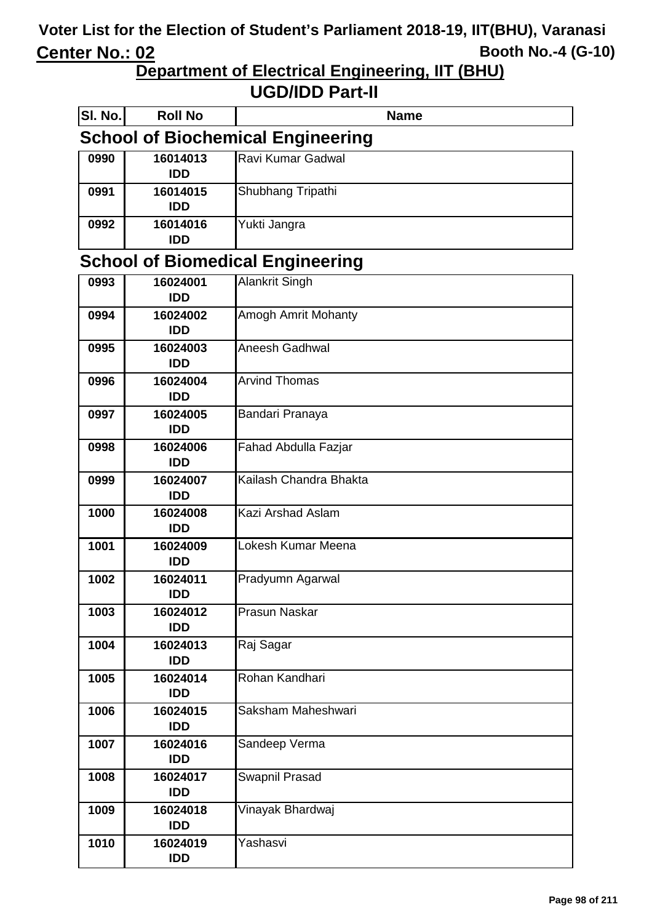**Department of Electrical Engineering, IIT (BHU)** 

| SI. No. | <b>Roll No</b>         | <b>Name</b>                              |
|---------|------------------------|------------------------------------------|
|         |                        | <b>School of Biochemical Engineering</b> |
| 0990    | 16014013<br><b>IDD</b> | Ravi Kumar Gadwal                        |
| 0991    | 16014015<br><b>IDD</b> | Shubhang Tripathi                        |
| 0992    | 16014016<br><b>IDD</b> | Yukti Jangra                             |
|         |                        | <b>School of Biomedical Engineering</b>  |
| 0993    | 16024001               | <b>Alankrit Singh</b>                    |
|         | <b>IDD</b>             |                                          |
| 0994    | 16024002<br><b>IDD</b> | Amogh Amrit Mohanty                      |
| 0995    | 16024003               | Aneesh Gadhwal                           |
| 0996    | <b>IDD</b><br>16024004 | <b>Arvind Thomas</b>                     |
|         | <b>IDD</b>             |                                          |
| 0997    | 16024005<br><b>IDD</b> | Bandari Pranaya                          |
| 0998    | 16024006<br><b>IDD</b> | Fahad Abdulla Fazjar                     |
| 0999    | 16024007               | Kailash Chandra Bhakta                   |
|         | <b>IDD</b>             |                                          |
| 1000    | 16024008<br><b>IDD</b> | Kazi Arshad Aslam                        |
| 1001    | 16024009               | Lokesh Kumar Meena                       |
|         | <b>IDD</b>             |                                          |
| 1002    | 16024011<br><b>IDD</b> | Pradyumn Agarwal                         |
| 1003    | 16024012<br><b>IDD</b> | Prasun Naskar                            |
| 1004    | 16024013<br><b>IDD</b> | Raj Sagar                                |
| 1005    | 16024014<br><b>IDD</b> | Rohan Kandhari                           |
| 1006    | 16024015<br><b>IDD</b> | Saksham Maheshwari                       |
| 1007    | 16024016<br><b>IDD</b> | Sandeep Verma                            |
| 1008    | 16024017<br><b>IDD</b> | Swapnil Prasad                           |
| 1009    | 16024018<br><b>IDD</b> | Vinayak Bhardwaj                         |
| 1010    | 16024019<br><b>IDD</b> | Yashasvi                                 |